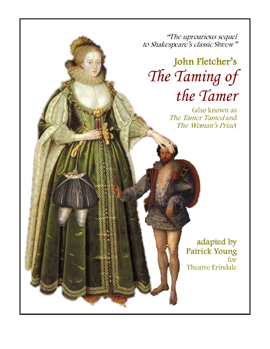"The uproarious sequel to Shakespeare's classic Shrew"

## John Fletcher's The Taming of the Tamer

(also known as The Tamer Tamed and The Woman's Prize

> adapted by **Patrick Young** for **Theatre Erindale**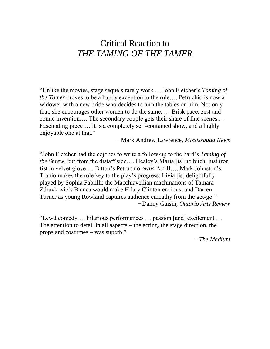## Critical Reaction to *THE TAMING OF THE TAMER*

"Unlike the movies, stage sequels rarely work … John Fletcher's *Taming of the Tamer* proves to be a happy exception to the rule…. Petruchio is now a widower with a new bride who decides to turn the tables on him. Not only that, she encourages other women to do the same. … Brisk pace, zest and comic invention…. The secondary couple gets their share of fine scenes.… Fascinating piece … It is a completely self-contained show, and a highly enjoyable one at that."

*̶* Mark Andrew Lawrence, *Mississauga News*

"John Fletcher had the cojones to write a follow-up to the bard's *Taming of the Shrew*, but from the distaff side…. Healey's Maria [is] no bitch, just iron fist in velvet glove…. Bitton's Petruchio *owns* Act II…. Mark Johnston's Tranio makes the role key to the play's progress; Livia [is] delightfully played by Sophia Fabiilli; the Macchiavellian machinations of Tamara Zdravkovic's Bianca would make Hilary Clinton envious; and Darren Turner as young Rowland captures audience empathy from the get-go." *̶* Danny Gaisin, *Ontario Arts Review*

"Lewd comedy … hilarious performances … passion [and] excitement … The attention to detail in all aspects – the acting, the stage direction, the props and costumes – was superb."

*̶ The Medium*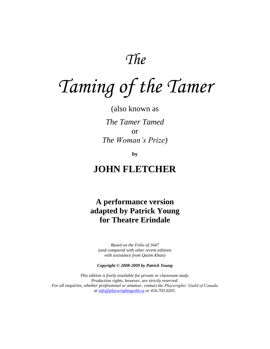*The*

# *Taming of the Tamer*

(also known as *The Tamer Tamed* or *The Woman's Prize)*

**by** 

## **JOHN FLETCHER**

**A performance version adapted by Patrick Young for Theatre Erindale**

*Based on the Folio of 1647 (and compared with other recent editions with assistance from Qasim Khan)*

*Copyright © 2008-2009 by Patrick Young*

*This edition is freely available for private or classroom study. Production rights, however, are strictly reserved. For all enquiries, whether professional or amateur, contact the Playwrights' Guild of Canada at [info@playwrightsguild.ca](mailto:info@playwrightsguild.ca) or 416.703.0201.*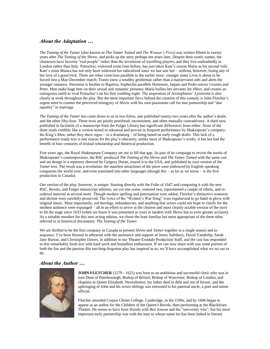#### *About the Adaptation …*

*The Taming of the Tamer* (also known as *The Tamer Tamed* and *The Woman's Prize*) was written fifteen to twenty years after *The Taming of the Shrew*, and picks up the story perhaps ten years later. Despite their exotic names, the characters have become "real people" rather than the inventions of travelling players, and they live unabashedly in London rather than Italy. Petruchio, widowed some time before, has just taken Kate's cousin Maria as his second wife. Kate's sister Bianca has not only been widowed but radicalized since we last saw her – without, however, losing any of her love of a good trick. There are other conscious parallels to the earlier story: younger sister Livia is about to be forced into a May-December match; Tranio (now a wealthy gentleman rather than a manservant) aids and abets the younger romance. Petronius is brother to Baptista, Sophocles parallels Hortensio, Jaques and Pedro mirror Grumio and Peter. Men make huge bets on their sexual and romantic prowess; Maria bullies her servants for effect, and creates an outrageous outfit to rival Petruchio's on his first wedding night. The inspiration of Aristophanes' *Lysistrata* is also clearly at work throughout the play. But the most important force behind the creation of this comedy is John Fletcher's urgent need to counter the perceived misogyny of *Shrew* with his own passionate call for true partnership and "due equality" in marriage.

*The Taming of the Tamer* has come down to us in two folios, one published twenty-two years after the author's death, and the other fifty-four. These texts are poorly proofread, inconsistent, and often mutually contradictory. A third now published in facsimile of a manuscript from the Folger Library has significant differences from either. None of the three reads credibly like a version tested in rehearsal and proven in frequent performance by Shakespeare's company, the King's Men; rather they show signs – to a dramaturg – of being based on early rough drafts. This lack of a performance-ready text is one reason for the play's obscurity; unlike most of Shakespeare's works, it has not had the benefit of four centuries of textual scholarship and theatrical production.

Five years ago, the Royal Shakespeare Company set out to fill that gap. As part of its campaign to revive the works of Shakespeare's contemporaries, the RSC produced *The Taming of the Shrew* and *The Tamer Tamed* with the same cast and set design in a repertory directed by Gregory Doran, toured it to the USA, and published its own version of the *Tamer* text. The result was a revelation: the manifest attractions of the piece were embraced by English-speaking companies the world over, and even translated into other languages (though this – as far as we know – is the first production in Canada).

Our version of the play, however, is unique. Starting directly with the Folio of 1647 and comparing it with the new RSC, Revels, and Folger manuscript editions, we cut one scene, restored two, repositioned a couple of others, and reordered material in several more. Though modern spelling and punctuation were added, Fletcher's distinctive scansion and diction were carefully preserved. The lyrics of the "Women's War Song" were regularized to go hand in glove with original music. Most importantly, red herrings, redundancies, and anything that actors could not hope to clarify for the modern audience were expunged – all in an effort to arrive at the clearest and most cleanly actable version of the story to hit the stage since 1633 (when we know it was presented at court in tandem with *Shrew* but to even greater acclaim). As a suitable moniker for this new acting edition, we chose the least familiar but most appropriate of the three titles referred to in historical documents: *The Taming of the Tamer.*

We are thrilled to be the first company in Canada to present *Shrew* and *Tamer* together in a single season and in sequence. I've been blessed in rehearsal with the assistance and support of Jenny Salisbury, David Vanderlip, Sarah Jane Burton, and Christopher Dawes, in addition to our Theatre Erindale Production Staff, and the cast has responded to this remarkably fresh text with hard work and boundless enthusiasm. If we can now share with you some portion of both the fun and the passion this too-long-forgotten play has inspired in us, we'll have accomplished what we set out to do.

#### *About the Author …*



**JOHN FLETCHER** (1579 - 1625) was born to an ambitious and successful cleric who was in turn [Dean of Peterborough,](/wiki/Dean_of_Peterborough) [Bishop of Bristol,](/wiki/Bishop_of_Bristol) [Bishop of Worcester,](/wiki/Bishop_of_Worcester) [Bishop of London,](/wiki/Bishop_of_London) and [chaplain](/wiki/Chaplain) to [Queen Elizabeth.](/wiki/Elizabeth_I_of_England) Nevertheless, his father died in debt and out of favour, and the upbringing of John and his seven siblings was entrusted to his paternal uncle, a poet and minor official.

Fletcher attende[d Corpus Christi College,](/wiki/Corpus_Christi_College%2C_Cambridge) [Cambridge,](/wiki/University_of_Cambridge) in [the](/wiki/1591) 1590s, and b[y 1606](/wiki/1606) began to appear as an author for the [Children of the Queen's Revels,](/wiki/Children_of_the_Chapel) then performing at the [Blackfriars](/wiki/Blackfriars_Theatre)  [Theatre.](/wiki/Blackfriars_Theatre) He seems to have been friends with Ben Jonson and the "university wits", but his most important early partnership was with the man to whose name his has been linked in literary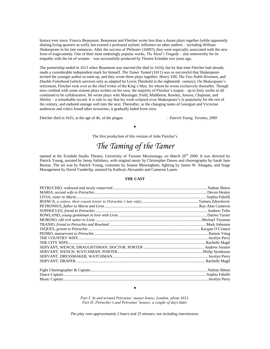history ever since, Francis Beaumont. Beaumont and Fletcher wrote less than a dozen plays together (while apparently sharing living quarters as well), but exerted a profound stylistic influence on other authors – including William Shakespeare in his late romances. After the success of *Philaster* (1609?), they were especially associated with the new form of tragicomedy. One of their most enduringly popular works, *The Maid's Tragedy* – also noteworthy for its empathy with the lot of women – was successfully produced by Theatre Erindale two years ago.

The partnership ended in 1613 when Beaumont was married (he died in 1616), but by that time Fletcher had already made a considerable independent mark for himself. *The Tamer Tamed* (1611) was so successful that Shakespeare invited the younger author to team up, and they wrote three plays together: *Henry VIII*, *The Two Noble Kinsmen*, and *Double Falsehood* (which survives only as adapted by Lewis Theobald in the eighteenth century). On Shakespeare's retirement, Fletcher took over as the chief writer of the King's Men, for whom he wrote exclusively thereafter. Though now credited with some sixteen plays written on his own, the majority of Fletcher's output – up to forty works in all – continued to be collaborative. He wrote plays with Massinger, Field, Middleton, Rowley, Jonson, Chapman, and Shirley – a remarkable record. It is safe to say that his work eclipsed even Shakespeare's in popularity for the rest of the century, and endured onstage well into the next. Thereafter, as the changing tastes of Georgian and Victorian audiences and critics found other favourites, it gradually faded from view.

Fletcher died in 1625, at the age of 46, of the plague. – *Patrick Young, Toronto, 2009*

The first production of this version of John Fletcher's

 $\bullet$ 

## *The Taming of the Tamer*

opened at the Erindale Studio Theatre, University of Toronto Mississauga, on March 20<sup>th</sup> 2009. It was directed by Patrick Young, assisted by Jenny Salisbury, with original music by Christopher Dawes and choreography by Sarah Jane Burton. The set was by Patrick Young, costumes by Joanne Massingham, lighting by James W. Smagata, and Stage Management by David Vanderlip, assisted by Kathryn Alexandre and Cameron Laurie.

#### **THE CAST**

*Part I: In and around Petronius' manor house, London, about 1611. Part II: Petruchio's and Petronius' houses, a couple of days later.*

 $\bullet$ 

*The play runs approximately 2 hours and 25 minutes, not including intermission.*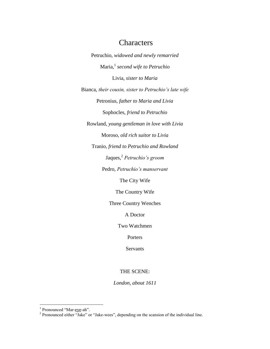## **Characters**

Petruchio, *widowed and newly remarried* Maria,<sup>1</sup> *second wife to Petruchio* Livia, *sister to Maria* Bianca, *their cousin, sister to Petruchio's late wife* Petronius, *father to Maria and Livia* Sophocles, *friend to Petruchio* Rowland, *young gentleman in love with Livia* Moroso, *old rich suitor to Livia* Tranio, *friend to Petruchio and Rowland* Jaques,<sup>2</sup> *Petruchio's groom* Pedro, *Petruchio's manservant* The City Wife The Country Wife Three Country Wenches A Doctor Two Watchmen Porters

Servants

#### THE SCENE:

*London, about 1611*

<sup>&</sup>lt;sup>1</sup> Pronounced "Mar-<u>eye</u>-ah".<br><sup>2</sup> Pronounced either "Jake" or "Jake-wees", depending on the scansion of the individual line.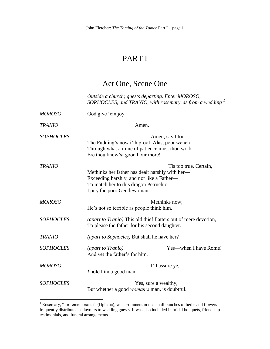## PART I

## Act One, Scene One

*Outside a church; guests departing. Enter MOROSO, SOPHOCLES, and TRANIO, with rosemary, as from a wedding <sup>1</sup>*

| <b>MOROSO</b>    | God give 'em joy.                                                                                                                                                                                |
|------------------|--------------------------------------------------------------------------------------------------------------------------------------------------------------------------------------------------|
| <b>TRANIO</b>    | Amen.                                                                                                                                                                                            |
| <b>SOPHOCLES</b> | Amen, say I too.<br>The Pudding's now i'th proof. Alas, poor wench,<br>Through what a mine of patience must thou work<br>Ere thou know'st good hour more!                                        |
| <b>TRANIO</b>    | Tis too true. Certain,<br>Methinks her father has dealt harshly with her—<br>Exceeding harshly, and not like a Father-<br>To match her to this dragon Petruchio.<br>I pity the poor Gentlewoman. |
| <b>MOROSO</b>    | Methinks now,<br>He's not so terrible as people think him.                                                                                                                                       |
| <b>SOPHOCLES</b> | (apart to Tranio) This old thief flatters out of mere devotion,<br>To please the father for his second daughter.                                                                                 |
| <b>TRANIO</b>    | (apart to Sophocles) But shall he have her?                                                                                                                                                      |
| <b>SOPHOCLES</b> | Yes—when I have Rome!<br><i>(apart to Tranio)</i><br>And yet the father's for him.                                                                                                               |
| <b>MOROSO</b>    | I'll assure ye,<br>I hold him a good man.                                                                                                                                                        |
| <b>SOPHOCLES</b> | Yes, sure a wealthy,<br>But whether a good <i>woman's</i> man, is doubtful.                                                                                                                      |

 $<sup>1</sup>$  Rosemary, "for remembrance" (Ophelia), was prominent in the small bunches of herbs and flowers</sup> frequently distributed as favours to wedding guests. It was also included in bridal bouquets, friendship testimonials, and funeral arrangements.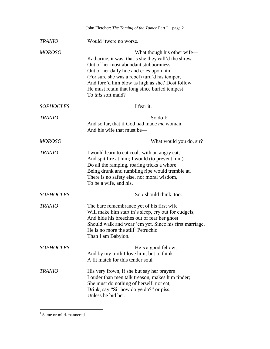|                  | John Fletcher: The Taming of the Tamer Part I - page 2                                                                                                                                                                                                                                                                                              |
|------------------|-----------------------------------------------------------------------------------------------------------------------------------------------------------------------------------------------------------------------------------------------------------------------------------------------------------------------------------------------------|
| <b>TRANIO</b>    | Would 'twere no worse.                                                                                                                                                                                                                                                                                                                              |
| <b>MOROSO</b>    | What though his other wife-<br>Katharine, it was; that's she they call'd the shrew—<br>Out of her most abundant stubbornness,<br>Out of her daily hue and cries upon him<br>(For sure she was a rebel) turn'd his temper,<br>And forc'd him blow as high as she? Dost follow<br>He must retain that long since buried tempest<br>To this soft maid? |
| <b>SOPHOCLES</b> | I fear it.                                                                                                                                                                                                                                                                                                                                          |
| <b>TRANIO</b>    | So do I;<br>And so far, that if God had made <i>me</i> woman,<br>And his wife that must be—                                                                                                                                                                                                                                                         |
| <b>MOROSO</b>    | What would you do, sir?                                                                                                                                                                                                                                                                                                                             |
| <b>TRANIO</b>    | I would learn to eat coals with an angry cat,<br>And spit fire at him; I would (to prevent him)<br>Do all the ramping, roaring tricks a whore<br>Being drunk and tumbling ripe would tremble at.<br>There is no safety else, nor moral wisdom,<br>To be a wife, and his.                                                                            |
| <b>SOPHOCLES</b> | So I should think, too.                                                                                                                                                                                                                                                                                                                             |
| <b>TRANIO</b>    | The bare remembrance yet of his first wife<br>Will make him start in's sleep, cry out for cudgels,<br>And hide his breeches out of fear her ghost<br>Should walk and wear 'em yet. Since his first marriage,<br>He is no more the still $P$ Petruchio<br>Than I am Babylon.                                                                         |
| <b>SOPHOCLES</b> | He's a good fellow,<br>And by my troth I love him; but to think<br>A fit match for this tender soul—                                                                                                                                                                                                                                                |
| <b>TRANIO</b>    | His very frown, if she but say her prayers<br>Louder than men talk treason, makes him tinder;<br>She must do nothing of herself: not eat,<br>Drink, say "Sir how do ye do?" or piss,<br>Unless he bid her.                                                                                                                                          |

<sup>&</sup>lt;sup>1</sup> Same or mild-mannered.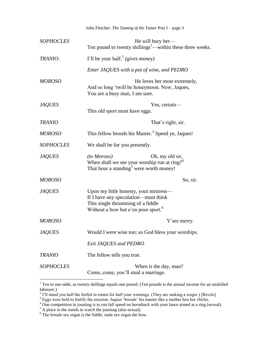| <b>SOPHOCLES</b> | He will bury her—<br>Ten pound to twenty shillings <sup>1</sup> —within these three weeks.                                                                             |
|------------------|------------------------------------------------------------------------------------------------------------------------------------------------------------------------|
| TRANIO:          | I'll be your half. <sup>2</sup> (gives money)                                                                                                                          |
|                  | Enter JAQUES with a pot of wine, and PEDRO                                                                                                                             |
| <b>MOROSO</b>    | He loves her most extremely,<br>And so long 'twill be honeymoon. Now, Jaques,<br>You are a busy man, I am sure.                                                        |
| <b>JAQUES</b>    | Yes, certain-<br>This old sport must have eggs.                                                                                                                        |
| <b>TRANIO</b>    | That's right, sir.                                                                                                                                                     |
| <b>MOROSO</b>    | This fellow broods his Master. <sup>3</sup> Speed ye, Jaques!                                                                                                          |
| <b>SOPHOCLES</b> | We shall be for you presently.                                                                                                                                         |
| <b>JAQUES</b>    | (to Moroso)<br>Oh, my old sir,<br>When shall we see your worship run at ring? <sup>4</sup><br>That hour a standing <sup>5</sup> were worth money!                      |
| <b>MOROSO</b>    | So, sir.                                                                                                                                                               |
| <b>JAQUES</b>    | Upon my little honesty, your mistress-<br>If I have any speculation—must think<br>This single thrumming of a fiddle<br>Without a bow but e'en poor sport. <sup>6</sup> |
| <b>MOROSO</b>    | Y'are merry.                                                                                                                                                           |
| <b>JAQUES</b>    | Would I were wise too; so God bless your worships.                                                                                                                     |
|                  | Exit JAQUES and PEDRO                                                                                                                                                  |
| <b>TRANIO</b>    | The fellow tells you true.                                                                                                                                             |
| <b>SOPHOCLES</b> | When is the day, man?<br>Come, come, you'll steal a marriage.                                                                                                          |

 $1$  Ten to one odds, as twenty shillings equals one pound. (Ten pounds is the annual income for an unskilled

labourer.)<br><sup>2</sup> I'll stand you half the forfeit in return for half your winnings. (They are making a wager.) [Revels]

 $3$  Eggs were held to fortify the erection. Jaques 'broods' his master like a mother hen her chicks.

 $4\degree$  One competition in jousting is to run full speed on horseback with your lance aimed at a ring (sexual).

 $<sup>5</sup>$  A place in the stands to watch the jousting (also sexual).</sup>

 $6$  The female sex organ is the fiddle, male sex organ the bow.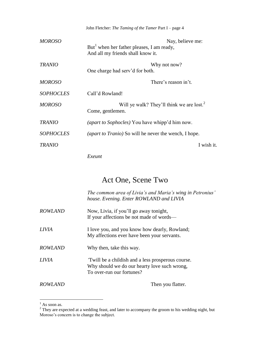|                  | John Fletcher: The Taming of the Tamer Part I – page 4                                                         |
|------------------|----------------------------------------------------------------------------------------------------------------|
| <b>MOROSO</b>    | Nay, believe me:<br>But <sup>1</sup> when her father pleases, I am ready,<br>And all my friends shall know it. |
| <b>TRANIO</b>    | Why not now?<br>One charge had serv'd for both.                                                                |
| <b>MOROSO</b>    | There's reason in't.                                                                                           |
| <b>SOPHOCLES</b> | Call'd Rowland!                                                                                                |
| <b>MOROSO</b>    | Will ye walk? They'll think we are lost. <sup>2</sup><br>Come, gentlemen.                                      |
| <b>TRANIO</b>    | <i>(apart to Sophocles)</i> You have whipp'd him now.                                                          |
| <b>SOPHOCLES</b> | <i>(apart to Tranio)</i> So will be never the wench, I hope.                                                   |
| <b>TRANIO</b>    | I wish it.                                                                                                     |

*Exeunt*

## Act One, Scene Two

*The common area of Livia's and Maria's wing in Petronius' house. Evening. Enter ROWLAND and LIVIA*

| <b>ROWLAND</b> | Now, Livia, if you'll go away tonight,   |
|----------------|------------------------------------------|
|                | If your affections be not made of words— |
|                |                                          |

- *LIVIA* I love you, and you know how dearly, Rowland; My affections ever have been your servants.
- *ROWLAND* Why then, take this way.
- *LIVIA '*Twill be a childish and a less prosperous course. Why should we do our hearty love such wrong, To over-run our fortunes?

*ROWLAND* Then you flatter.

 $<sup>1</sup>$  As soon as.</sup>

 $2^2$  They are expected at a wedding feast, and later to accompany the groom to his wedding night, but Moroso's concern is to change the subject.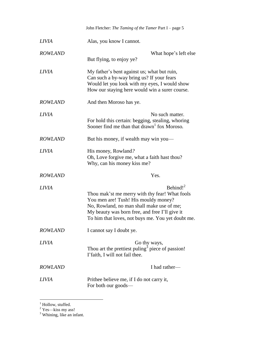|                | John Fletcher: The Taming of the Tamer Part I - page 5                                                                                                                                                                                                       |
|----------------|--------------------------------------------------------------------------------------------------------------------------------------------------------------------------------------------------------------------------------------------------------------|
| <i>LIVIA</i>   | Alas, you know I cannot.                                                                                                                                                                                                                                     |
| <b>ROWLAND</b> | What hope's left else<br>But flying, to enjoy ye?                                                                                                                                                                                                            |
| <i>LIVIA</i>   | My father's bent against us; what but ruin,<br>Can such a by-way bring us? If your fears<br>Would let you look with my eyes, I would show<br>How our staying here would win a surer course.                                                                  |
| <b>ROWLAND</b> | And then Moroso has ye.                                                                                                                                                                                                                                      |
| <b>LIVIA</b>   | No such matter.<br>For hold this certain: begging, stealing, whoring<br>Sooner find me than that drawn fox Moroso.                                                                                                                                           |
| <b>ROWLAND</b> | But his money, if wealth may win you—                                                                                                                                                                                                                        |
| <b>LIVIA</b>   | His money, Rowland?<br>Oh, Love forgive me, what a faith hast thou?<br>Why, can his money kiss me?                                                                                                                                                           |
| <b>ROWLAND</b> | Yes.                                                                                                                                                                                                                                                         |
| <b>LIVIA</b>   | Behind! $^{2}$<br>Thou mak'st me merry with thy fear! What fools<br>You men are! Tush! His mouldy money?<br>No, Rowland, no man shall make use of me;<br>My beauty was born free, and free I'll give it<br>To him that loves, not buys me. You yet doubt me. |
| <b>ROWLAND</b> | I cannot say I doubt ye.                                                                                                                                                                                                                                     |
| <b>LIVIA</b>   | Go thy ways,<br>Thou art the prettiest puling <sup>3</sup> piece of passion!<br>I' faith, I will not fail thee.                                                                                                                                              |
| <b>ROWLAND</b> | I had rather-                                                                                                                                                                                                                                                |
| <i>LIVIA</i>   | Prithee believe me, if I do not carry it,<br>For both our goods—                                                                                                                                                                                             |

<sup>&</sup>lt;sup>1</sup> Hollow, stuffed.

 $2$  Yes—kiss my ass!

 $3$  Whining, like an infant.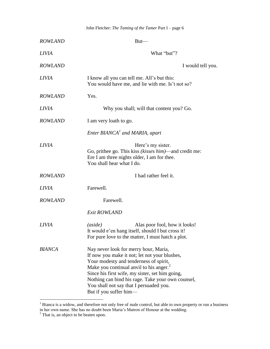| <b>ROWLAND</b> | $But$ —                                                                                                                                                                                                                                                                                                                                                              |
|----------------|----------------------------------------------------------------------------------------------------------------------------------------------------------------------------------------------------------------------------------------------------------------------------------------------------------------------------------------------------------------------|
| <b>LIVIA</b>   | What "but"?                                                                                                                                                                                                                                                                                                                                                          |
| <b>ROWLAND</b> | I would tell you.                                                                                                                                                                                                                                                                                                                                                    |
| <b>LIVIA</b>   | I know all you can tell me. All's but this:<br>You would have me, and lie with me. Is't not so?                                                                                                                                                                                                                                                                      |
| <b>ROWLAND</b> | Yes.                                                                                                                                                                                                                                                                                                                                                                 |
| <i>LIVIA</i>   | Why you shall; will that content you? Go.                                                                                                                                                                                                                                                                                                                            |
| <b>ROWLAND</b> | I am very loath to go.                                                                                                                                                                                                                                                                                                                                               |
|                | Enter BIANCA <sup>1</sup> and MARIA, apart                                                                                                                                                                                                                                                                                                                           |
| <i>LIVIA</i>   | Here's my sister.<br>Go, prithee go. This kiss (kisses him)—and credit me:<br>Ere I am three nights older, I am for thee.<br>You shall hear what I do.                                                                                                                                                                                                               |
| <b>ROWLAND</b> | I had rather feel it.                                                                                                                                                                                                                                                                                                                                                |
| <i>LIVIA</i>   | Farewell.                                                                                                                                                                                                                                                                                                                                                            |
| <b>ROWLAND</b> | Farewell.                                                                                                                                                                                                                                                                                                                                                            |
|                | <b>Exit ROWLAND</b>                                                                                                                                                                                                                                                                                                                                                  |
| <i>LIVIA</i>   | (aside)<br>Alas poor fool, how it looks!<br>It would e'en hang itself, should I but cross it!<br>For pure love to the matter, I must hatch a plot.                                                                                                                                                                                                                   |
| <b>BIANCA</b>  | Nay never look for merry hour, Maria,<br>If now you make it not; let not your blushes,<br>Your modesty and tenderness of spirit,<br>Make you continual anvil to his anger. <sup>2</sup><br>Since his first wife, my sister, set him going,<br>Nothing can bind his rage. Take your own counsel,<br>You shall not say that I persuaded you.<br>But if you suffer him- |

 $1$  Bianca is a widow, and therefore not only free of male control, but able to own property or run a business in her own name. She has no doubt been Maria's Matron of Honour at the wedding.

 $2$  That is, an object to be beaten upon.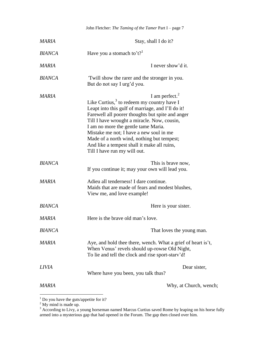|               | John Fletcher: The Taming of the Tamer Part I - page 7                                                                                                                                                                                                                                                                                                                                                                                       |
|---------------|----------------------------------------------------------------------------------------------------------------------------------------------------------------------------------------------------------------------------------------------------------------------------------------------------------------------------------------------------------------------------------------------------------------------------------------------|
| MARIA         | Stay, shall I do it?                                                                                                                                                                                                                                                                                                                                                                                                                         |
| <b>BIANCA</b> | Have you a stomach to't? <sup>1</sup>                                                                                                                                                                                                                                                                                                                                                                                                        |
| <b>MARIA</b>  | I never show'd it.                                                                                                                                                                                                                                                                                                                                                                                                                           |
| <b>BIANCA</b> | Twill show the rarer and the stronger in you.<br>But do not say I urg'd you.                                                                                                                                                                                                                                                                                                                                                                 |
| MARIA         | I am perfect. $^{2}$<br>Like Curtius, $3$ to redeem my country have I<br>Leapt into this gulf of marriage, and I'll do it!<br>Farewell all poorer thoughts but spite and anger<br>Till I have wrought a miracle. Now, cousin,<br>I am no more the gentle tame Maria.<br>Mistake me not; I have a new soul in me<br>Made of a north wind, nothing but tempest;<br>And like a tempest shall it make all ruins,<br>Till I have run my will out. |
| <b>BIANCA</b> | This is brave now,<br>If you continue it; may your own will lead you.                                                                                                                                                                                                                                                                                                                                                                        |
| <b>MARIA</b>  | Adieu all tenderness! I dare continue.<br>Maids that are made of fears and modest blushes,<br>View me, and love example!                                                                                                                                                                                                                                                                                                                     |
| <b>BIANCA</b> | Here is your sister.                                                                                                                                                                                                                                                                                                                                                                                                                         |
| <b>MARIA</b>  | Here is the brave old man's love.                                                                                                                                                                                                                                                                                                                                                                                                            |
| <b>BIANCA</b> | That loves the young man.                                                                                                                                                                                                                                                                                                                                                                                                                    |
| MARIA         | Aye, and hold thee there, wench. What a grief of heart is't,<br>When Venus' revels should up-rowse Old Night,<br>To lie and tell the clock and rise sport-stary'd!                                                                                                                                                                                                                                                                           |
| <b>LIVIA</b>  | Dear sister,<br>Where have you been, you talk thus?                                                                                                                                                                                                                                                                                                                                                                                          |
| <b>MARIA</b>  | Why, at Church, wench;                                                                                                                                                                                                                                                                                                                                                                                                                       |

 $<sup>1</sup>$  Do you have the guts/appetite for it?</sup>

 $2^2$  My mind is made up.

 $3$  According to Livy, a young horseman named Marcus Curtius saved Rome by leaping on his horse fully armed into a mysterious gap that had opened in the Forum. The gap then closed over him.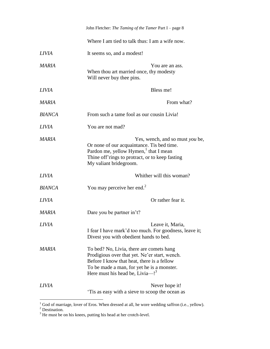|               | John Fletcher: The Taming of the Tamer Part I - page 8                                                                                                                                                                       |
|---------------|------------------------------------------------------------------------------------------------------------------------------------------------------------------------------------------------------------------------------|
|               | Where I am tied to talk thus: I am a wife now.                                                                                                                                                                               |
| <i>LIVIA</i>  | It seems so, and a modest!                                                                                                                                                                                                   |
| MARIA         | You are an ass.<br>When thou art married once, thy modesty<br>Will never buy thee pins.                                                                                                                                      |
| <i>LIVIA</i>  | Bless me!                                                                                                                                                                                                                    |
| MARIA         | From what?                                                                                                                                                                                                                   |
| <b>BIANCA</b> | From such a tame fool as our cousin Livia!                                                                                                                                                                                   |
| <i>LIVIA</i>  | You are not mad?                                                                                                                                                                                                             |
| MARIA         | Yes, wench, and so must you be,<br>Or none of our acquaintance. Tis bed time.<br>Pardon me, yellow Hymen, <sup>1</sup> that I mean<br>Thine off'rings to protract, or to keep fasting<br>My valiant bridegroom.              |
| <i>LIVIA</i>  | Whither will this woman?                                                                                                                                                                                                     |
| <b>BIANCA</b> | You may perceive her end. $2$                                                                                                                                                                                                |
| <b>LIVIA</b>  | Or rather fear it.                                                                                                                                                                                                           |
| MARIA         | Dare you be partner in't?                                                                                                                                                                                                    |
| <b>LIVIA</b>  | Leave it, Maria,<br>I fear I have mark'd too much. For goodness, leave it;<br>Divest you with obedient hands to bed.                                                                                                         |
| <b>MARIA</b>  | To bed? No, Livia, there are comets hang<br>Prodigious over that yet. Ne'er start, wench.<br>Before I know that heat, there is a fellow<br>To be made a man, for yet he is a monster.<br>Here must his head be, Livia- $!^3$ |
| LIVIA         | Never hope it!<br>This as easy with a sieve to scoop the ocean as                                                                                                                                                            |

 $1$  God of marriage, lover of Eros. When dressed at all, he wore wedding saffron (i.e., yellow).

 $2$  Destination.

 $3$  He must be on his knees, putting his head at her crotch-level.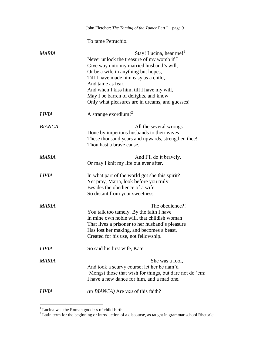|               | John Fletcher: The Taming of the Tamer Part I – page 9                                                                                                                                                                                                                                                                                                        |
|---------------|---------------------------------------------------------------------------------------------------------------------------------------------------------------------------------------------------------------------------------------------------------------------------------------------------------------------------------------------------------------|
|               | To tame Petruchio.                                                                                                                                                                                                                                                                                                                                            |
| MARIA         | Stay! Lucina, hear me!<br>Never unlock the treasure of my womb if I<br>Give way unto my married husband's will,<br>Or be a wife in anything but hopes,<br>Till I have made him easy as a child,<br>And tame as fear.<br>And when I kiss him, till I have my will,<br>May I be barren of delights, and know<br>Only what pleasures are in dreams, and guesses! |
| <i>LIVIA</i>  | A strange exordium! <sup>2</sup>                                                                                                                                                                                                                                                                                                                              |
| <b>BIANCA</b> | All the several wrongs<br>Done by imperious husbands to their wives<br>These thousand years and upwards, strengthen thee!<br>Thou hast a brave cause.                                                                                                                                                                                                         |
| MARIA         | And I'll do it bravely,<br>Or may I knit my life out ever after.                                                                                                                                                                                                                                                                                              |
| <b>LIVIA</b>  | In what part of the world got she this spirit?<br>Yet pray, Maria, look before you truly.<br>Besides the obedience of a wife,<br>So distant from your sweetness-                                                                                                                                                                                              |
| <b>MARIA</b>  | The obedience?!<br>You talk too tamely. By the faith I have<br>In mine own noble will, that childish woman<br>That lives a prisoner to her husband's pleasure<br>Has lost her making, and becomes a beast,<br>Created for his use, not fellowship.                                                                                                            |
| <i>LIVIA</i>  | So said his first wife, Kate.                                                                                                                                                                                                                                                                                                                                 |
| MARIA         | She was a fool,<br>And took a scurvy course; let her be nam'd<br>'Mongst those that wish for things, but dare not do 'em:<br>I have a new dance for him, and a mad one.                                                                                                                                                                                       |
| <b>LIVIA</b>  | <i>(to BIANCA)</i> Are <i>you</i> of this faith?                                                                                                                                                                                                                                                                                                              |

 $1$  Lucina was the Roman goddess of child-birth.

 $2^{2}$  Latin term for the beginning or introduction of a discourse, as taught in grammar school Rhetoric.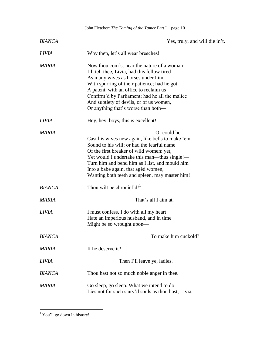|               | John Fletcher: The Taming of the Tamer Part I - page 10                                                                                                                                                                                                                                                                                                       |
|---------------|---------------------------------------------------------------------------------------------------------------------------------------------------------------------------------------------------------------------------------------------------------------------------------------------------------------------------------------------------------------|
| <b>BIANCA</b> | Yes, truly, and will die in't.                                                                                                                                                                                                                                                                                                                                |
| <i>LIVIA</i>  | Why then, let's all wear breeches!                                                                                                                                                                                                                                                                                                                            |
| <b>MARIA</b>  | Now thou com'st near the nature of a woman!<br>I'll tell thee, Livia, had this fellow tired<br>As many wives as horses under him<br>With spurring of their patience; had he got<br>A patent, with an office to reclaim us<br>Confirm'd by Parliament; had he all the malice<br>And subtlety of devils, or of us women,<br>Or anything that's worse than both— |
| <b>LIVIA</b>  | Hey, hey, boys, this is excellent!                                                                                                                                                                                                                                                                                                                            |
| MARIA         | -Or could he<br>Cast his wives new again, like bells to make 'em<br>Sound to his will; or had the fearful name<br>Of the first breaker of wild women: yet,<br>Yet would I undertake this man—thus single!—<br>Turn him and bend him as I list, and mould him<br>Into a babe again, that aged women,<br>Wanting both teeth and spleen, may master him!         |
| <b>BIANCA</b> | Thou wilt be chronicl'd! <sup>1</sup>                                                                                                                                                                                                                                                                                                                         |
| <b>MARIA</b>  | That's all I aim at.                                                                                                                                                                                                                                                                                                                                          |
| <i>LIVIA</i>  | I must confess, I do with all my heart<br>Hate an imperious husband, and in time<br>Might be so wrought upon—                                                                                                                                                                                                                                                 |
| <b>BIANCA</b> | To make him cuckold?                                                                                                                                                                                                                                                                                                                                          |
| <b>MARIA</b>  | If he deserve it?                                                                                                                                                                                                                                                                                                                                             |
| <i>LIVIA</i>  | Then I'll leave ye, ladies.                                                                                                                                                                                                                                                                                                                                   |
| <b>BIANCA</b> | Thou hast not so much noble anger in thee.                                                                                                                                                                                                                                                                                                                    |
| MARIA         | Go sleep, go sleep. What we intend to do<br>Lies not for such stary'd souls as thou hast, Livia.                                                                                                                                                                                                                                                              |

 $<sup>1</sup>$  You'll go down in history!</sup>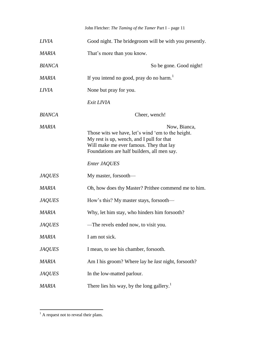| <i>LIVIA</i>  | Good night. The bridegroom will be with you presently.                                                                                                                                                                   |
|---------------|--------------------------------------------------------------------------------------------------------------------------------------------------------------------------------------------------------------------------|
| MARIA         | That's more than you know.                                                                                                                                                                                               |
| <b>BIANCA</b> | So be gone. Good night!                                                                                                                                                                                                  |
| MARIA         | If you intend no good, pray do no harm.                                                                                                                                                                                  |
| <b>LIVIA</b>  | None but pray for you.                                                                                                                                                                                                   |
|               | Exit LIVIA                                                                                                                                                                                                               |
| <b>BIANCA</b> | Cheer, wench!                                                                                                                                                                                                            |
| <b>MARIA</b>  | Now, Bianca,<br>Those wits we have, let's wind 'em to the height.<br>My rest is up, wench, and I pull for that<br>Will make me ever famous. They that lay<br>Foundations are half builders, all men say.<br>Enter JAQUES |
| <b>JAQUES</b> | My master, forsooth—                                                                                                                                                                                                     |
| <b>MARIA</b>  | Oh, how does thy Master? Prithee commend me to him.                                                                                                                                                                      |
| <b>JAQUES</b> | How's this? My master stays, forsooth—                                                                                                                                                                                   |
| <b>MARIA</b>  | Why, let him stay, who hinders him forsooth?                                                                                                                                                                             |
| <b>JAQUES</b> | The revels ended now, to visit you.                                                                                                                                                                                      |
| MARIA         | I am not sick.                                                                                                                                                                                                           |
| <b>JAQUES</b> | I mean, to see his chamber, for sooth.                                                                                                                                                                                   |
| <b>MARIA</b>  | Am I his groom? Where lay he <i>last</i> night, forsooth?                                                                                                                                                                |
| <b>JAQUES</b> | In the low-matted parlour.                                                                                                                                                                                               |
| MARIA         | There lies his way, by the long gallery. <sup>1</sup>                                                                                                                                                                    |

 $<sup>1</sup>$  A request not to reveal their plans.</sup>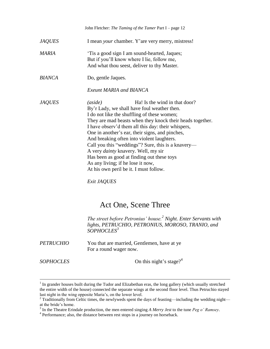|               | John Fletcher: The Taming of the Tamer Part I - page 12                                                                                                                                                                                                                                                                                                                                                                                                                                                                                                                                     |
|---------------|---------------------------------------------------------------------------------------------------------------------------------------------------------------------------------------------------------------------------------------------------------------------------------------------------------------------------------------------------------------------------------------------------------------------------------------------------------------------------------------------------------------------------------------------------------------------------------------------|
| <b>JAQUES</b> | I mean <i>your</i> chamber. Y'are very merry, mistress!                                                                                                                                                                                                                                                                                                                                                                                                                                                                                                                                     |
| MARIA         | Tis a good sign I am sound-hearted, Jaques;<br>But if you'll know where I lie, follow me,<br>And what thou seest, deliver to thy Master.                                                                                                                                                                                                                                                                                                                                                                                                                                                    |
| <b>BIANCA</b> | Do, gentle Jaques.                                                                                                                                                                                                                                                                                                                                                                                                                                                                                                                                                                          |
|               | Exeunt MARIA and BIANCA                                                                                                                                                                                                                                                                                                                                                                                                                                                                                                                                                                     |
| <b>JAQUES</b> | Ha! Is the wind in that door?<br>(aside)<br>By'r Lady, we shall have foul weather then.<br>I do not like the shuffling of these women;<br>They are mad beasts when they knock their heads together.<br>I have observ'd them all this day: their whispers,<br>One in another's ear, their signs, and pinches,<br>And breaking often into violent laughters.<br>Call you this "weddings"? Sure, this is a knavery—<br>A very <i>dainty</i> knavery. Well, my sir<br>Has been as good at finding out these toys<br>As any living; if he lose it now,<br>At his own peril be it. I must follow. |

*Exit JAQUES*

## Act One, Scene Three

*The street before Petronius' house.<sup>2</sup> Night. Enter Servants with lights, PETRUCHIO, PETRONIUS, MOROSO, TRANIO, and SOPHOCLES<sup>3</sup>*

| <b>PETRUCHIO</b> | You that are married, Gentlemen, have at ye |
|------------------|---------------------------------------------|
|                  | For a round wager now.                      |

*SOPHOCLES* On this night's stage?<sup>4</sup>

<sup>&</sup>lt;sup>1</sup> In grander houses built during the Tudor and Elizabethan eras, the long gallery (which usually stretched the entire width of the house) connected the separate wings at the second floor level. Thus Petruchio stayed last night in the wing opposite Maria's, on the lower level.

<sup>&</sup>lt;sup>2</sup> Traditionally from Celtic times, the newlyweds spent the days of feasting—including the wedding night—

at the bride's home. 3 In the Theatre Erindale production, the men entered singing *A Merry Jest* to the tune *Peg o' Ramsey*.

<sup>&</sup>lt;sup>4</sup> Performance; also, the distance between rest stops in a journey on horseback.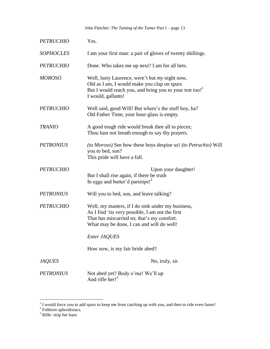| <b>PETRUCHIO</b> | Yes.                                                                                                                                                                                              |
|------------------|---------------------------------------------------------------------------------------------------------------------------------------------------------------------------------------------------|
| <b>SOPHOCLES</b> | I am your first man: a pair of gloves of twenty shillings.                                                                                                                                        |
| <b>PETRUCHIO</b> | Done. Who takes me up next? I am for all bets.                                                                                                                                                    |
| <b>MOROSO</b>    | Well, lusty Laurence, were't but <i>my</i> night now,<br>Old as I am, I would make you clap on spurs<br>But I would reach you, and bring you to your trot too! <sup>1</sup><br>I would, gallants! |
| <b>PETRUCHIO</b> | Well said, good Will! But where's the stuff boy, ha?<br>Old Father Time, your hour-glass is empty.                                                                                                |
| <b>TRANIO</b>    | A good tough ride would break thee all to pieces;<br>Thou hast not breath enough to say thy prayers.                                                                                              |
| <b>PETRONIUS</b> | (to Moroso) See how these boys despise us! (to Petruchio) Will<br>you to bed, son?<br>This pride will have a fall.                                                                                |
| <b>PETRUCHIO</b> | Upon your daughter!<br>But I shall rise again, if there be truth<br>In eggs and butter'd parsnips! <sup>2</sup>                                                                                   |
| <b>PETRONIUS</b> | Will you to bed, son, and leave talking?                                                                                                                                                          |
| <b>PETRUCHIO</b> | Well, my masters, if I do sink under my business,<br>As I find 'tis very possible, I am not the first<br>That has miscarried so; that's my comfort.<br>What may be done, I can and will do well!  |
|                  | Enter JAQUES                                                                                                                                                                                      |
|                  | How now, is my fair bride abed?                                                                                                                                                                   |
| <b>JAQUES</b>    | No, truly, sir.                                                                                                                                                                                   |
| <b>PETRONIUS</b> | Not abed yet? Body o'me! We'll up<br>And rifle her! $3$                                                                                                                                           |

<sup>&</sup>lt;sup>1</sup> I would force you to add spurs to keep me from catching up with you, and then to ride even faster!<br><sup>2</sup> Folklore aphrodisiacs.

 $3$  Rifle: strip her bare.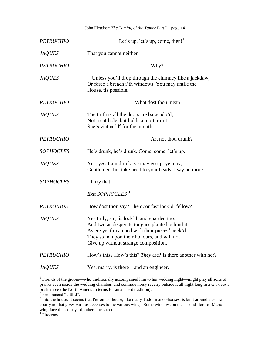| <b>PETRUCHIO</b> | Let's up, let's up, come, then! <sup>1</sup>                                                                                                                                                                                                          |
|------------------|-------------------------------------------------------------------------------------------------------------------------------------------------------------------------------------------------------------------------------------------------------|
| <b>JAQUES</b>    | That you cannot neither-                                                                                                                                                                                                                              |
| <b>PETRUCHIO</b> | Why?                                                                                                                                                                                                                                                  |
| <b>JAQUES</b>    | —Unless you'll drop through the chimney like a jackdaw,<br>Or force a breach i'th windows. You may untile the<br>House, tis possible.                                                                                                                 |
| <b>PETRUCHIO</b> | What dost thou mean?                                                                                                                                                                                                                                  |
| <b>JAQUES</b>    | The truth is all the doors are baracado'd;<br>Not a cat-hole, but holds a mortar in't.<br>She's victual' $d^2$ for this month.                                                                                                                        |
| <b>PETRUCHIO</b> | Art not thou drunk?                                                                                                                                                                                                                                   |
| <b>SOPHOCLES</b> | He's drunk, he's drunk. Come, come, let's up.                                                                                                                                                                                                         |
| <b>JAQUES</b>    | Yes, yes, I am drunk: ye may go up, ye may,<br>Gentlemen, but take heed to your heads: I say no more.                                                                                                                                                 |
| <b>SOPHOCLES</b> | I'll try that.                                                                                                                                                                                                                                        |
|                  | Exit SOPHOCLES <sup>3</sup>                                                                                                                                                                                                                           |
| <b>PETRONIUS</b> | How dost thou say? The door fast lock'd, fellow?                                                                                                                                                                                                      |
| <b>JAQUES</b>    | Yes truly, sir, tis lock'd, and guarded too;<br>And two as desperate tongues planted behind it<br>As ere yet threatened with their pieces <sup>4</sup> cock'd.<br>They stand upon their honours, and will not<br>Give up without strange composition. |
| <b>PETRUCHIO</b> | How's this? How's this? They are? Is there another with her?                                                                                                                                                                                          |
| <b>JAQUES</b>    | Yes, marry, is there—and an engineer.                                                                                                                                                                                                                 |

 1 Friends of the groom—who traditionally accompanied him to his wedding night—might play all sorts of pranks even inside the wedding chamber, and continue noisy revelry outside it all night long in a *charivari*, or shivaree (the North American terms for an ancient tradition).<br><sup>2</sup> Pronounced "vittl'd".

<sup>&</sup>lt;sup>3</sup> Into the house. It seems that Petronius' house, like many Tudor manor-houses, is built around a central courtyard that gives various accesses to the various wings. Some windows on the second floor of Maria's wing face this courtyard, others the street.

<sup>4</sup> Firearms.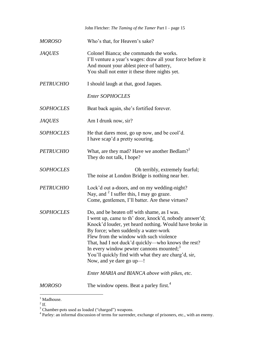|                  | John Fletcher: The Taming of the Tamer Part I - page 15                                                                                                                                                                                                                                                                                                                                                                                                                                               |
|------------------|-------------------------------------------------------------------------------------------------------------------------------------------------------------------------------------------------------------------------------------------------------------------------------------------------------------------------------------------------------------------------------------------------------------------------------------------------------------------------------------------------------|
| MOROSO           | Who's that, for Heaven's sake?                                                                                                                                                                                                                                                                                                                                                                                                                                                                        |
| <i>JAQUES</i>    | Colonel Bianca; she commands the works.<br>I'll venture a year's wages: draw all your force before it<br>And mount your ablest piece of battery,<br>You shall not enter it these three nights yet.                                                                                                                                                                                                                                                                                                    |
| <b>PETRUCHIO</b> | I should laugh at that, good Jaques.                                                                                                                                                                                                                                                                                                                                                                                                                                                                  |
|                  | <b>Enter SOPHOCLES</b>                                                                                                                                                                                                                                                                                                                                                                                                                                                                                |
| <b>SOPHOCLES</b> | Beat back again, she's fortified forever.                                                                                                                                                                                                                                                                                                                                                                                                                                                             |
| <i>JAQUES</i>    | Am I drunk now, sir?                                                                                                                                                                                                                                                                                                                                                                                                                                                                                  |
| <b>SOPHOCLES</b> | He that dares most, go up now, and be cool'd.<br>I have scap'd a pretty scouring.                                                                                                                                                                                                                                                                                                                                                                                                                     |
| <b>PETRUCHIO</b> | What, are they mad? Have we another Bedlam?<br>They do not talk, I hope?                                                                                                                                                                                                                                                                                                                                                                                                                              |
| <b>SOPHOCLES</b> | Oh terribly, extremely fearful;<br>The noise at London Bridge is nothing near her.                                                                                                                                                                                                                                                                                                                                                                                                                    |
| <b>PETRUCHIO</b> | Lock'd out a-doors, and on my wedding-night?<br>Nay, and <sup>2</sup> I suffer this, I may go graze.<br>Come, gentlemen, I'll batter. Are these virtues?                                                                                                                                                                                                                                                                                                                                              |
| <b>SOPHOCLES</b> | Do, and be beaten off with shame, as I was.<br>I went up, came to th' door, knock'd, nobody answer'd;<br>Knock'd louder, yet heard nothing. Would have broke in<br>By force; when suddenly a water-work<br>Flew from the window with such violence<br>That, had I not duck'd quickly—who knows the rest?<br>In every window pewter cannons mounted; <sup>3</sup><br>You'll quickly find with what they are charg'd, sir,<br>Now, and ye dare go up-!<br>Enter MARIA and BIANCA above with pikes, etc. |
| MOROSO           | The window opens. Beat a parley first. <sup>4</sup>                                                                                                                                                                                                                                                                                                                                                                                                                                                   |

 $\frac{1}{2}$  Madhouse.

<sup>&</sup>lt;sup>3</sup> Chamber-pots used as loaded ("charged") weapons.<br><sup>4</sup> Parley: an informal discussion of terms for surrender, exchange of prisoners, etc., with an enemy.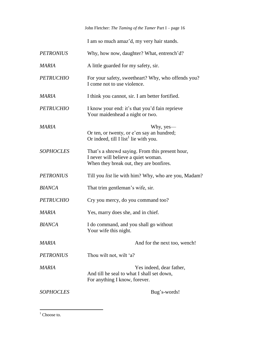I am so much amaz'd, my very hair stands.

| <b>PETRONIUS</b> | Why, how now, daughter? What, entrench'd?                                                                                         |
|------------------|-----------------------------------------------------------------------------------------------------------------------------------|
| <b>MARIA</b>     | A little guarded for my safety, sir.                                                                                              |
| <b>PETRUCHIO</b> | For your safety, sweetheart? Why, who offends you?<br>I come not to use violence.                                                 |
| <b>MARIA</b>     | I think you cannot, sir. I am better fortified.                                                                                   |
| <b>PETRUCHIO</b> | I know your end: it's that you'd fain reprieve<br>Your maidenhead a night or two.                                                 |
| <b>MARIA</b>     | Why, yes—<br>Or ten, or twenty, or e'en say an hundred;<br>Or indeed, till I list <sup>1</sup> lie with you.                      |
| <b>SOPHOCLES</b> | That's a shrewd saying. From this present hour,<br>I never will believe a quiet woman.<br>When they break out, they are bonfires. |
| <b>PETRONIUS</b> | Till you <i>list</i> lie with him? Why, who are you, Madam?                                                                       |
| <b>BIANCA</b>    | That trim gentleman's wife, sir.                                                                                                  |
| <b>PETRUCHIO</b> | Cry you mercy, do you command too?                                                                                                |
| MARIA            | Yes, marry does she, and in chief.                                                                                                |
| <b>BIANCA</b>    | I do command, and you shall go without<br>Your wife this night.                                                                   |
| <b>MARIA</b>     | And for the next too, wench!                                                                                                      |
| <b>PETRONIUS</b> | Thou wilt not, wilt 'a?                                                                                                           |
| MARIA            | Yes indeed, dear father,<br>And till he seal to what I shall set down,<br>For anything I know, forever.                           |
| <b>SOPHOCLES</b> | Bug's-words!                                                                                                                      |

 $1$  Choose to.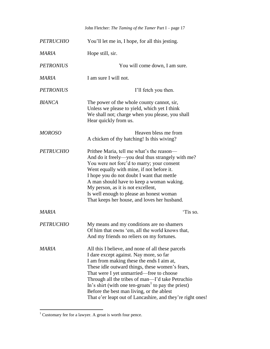|                  | John Fletcher: The Taming of the Tamer Part I - page 17                                                                                                                                                                                                                                                                                                                                                                                                                    |
|------------------|----------------------------------------------------------------------------------------------------------------------------------------------------------------------------------------------------------------------------------------------------------------------------------------------------------------------------------------------------------------------------------------------------------------------------------------------------------------------------|
| <b>PETRUCHIO</b> | You'll let me in, I hope, for all this jesting.                                                                                                                                                                                                                                                                                                                                                                                                                            |
| MARIA            | Hope still, sir.                                                                                                                                                                                                                                                                                                                                                                                                                                                           |
| <b>PETRONIUS</b> | You will come down, I am sure.                                                                                                                                                                                                                                                                                                                                                                                                                                             |
| MARIA            | I am sure I will not.                                                                                                                                                                                                                                                                                                                                                                                                                                                      |
| <b>PETRONIUS</b> | I'll fetch you then.                                                                                                                                                                                                                                                                                                                                                                                                                                                       |
| <b>BIANCA</b>    | The power of the whole county cannot, sir,<br>Unless we please to yield, which yet I think<br>We shall not; charge when you please, you shall<br>Hear quickly from us.                                                                                                                                                                                                                                                                                                     |
| <b>MOROSO</b>    | Heaven bless me from<br>A chicken of thy hatching! Is this wiving?                                                                                                                                                                                                                                                                                                                                                                                                         |
| <b>PETRUCHIO</b> | Prithee Maria, tell me what's the reason—<br>And do it freely-you deal thus strangely with me?<br>You were not forc'd to marry; your consent<br>Went equally with mine, if not before it.<br>I hope you do not doubt I want that mettle<br>A man should have to keep a woman waking.<br>My person, as it is not excellent,<br>Is well enough to please an honest woman<br>That keeps her house, and loves her husband.                                                     |
| <b>MARIA</b>     | 'Tis so.                                                                                                                                                                                                                                                                                                                                                                                                                                                                   |
| <b>PETRUCHIO</b> | My means and my conditions are no shamers<br>Of him that owns 'em, all the world knows that,<br>And my friends no reliers on my fortunes.                                                                                                                                                                                                                                                                                                                                  |
| <b>MARIA</b>     | All this I believe, and none of all these parcels<br>I dare except against. Nay more, so far<br>I am from making these the ends I aim at,<br>These idle outward things, these women's fears,<br>That were I yet unmarried—free to choose<br>Through all the tribes of man—I'd take Petruchio<br>In's shirt (with one ten-groats <sup>1</sup> to pay the priest)<br>Before the best man living, or the ablest<br>That e'er leapt out of Lancashire, and they're right ones! |

 $\overline{\phantom{a}}$  $1$  Customary fee for a lawyer. A groat is worth four pence.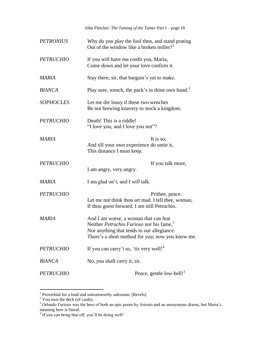John Fletcher: *The Taming of the Tamer* Part I – page 18 *PETRONIUS* Why do you play the fool then, and stand prating Out of the window like a broken miller? 1 *PETRUCHIO* If you will have me credit you, Maria*,*  Come down and let your love confirm it. *MARIA* Stay there, sir, that bargain's yet to make. *BIANCA* Play sure, wench, the pack's in thine own hand.<sup>2</sup> *SOPHOCLES* Let me die lousy if these two wenches Be not brewing knavery to stock a kingdom. *PETRUCHIO* Death! This is a riddle! "I love you, and I love you not"? *MARIA* It is so; And till your own experience do untie it, This distance I must keep. *PETRUCHIO* If you talk more, I am angry, very angry. *MARIA* I am glad on't, and I *will* talk. *PETRUCHIO* Prithee, peace. Let me not think thou art mad. I tell thee, woman, If thou goest forward, I am still Petruchio. *MARIA* And I am worse, a woman that can fear Neither *Petruchio Furioso* nor his fame,<sup>3</sup> Nor anything that tends to our allegiance. There's a short method for you; now you know me. *PETRUCHIO* If you can carry't so, 'tis very well!<sup>4</sup> *BIANCA* No, *you* shall carry it, sir. *PETRUCHIO* Peace, gentle low-bell!<sup>1</sup>

 1 Proverbial for a loud and untrustworthy salesman. [Revels]

 $2$  You own the deck (of cards).

<sup>&</sup>lt;sup>3</sup> Orlando Furioso was the hero of both an epic poem by Ariosto and an anonymous drama, but Maria's meaning here is literal.

<sup>&</sup>lt;sup>4</sup> If you can bring that off, you'll be doing well!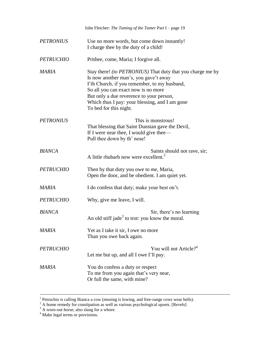|                  | John Fletcher: The Taming of the Tamer Part I - page 19                                                                                                                                                                                                                                                                   |
|------------------|---------------------------------------------------------------------------------------------------------------------------------------------------------------------------------------------------------------------------------------------------------------------------------------------------------------------------|
| <b>PETRONIUS</b> | Use no more words, but come down instantly!<br>I charge thee by the duty of a child!                                                                                                                                                                                                                                      |
| <b>PETRUCHIO</b> | Prithee, come, Maria; I forgive all.                                                                                                                                                                                                                                                                                      |
| <b>MARIA</b>     | Stay there! <i>(to PETRONIUS)</i> That duty that you charge me by<br>Is now another man's, you gave't away<br>I'th Church, if you remember, to my husband,<br>So all you can exact now is no more<br>But only a due reverence to your person,<br>Which thus I pay: your blessing, and I am gone<br>To bed for this night. |
| <b>PETRONIUS</b> | This is monstrous!<br>That blessing that Saint Dunstan gave the Devil,<br>If I were near thee, I would give thee—<br>Pull thee down by th' nose!                                                                                                                                                                          |
| <b>BIANCA</b>    | Saints should not rave, sir;<br>A little rhubarb now were excellent. <sup>2</sup>                                                                                                                                                                                                                                         |
| <b>PETRUCHIO</b> | Then by that duty you owe to me, Maria,<br>Open the door, and be obedient. I am quiet yet.                                                                                                                                                                                                                                |
| <b>MARIA</b>     | I do confess that duty; make your best on't.                                                                                                                                                                                                                                                                              |
| <b>PETRUCHIO</b> | Why, give me leave, I will.                                                                                                                                                                                                                                                                                               |
| <b>BIANCA</b>    | Sir, there's no learning<br>An old stiff jade <sup>3</sup> to trot: you know the moral.                                                                                                                                                                                                                                   |
| MARIA            | Yet as I take it sir, I owe no more<br>Than you owe back again.                                                                                                                                                                                                                                                           |
| <b>PETRUCHIO</b> | You will not Article? <sup>4</sup><br>Let me but up, and all I owe I'll pay.                                                                                                                                                                                                                                              |
| MARIA            | You do confess a duty or respect<br>To me from you again that's very near,<br>Or full the same, with mine?                                                                                                                                                                                                                |

<sup>&</sup>lt;sup>1</sup> Petruchio is calling Bianca a cow (mooing is lowing, and free-range cows wear bells).

 $2^2$  A home remedy for constipation as well as various psychological upsets. [Revels]

 $3$  A worn-out horse; also slang for a whore.

<sup>&</sup>lt;sup>4</sup> Make legal terms or provisions.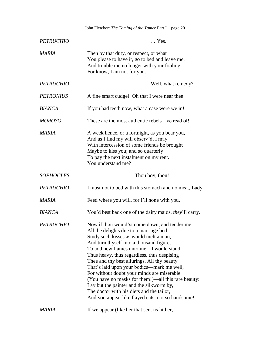|                  | John Fletcher: The Taming of the Tamer Part I - page 20                                                                                                                                                                                                                                                                                                                                                                                                                                                                                                                                                                  |
|------------------|--------------------------------------------------------------------------------------------------------------------------------------------------------------------------------------------------------------------------------------------------------------------------------------------------------------------------------------------------------------------------------------------------------------------------------------------------------------------------------------------------------------------------------------------------------------------------------------------------------------------------|
| <b>PETRUCHIO</b> | Yes.                                                                                                                                                                                                                                                                                                                                                                                                                                                                                                                                                                                                                     |
| <b>MARIA</b>     | Then by that duty, or respect, or what<br>You please to have it, go to bed and leave me,<br>And trouble me no longer with your fooling;<br>For know, I am not for you.                                                                                                                                                                                                                                                                                                                                                                                                                                                   |
| <b>PETRUCHIO</b> | Well, what remedy?                                                                                                                                                                                                                                                                                                                                                                                                                                                                                                                                                                                                       |
| <b>PETRONIUS</b> | A fine smart cudgel! Oh that I were near thee!                                                                                                                                                                                                                                                                                                                                                                                                                                                                                                                                                                           |
| <b>BIANCA</b>    | If you had teeth now, what a case were we in!                                                                                                                                                                                                                                                                                                                                                                                                                                                                                                                                                                            |
| <b>MOROSO</b>    | These are the most authentic rebels I've read of!                                                                                                                                                                                                                                                                                                                                                                                                                                                                                                                                                                        |
| <b>MARIA</b>     | A week hence, or a fortnight, as you bear you,<br>And as I find my will observ'd, I may<br>With intercession of some friends be brought<br>Maybe to kiss you; and so quarterly<br>To pay the next instalment on my rent.<br>You understand me?                                                                                                                                                                                                                                                                                                                                                                           |
| <b>SOPHOCLES</b> | Thou boy, thou!                                                                                                                                                                                                                                                                                                                                                                                                                                                                                                                                                                                                          |
| <b>PETRUCHIO</b> | I must not to bed with this stomach and no meat, Lady.                                                                                                                                                                                                                                                                                                                                                                                                                                                                                                                                                                   |
| MARIA            | Feed where you will, for I'll none with you.                                                                                                                                                                                                                                                                                                                                                                                                                                                                                                                                                                             |
| <b>BIANCA</b>    | You'd best back one of the dairy maids, they'll carry.                                                                                                                                                                                                                                                                                                                                                                                                                                                                                                                                                                   |
| <b>PETRUCHIO</b> | Now if thou would'st come down, and tender me<br>All the delights due to a marriage bed—<br>Study such kisses as would melt a man,<br>And turn thyself into a thousand figures<br>To add new flames unto me—I would stand<br>Thus heavy, thus regardless, thus despising<br>Thee and thy best allurings. All thy beauty<br>That's laid upon your bodies—mark me well,<br>For without doubt your minds are miserable<br>(You have no masks for them!)—all this rare beauty:<br>Lay but the painter and the silkworm by,<br>The doctor with his diets and the tailor,<br>And you appear like flayed cats, not so handsome! |
| MARIA            | If we appear (like her that sent us hither,                                                                                                                                                                                                                                                                                                                                                                                                                                                                                                                                                                              |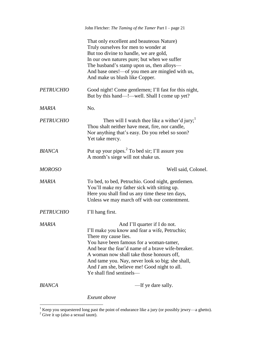|                  | John Fletcher: The Taming of the Tamer Part I – page 21                                                                                                                                                                                                                                                                                                                              |
|------------------|--------------------------------------------------------------------------------------------------------------------------------------------------------------------------------------------------------------------------------------------------------------------------------------------------------------------------------------------------------------------------------------|
|                  | That only excellent and beauteous Nature)<br>Truly ourselves for men to wonder at<br>But too divine to handle, we are gold,<br>In our own natures pure; but when we suffer<br>The husband's stamp upon us, then alloys—<br>And base ones!—of you men are mingled with us,<br>And make us blush like Copper.                                                                          |
| <b>PETRUCHIO</b> | Good night! Come gentlemen; I'll fast for this night,<br>But by this hand—!—well. Shall I come up yet?                                                                                                                                                                                                                                                                               |
| MARIA            | No.                                                                                                                                                                                                                                                                                                                                                                                  |
| <b>PETRUCHIO</b> | Then will I watch thee like a wither'd jury; $\frac{1}{2}$<br>Thou shalt neither have meat, fire, nor candle,<br>Nor anything that's easy. Do you rebel so soon?<br>Yet take mercy.                                                                                                                                                                                                  |
| <b>BIANCA</b>    | Put up your pipes. <sup>2</sup> To bed sir; I'll assure you<br>A month's siege will not shake us.                                                                                                                                                                                                                                                                                    |
| <b>MOROSO</b>    | Well said, Colonel.                                                                                                                                                                                                                                                                                                                                                                  |
| MARIA            | To bed, to bed, Petruchio. Good night, gentlemen.<br>You'll make my father sick with sitting up.<br>Here you shall find us any time these ten days,<br>Unless we may march off with our contentment.                                                                                                                                                                                 |
| <i>PETRUCHIO</i> | I'll hang first.                                                                                                                                                                                                                                                                                                                                                                     |
| <b>MARIA</b>     | And I'll quarter if I do not.<br>I'll make you know and fear a wife, Petruchio;<br>There my cause lies.<br>You have been famous for a woman-tamer,<br>And bear the fear'd name of a brave wife-breaker.<br>A woman now shall take those honours off,<br>And tame you. Nay, never look so big; she shall,<br>And I am she, believe me! Good night to all.<br>Ye shall find sentinels- |
| <b>BIANCA</b>    | -If ye dare sally.                                                                                                                                                                                                                                                                                                                                                                   |
|                  | Exeunt above                                                                                                                                                                                                                                                                                                                                                                         |

<sup>&</sup>lt;sup>1</sup> Keep you sequestered long past the point of endurance like a jury (or possibly jewry—a ghetto).

 $2^2$  Give it up (also a sexual taunt).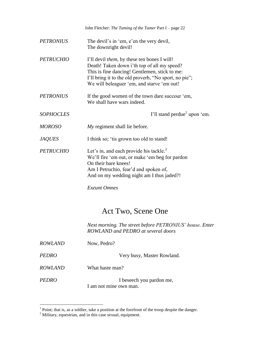|                  | John Fletcher: The Taming of the Tamer Part I - page 22                                                                                                                                                                                                    |
|------------------|------------------------------------------------------------------------------------------------------------------------------------------------------------------------------------------------------------------------------------------------------------|
| <b>PETRONIUS</b> | The devil's in 'em, e'en the very devil,<br>The downright devil!                                                                                                                                                                                           |
| <b>PETRUCHIO</b> | I'll devil <i>them</i> , by these ten bones I will!<br>Death! Taken down i'th top of all my speed?<br>This is fine dancing! Gentlemen, stick to me:<br>I'll bring it to the old proverb, "No sport, no pie";<br>We will beleaguer 'em, and starve 'em out! |
| <b>PETRONIUS</b> | If the good women of the town dare succour 'em,<br>We shall have wars indeed.                                                                                                                                                                              |
| <b>SOPHOCLES</b> | I'll stand perdue <sup>1</sup> upon 'em.                                                                                                                                                                                                                   |
| <b>MOROSO</b>    | My regiment shall lie before.                                                                                                                                                                                                                              |
| <b>JAQUES</b>    | I think so; 'tis grown too old to stand!                                                                                                                                                                                                                   |
| <b>PETRUCHIO</b> | Let's in, and each provide his tackle. $^{2}$<br>We'll fire 'em out, or make 'em beg for pardon<br>On their bare knees!<br>Am I Petruchio, fear'd and spoken of,<br>And on my wedding night am I thus jaded?!<br><b>Exeunt Omnes</b>                       |
|                  |                                                                                                                                                                                                                                                            |

## Act Two, Scene One

*Next morning. The street before PETRONIUS' house. Enter ROWLAND and PEDRO at several doors*

| ROWLAND        | Now, Pedro?                                         |
|----------------|-----------------------------------------------------|
| PEDRO          | Very busy, Master Rowland.                          |
| <i>ROWLAND</i> | What haste man?                                     |
| PEDRO          | I be seech you pardon me,<br>I am not mine own man. |

<sup>&</sup>lt;sup>1</sup> Point; that is, as a soldier, take a position at the forefront of the troop despite the danger.

 $2^2$  Military, equestrian, and in this case sexual, equipment.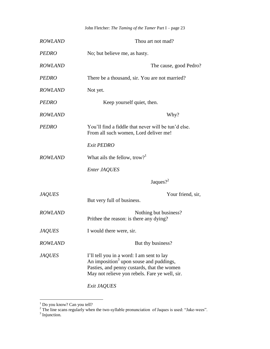| <b>ROWLAND</b> | Thou art not mad?                                                                                                                                                                                 |
|----------------|---------------------------------------------------------------------------------------------------------------------------------------------------------------------------------------------------|
| <b>PEDRO</b>   | No; but believe me, as hasty.                                                                                                                                                                     |
| <b>ROWLAND</b> | The cause, good Pedro?                                                                                                                                                                            |
| <b>PEDRO</b>   | There be a thousand, sir. You are not married?                                                                                                                                                    |
| <b>ROWLAND</b> | Not yet.                                                                                                                                                                                          |
| <b>PEDRO</b>   | Keep yourself quiet, then.                                                                                                                                                                        |
| <b>ROWLAND</b> | Why?                                                                                                                                                                                              |
| <b>PEDRO</b>   | You'll find a fiddle that never will be tun'd else.<br>From all such women, Lord deliver me!                                                                                                      |
|                | Exit PEDRO                                                                                                                                                                                        |
| <b>ROWLAND</b> | What ails the fellow, trow? <sup>1</sup>                                                                                                                                                          |
|                | Enter JAQUES                                                                                                                                                                                      |
|                | Jaques? <sup>2</sup>                                                                                                                                                                              |
| <b>JAQUES</b>  | Your friend, sir,<br>But very full of business.                                                                                                                                                   |
| <b>ROWLAND</b> | Nothing but business?<br>Prithee the reason: is there any dying?                                                                                                                                  |
| <b>JAQUES</b>  | I would there were, sir.                                                                                                                                                                          |
| <b>ROWLAND</b> | But thy business?                                                                                                                                                                                 |
| <b>JAQUES</b>  | I'll tell you in a word: I am sent to lay<br>An imposition <sup>3</sup> upon souse and puddings,<br>Pasties, and penny custards, that the women<br>May not relieve yon rebels. Fare ye well, sir. |
|                |                                                                                                                                                                                                   |

*Exit JAQUES*

<sup>&</sup>lt;sup>1</sup> Do you know? Can you tell?

<sup>&</sup>lt;sup>2</sup> The line scans regularly when the two-syllable pronunciation of Jaques is used: "Jake-wees".<br><sup>3</sup> Injunction.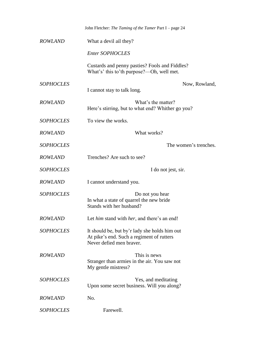|                  | John Fletcher: The Taming of the Tamer Part I - page 24                                                                |
|------------------|------------------------------------------------------------------------------------------------------------------------|
| <b>ROWLAND</b>   | What a devil ail they?                                                                                                 |
|                  | <b>Enter SOPHOCLES</b>                                                                                                 |
|                  | Custards and penny pasties? Fools and Fiddles?<br>What's' this to'th purpose?—Oh, well met.                            |
| <b>SOPHOCLES</b> | Now, Rowland,                                                                                                          |
|                  | I cannot stay to talk long.                                                                                            |
| <b>ROWLAND</b>   | What's the matter?<br>Here's stirring, but to what end? Whither go you?                                                |
| <b>SOPHOCLES</b> | To view the works.                                                                                                     |
| <b>ROWLAND</b>   | What works?                                                                                                            |
| <b>SOPHOCLES</b> | The women's trenches.                                                                                                  |
| <b>ROWLAND</b>   | Trenches? Are such to see?                                                                                             |
| <b>SOPHOCLES</b> | I do not jest, sir.                                                                                                    |
| <b>ROWLAND</b>   | I cannot understand you.                                                                                               |
| <b>SOPHOCLES</b> | Do not you hear<br>In what a state of quarrel the new bride<br>Stands with her husband?                                |
| <b>ROWLAND</b>   | Let him stand with her, and there's an end!                                                                            |
| <b>SOPHOCLES</b> | It should be, but by'r lady she holds him out<br>At pike's end. Such a regiment of rutters<br>Never defied men braver. |
| <b>ROWLAND</b>   | This is news<br>Stranger than armies in the air. You saw not<br>My gentle mistress?                                    |
| <b>SOPHOCLES</b> | Yes, and meditating<br>Upon some secret business. Will you along?                                                      |
| <b>ROWLAND</b>   | No.                                                                                                                    |
| <b>SOPHOCLES</b> | Farewell.                                                                                                              |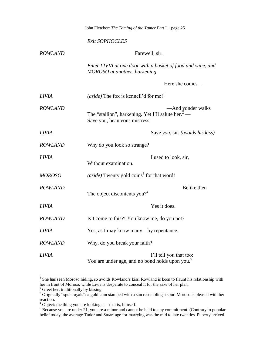|                | John Fletcher: The Taming of the Tamer Part I - page 25                                                              |
|----------------|----------------------------------------------------------------------------------------------------------------------|
|                | <b>Exit SOPHOCLES</b>                                                                                                |
| <b>ROWLAND</b> | Farewell, sir.                                                                                                       |
|                | Enter LIVIA at one door with a basket of food and wine, and<br>MOROSO at another, harkening                          |
|                | Here she comes-                                                                                                      |
| <b>LIVIA</b>   | (aside) The fox is kennell'd for me! <sup>1</sup>                                                                    |
| <b>ROWLAND</b> | -And yonder walks<br>The "stallion", harkening. Yet I'll salute her. <sup>2</sup> -<br>Save you, beauteous mistress! |
| <b>LIVIA</b>   | Save you, sir. (avoids his kiss)                                                                                     |
| <b>ROWLAND</b> | Why do you look so strange?                                                                                          |
| <b>LIVIA</b>   | I used to look, sir,<br>Without examination.                                                                         |
| <b>MOROSO</b>  | (aside) Twenty gold coins <sup>3</sup> for that word!                                                                |
| <b>ROWLAND</b> | Belike then<br>The object discontents you? <sup>4</sup>                                                              |
| <b>LIVIA</b>   | Yes it does.                                                                                                         |
| <b>ROWLAND</b> | Is't come to this?! You know me, do you not?                                                                         |
| <b>LIVIA</b>   | Yes, as I may know many—by repentance.                                                                               |
| <b>ROWLAND</b> | Why, do you break your faith?                                                                                        |
| <b>LIVIA</b>   | I'll tell you that too:<br>You are under age, and no bond holds upon you. <sup>5</sup>                               |

<sup>&</sup>lt;sup>1</sup> She has seen Moroso hiding, so avoids Rowland's kiss. Rowland is keen to flaunt his relationship with her in front of Moroso, while Livia is desperate to conceal it for the sake of her plan.

 $2^2$  Greet her, traditionally by kissing.

 $3$  Originally "spur-royals": a gold coin stamped with a sun resembling a spur. Moroso is pleased with her reaction.

 $4$  Object: the thing you are looking at—that is, himself.

 $<sup>5</sup>$  Because you are under 21, you are a minor and cannot be held to any commitment. (Contrary to popular</sup> belief today, the average Tudor and Stuart age for marrying was the mid to late twenties. Puberty arrived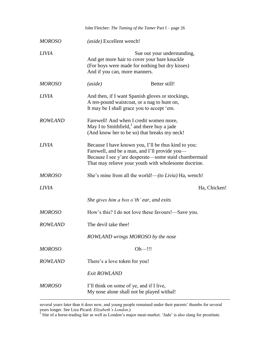|                | John Fletcher: The Taming of the Tamer Part I - page 26                                                                                                                                                              |
|----------------|----------------------------------------------------------------------------------------------------------------------------------------------------------------------------------------------------------------------|
| <i>MOROSO</i>  | (aside) Excellent wench!                                                                                                                                                                                             |
| LIVIA          | Sue out your understanding,<br>And get more hair to cover your bare knuckle<br>(For boys were made for nothing but dry kisses)<br>And if you can, more manners.                                                      |
| <i>MOROSO</i>  | Better still!<br>(aside)                                                                                                                                                                                             |
| LIVIA          | And then, if I want Spanish gloves or stockings,<br>A ten-pound waistcoat, or a nag to hunt on,<br>It may be I shall grace you to accept 'em.                                                                        |
| <b>ROWLAND</b> | Farewell! And when I credit women more,<br>May I to Smithfield, $1$ and there buy a jade<br>(And know her to be so) that breaks my neck!                                                                             |
| LIVIA          | Because I have known you, I'll be thus kind to you:<br>Farewell, and be a man, and I'll provide you—<br>Because I see y'are desperate—some staid chambermaid<br>That may relieve your youth with wholesome doctrine. |
| <i>MOROSO</i>  | She's mine from all the world!—(to Livia) Ha, wench!                                                                                                                                                                 |
| LIVIA          | Ha, Chicken!                                                                                                                                                                                                         |
|                | She gives him a box o'th' ear, and exits                                                                                                                                                                             |
| <i>MOROSO</i>  | How's this? I do not love these favours!—Save you.                                                                                                                                                                   |
| <b>ROWLAND</b> | The devil take thee!                                                                                                                                                                                                 |
|                | ROWLAND wrings MOROSO by the nose                                                                                                                                                                                    |
| MOROSO         | Oh—!!!                                                                                                                                                                                                               |
| <b>ROWLAND</b> | There's a love token for you!                                                                                                                                                                                        |
|                | Exit ROWLAND                                                                                                                                                                                                         |
| MOROSO         | I'll think on some of ye, and if I live,<br>My nose alone shall not be played withal!                                                                                                                                |

several years later than it does now, and young people remained under their parents' thumbs for several years longer. See Liza Picard: *Elizabeth's London*.) 1 Site of a horse-trading fair as well as London's major meat-market. 'Jade' is also slang for prostitute.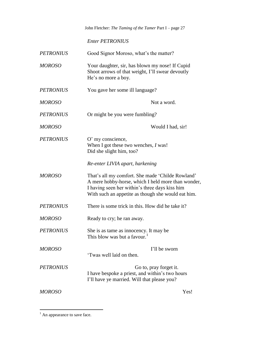*Enter PETRONIUS*

| <b>PETRONIUS</b> | Good Signor Moroso, what's the matter?                                                                                                                                                                         |
|------------------|----------------------------------------------------------------------------------------------------------------------------------------------------------------------------------------------------------------|
| <b>MOROSO</b>    | Your daughter, sir, has blown my nose! If Cupid<br>Shoot arrows of that weight, I'll swear devoutly<br>He's no more a boy.                                                                                     |
| <b>PETRONIUS</b> | You gave her some ill language?                                                                                                                                                                                |
| <b>MOROSO</b>    | Not a word.                                                                                                                                                                                                    |
| <b>PETRONIUS</b> | Or might be you were fumbling?                                                                                                                                                                                 |
| <b>MOROSO</b>    | Would I had, sir!                                                                                                                                                                                              |
| <b>PETRONIUS</b> | O' my conscience,<br>When I got these two wenches, $I$ was!<br>Did she slight him, too?                                                                                                                        |
|                  | Re-enter LIVIA apart, harkening                                                                                                                                                                                |
| <b>MOROSO</b>    | That's all my comfort. She made 'Childe Rowland'<br>A mere hobby-horse, which I held more than wonder,<br>I having seen her within's three days kiss him<br>With such an appetite as though she would eat him. |
| <b>PETRONIUS</b> | There is some trick in this. How did he take it?                                                                                                                                                               |
| <b>MOROSO</b>    | Ready to cry; he ran away.                                                                                                                                                                                     |
| <b>PETRONIUS</b> | She is as tame as innocency. It may be<br>This blow was but a favour. <sup>1</sup>                                                                                                                             |
| <b>MOROSO</b>    | I'll be sworn<br>'Twas well laid on then.                                                                                                                                                                      |
| <b>PETRONIUS</b> | Go to, pray forget it.<br>I have bespoke a priest, and within's two hours<br>I'll have ye married. Will that please you?                                                                                       |
| <b>MOROSO</b>    | Yes!                                                                                                                                                                                                           |

 $<sup>1</sup>$  An appearance to save face.</sup>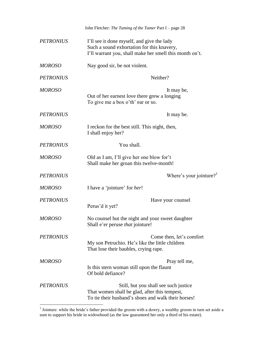|                  | John Fletcher: The Taming of the Tamer Part I - page 28                                                                                             |
|------------------|-----------------------------------------------------------------------------------------------------------------------------------------------------|
| <b>PETRONIUS</b> | I'll see it done myself, and give the lady<br>Such a sound exhortation for this knavery,<br>I'll warrant you, shall make her smell this month on't. |
| <b>MOROSO</b>    | Nay good sir, be not violent.                                                                                                                       |
| <b>PETRONIUS</b> | Neither?                                                                                                                                            |
| <b>MOROSO</b>    | It may be,<br>Out of her earnest love there grew a longing<br>To give me a box o'th' ear or so.                                                     |
| <b>PETRONIUS</b> | It may be.                                                                                                                                          |
| <b>MOROSO</b>    | I reckon for the best still. This night, then,<br>I shall enjoy her?                                                                                |
| <b>PETRONIUS</b> | You shall.                                                                                                                                          |
| <b>MOROSO</b>    | Old as I am, I'll give her one blow for't<br>Shall make her groan this twelve-month!                                                                |
| <b>PETRONIUS</b> | Where's your jointure?                                                                                                                              |
| <b>MOROSO</b>    | I have a 'jointure' for <i>her</i> !                                                                                                                |
| <b>PETRONIUS</b> | Have your counsel<br>Perus'd it yet?                                                                                                                |
| <b>MOROSO</b>    | No counsel but the night and your sweet daughter<br>Shall e'er peruse that jointure!                                                                |
| <b>PETRONIUS</b> | Come then, let's comfort<br>My son Petruchio. He's like the little children<br>That lose their baubles, crying rape.                                |
| <b>MOROSO</b>    | Pray tell me,<br>Is this stern woman still upon the flaunt<br>Of bold defiance?                                                                     |
| <b>PETRONIUS</b> | Still, but you shall see such justice<br>That women shall be glad, after this tempest,<br>To tie their husband's shoes and walk their horses!       |

 1 Jointure: while the bride's father provided the groom with a dowry, a wealthy groom in turn set aside a sum to support his bride in widowhood (as the law guaranteed her only a third of his estate).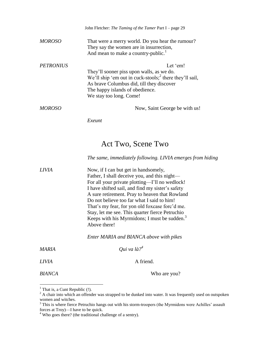|                  | John Fletcher: The Taming of the Tamer Part I – page 29                                                                                                                                                                         |
|------------------|---------------------------------------------------------------------------------------------------------------------------------------------------------------------------------------------------------------------------------|
| MOROSO           | That were a merry world. Do you hear the rumour?<br>They say the women are in insurrection,<br>And mean to make a country-public. <sup>1</sup>                                                                                  |
| <b>PETRONIUS</b> | Let 'em!<br>They'll sooner piss upon walls, as we do.<br>We'll ship 'em out in cuck-stools; $^2$ there they'll sail,<br>As brave Columbus did, till they discover<br>The happy islands of obedience.<br>We stay too long. Come! |
| MOROSO           | Now, Saint George be with us!                                                                                                                                                                                                   |
|                  | Exeunt                                                                                                                                                                                                                          |

## Act Two, Scene Two

*The same, immediately following. LIVIA emerges from hiding*

| <b>LIVIA</b> | Now, if I can but get in handsomely,                     |
|--------------|----------------------------------------------------------|
|              | Father, I shall deceive you, and this night—             |
|              | For all your private plotting—I'll no wedlock!           |
|              | I have shifted sail, and find my sister's safety         |
|              | A sure retirement. Pray to heaven that Rowland           |
|              | Do not believe too far what I said to him!               |
|              | That's my fear, for yon old foxcase forc'd me.           |
|              | Stay, let me see. This quarter fierce Petruchio          |
|              | Keeps with his Myrmidons; I must be sudden. <sup>3</sup> |
|              | Above there!                                             |
|              |                                                          |

*Enter MARIA and BIANCA above with pikes*

| MARIA         | Qui va là? <sup>4</sup> |
|---------------|-------------------------|
| <i>LIVIA</i>  | A friend.               |
| <b>BIANCA</b> | Who are you?            |

 $<sup>1</sup>$  That is, a Cunt Republic (!).</sup>

 $2^2$  A chair into which an offender was strapped to be dunked into water. It was frequently used on outspoken women and witches.

 $3$  This is where fierce Petruchio hangs out with his storm-troopers (the Myrmidons were Achilles' assault forces at Troy)—I have to be quick.

 $4$  Who goes there? (the traditional challenge of a sentry).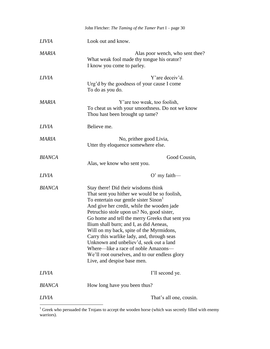|               | John Fletcher: The Taming of the Tamer Part I - page 30                                                                                                                                                                                                                                                                                                                                                                                                                                                                                                                           |  |
|---------------|-----------------------------------------------------------------------------------------------------------------------------------------------------------------------------------------------------------------------------------------------------------------------------------------------------------------------------------------------------------------------------------------------------------------------------------------------------------------------------------------------------------------------------------------------------------------------------------|--|
| <b>LIVIA</b>  | Look out and know.                                                                                                                                                                                                                                                                                                                                                                                                                                                                                                                                                                |  |
| <b>MARIA</b>  | Alas poor wench, who sent thee?<br>What weak fool made thy tongue his orator?<br>I know you come to parley.                                                                                                                                                                                                                                                                                                                                                                                                                                                                       |  |
| <b>LIVIA</b>  | Y'are deceiv'd.<br>Urg'd by the goodness of your cause I come<br>To do as you do.                                                                                                                                                                                                                                                                                                                                                                                                                                                                                                 |  |
| <b>MARIA</b>  | Y' are too weak, too foolish,<br>To cheat us with your smoothness. Do not we know<br>Thou hast been brought up tame?                                                                                                                                                                                                                                                                                                                                                                                                                                                              |  |
| <b>LIVIA</b>  | Believe me.                                                                                                                                                                                                                                                                                                                                                                                                                                                                                                                                                                       |  |
| <b>MARIA</b>  | No, prithee good Livia,<br>Utter thy eloquence somewhere else.                                                                                                                                                                                                                                                                                                                                                                                                                                                                                                                    |  |
| <b>BIANCA</b> | Good Cousin,<br>Alas, we know who sent you.                                                                                                                                                                                                                                                                                                                                                                                                                                                                                                                                       |  |
| <b>LIVIA</b>  | $O'$ my faith—                                                                                                                                                                                                                                                                                                                                                                                                                                                                                                                                                                    |  |
| <b>BIANCA</b> | Stay there! Did their wisdoms think<br>That sent you hither we would be so foolish,<br>To entertain our gentle sister Sinon<br>And give her credit, while the wooden jade<br>Petruchio stole upon us? No, good sister,<br>Go home and tell the merry Greeks that sent you<br>Ilium shall burn; and I, as did Aeneas,<br>Will on my back, spite of the Myrmidons,<br>Carry this warlike lady, and, through seas<br>Unknown and unbeliev'd, seek out a land<br>Where—like a race of noble Amazons—<br>We'll root ourselves, and to our endless glory<br>Live, and despise base men. |  |
| <b>LIVIA</b>  | I'll second ye.                                                                                                                                                                                                                                                                                                                                                                                                                                                                                                                                                                   |  |
| <b>BIANCA</b> | How long have you been thus?                                                                                                                                                                                                                                                                                                                                                                                                                                                                                                                                                      |  |
| <b>LIVIA</b>  | That's all one, cousin.                                                                                                                                                                                                                                                                                                                                                                                                                                                                                                                                                           |  |
|               |                                                                                                                                                                                                                                                                                                                                                                                                                                                                                                                                                                                   |  |

 $1$  Greek who persuaded the Trojans to accept the wooden horse (which was secretly filled with enemy warriors).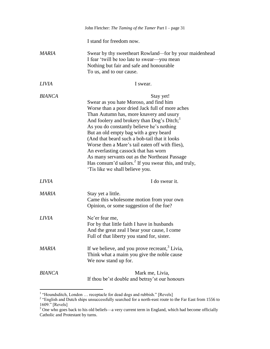|               | John Fletcher: The Taming of the Tamer Part I - page 31                                                                                                                                                                                                                                                                                                                                                                                                                                                                                                                                               |
|---------------|-------------------------------------------------------------------------------------------------------------------------------------------------------------------------------------------------------------------------------------------------------------------------------------------------------------------------------------------------------------------------------------------------------------------------------------------------------------------------------------------------------------------------------------------------------------------------------------------------------|
|               | I stand for freedom now.                                                                                                                                                                                                                                                                                                                                                                                                                                                                                                                                                                              |
| <b>MARIA</b>  | Swear by thy sweetheart Rowland—for by your maidenhead<br>I fear 'twill be too late to swear—you mean<br>Nothing but fair and safe and honourable<br>To us, and to our cause.                                                                                                                                                                                                                                                                                                                                                                                                                         |
| <b>LIVIA</b>  | I swear.                                                                                                                                                                                                                                                                                                                                                                                                                                                                                                                                                                                              |
| <b>BIANCA</b> | Stay yet!<br>Swear as you hate Moroso, and find him<br>Worse than a poor dried Jack full of more aches<br>Than Autumn has, more knavery and usury<br>And foolery and brokery than Dog's Ditch; <sup>1</sup><br>As you do constantly believe he's nothing<br>But an old empty bag with a grey beard<br>(And that beard such a bob-tail that it looks<br>Worse then a Mare's tail eaten off with flies),<br>An everlasting cassock that has worn<br>As many servants out as the Northeast Passage<br>Has consum'd sailors. <sup>2</sup> If you swear this, and truly,<br>Tis like we shall believe you. |
| <i>LIVIA</i>  | I do swear it.                                                                                                                                                                                                                                                                                                                                                                                                                                                                                                                                                                                        |
| MARIA         | Stay yet a little.<br>Came this wholesome motion from your own<br>Opinion, or some suggestion of the foe?                                                                                                                                                                                                                                                                                                                                                                                                                                                                                             |
| <i>LIVIA</i>  | Ne'er fear me,<br>For by that little faith I have in husbands<br>And the great zeal I bear your cause, I come<br>Full of that liberty you stand for, sister.                                                                                                                                                                                                                                                                                                                                                                                                                                          |
| MARIA         | If we believe, and you prove recreant, <sup>3</sup> Livia,<br>Think what a maim you give the noble cause<br>We now stand up for.                                                                                                                                                                                                                                                                                                                                                                                                                                                                      |
| <b>BIANCA</b> | Mark me, Livia,<br>If thou be'st double and betray's tour honours                                                                                                                                                                                                                                                                                                                                                                                                                                                                                                                                     |

<sup>&</sup>lt;sup>1</sup> "Houndsditch, London ... receptacle for dead dogs and rubbish." [Revels]<br><sup>2</sup> "English and Dutch ships unsuccessfully searched for a north-east route to the Far East from 1556 to 1609." [Revels]

 $3$  One who goes back to his old beliefs—a very current term in England, which had become officially Catholic and Protestant by turns.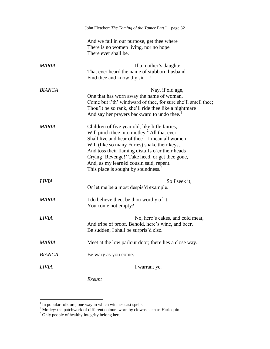|               | John Fletcher: The Taming of the Tamer Part I - page 32                                                                                                                                                                                                                                                                                                                                            |
|---------------|----------------------------------------------------------------------------------------------------------------------------------------------------------------------------------------------------------------------------------------------------------------------------------------------------------------------------------------------------------------------------------------------------|
|               | And we fail in our purpose, get thee where<br>There is no women living, nor no hope<br>There ever shall be.                                                                                                                                                                                                                                                                                        |
| <b>MARIA</b>  | If a mother's daughter<br>That ever heard the name of stubborn husband<br>Find thee and know thy sin-!                                                                                                                                                                                                                                                                                             |
| <b>BIANCA</b> | Nay, if old age,<br>One that has worn away the name of woman,<br>Come but i'th' windward of thee, for sure she'll smell thee;<br>Thou'lt be so rank, she'll ride thee like a nightmare<br>And say her prayers backward to undo thee. <sup>1</sup>                                                                                                                                                  |
| <b>MARIA</b>  | Children of five year old, like little fairies,<br>Will pinch thee into motley. <sup>2</sup> All that ever<br>Shall live and hear of thee—I mean all women—<br>Will (like so many Furies) shake their keys,<br>And toss their flaming distaffs o'er their heads<br>Crying 'Revenge!' Take heed, or get thee gone,<br>And, as my learned cousin said, repent.<br>This place is sought by soundness. |
| <i>LIVIA</i>  | So I seek it,<br>Or let me be a most despis'd example.                                                                                                                                                                                                                                                                                                                                             |
| MARIA         | I do believe thee; be thou worthy of it.<br>You come not empty?                                                                                                                                                                                                                                                                                                                                    |
| <i>LIVIA</i>  | No, here's cakes, and cold meat,<br>And tripe of proof. Behold, here's wine, and beer.<br>Be sudden, I shall be surpris'd else.                                                                                                                                                                                                                                                                    |
| MARIA         | Meet at the low parlour door; there lies a close way.                                                                                                                                                                                                                                                                                                                                              |
| <b>BIANCA</b> | Be wary as you come.                                                                                                                                                                                                                                                                                                                                                                               |
| <i>LIVIA</i>  | I warrant ye.                                                                                                                                                                                                                                                                                                                                                                                      |

*Exeunt*

 1 In popular folklore, one way in which witches cast spells.

 $2^2$  Motley: the patchwork of different colours worn by clowns such as Harlequin.

 $3$  Only people of healthy integrity belong here.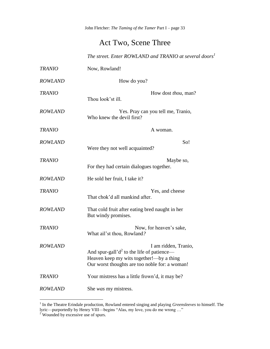## Act Two, Scene Three

*The street. Enter ROWLAND and TRANIO at several doors<sup>1</sup>*

| <b>TRANIO</b>  | Now, Rowland!                                                                                                                                                         |
|----------------|-----------------------------------------------------------------------------------------------------------------------------------------------------------------------|
| <b>ROWLAND</b> | How do you?                                                                                                                                                           |
| <b>TRANIO</b>  | How dost <i>thou</i> , man?<br>Thou look'st ill.                                                                                                                      |
| <b>ROWLAND</b> | Yes. Pray can you tell me, Tranio,<br>Who knew the devil first?                                                                                                       |
| <b>TRANIO</b>  | A woman.                                                                                                                                                              |
| <b>ROWLAND</b> | So!<br>Were they not well acquainted?                                                                                                                                 |
| <b>TRANIO</b>  | Maybe so,<br>For they had certain dialogues together.                                                                                                                 |
| <b>ROWLAND</b> | He sold her fruit, I take it?                                                                                                                                         |
| <b>TRANIO</b>  | Yes, and cheese<br>That chok'd all mankind after.                                                                                                                     |
| <b>ROWLAND</b> | That cold fruit after eating bred naught in her<br>But windy promises.                                                                                                |
| <b>TRANIO</b>  | Now, for heaven's sake,<br>What ail'st thou, Rowland?                                                                                                                 |
| <b>ROWLAND</b> | I am ridden, Tranio,<br>And spur-gall' $d^2$ to the life of patience—<br>Heaven keep my wits together!-- by a thing<br>Our worst thoughts are too noble for: a woman! |
| <b>TRANIO</b>  | Your mistress has a little frown'd, it may be?                                                                                                                        |
| <b>ROWLAND</b> | She was my mistress.                                                                                                                                                  |

 1 In the Theatre Erindale production, Rowland entered singing and playing *Greensleeves* to himself. The lyric—purportedly by Henry VIII—begins "Alas, my love, you do me wrong …"

<sup>&</sup>lt;sup>2</sup> Wounded by excessive use of spurs.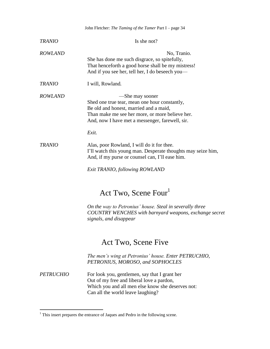| John Fletcher: The Taming of the Tamer Part I - page 34 |                                                                                                                                                                                                                           |  |
|---------------------------------------------------------|---------------------------------------------------------------------------------------------------------------------------------------------------------------------------------------------------------------------------|--|
| <b>TRANIO</b>                                           | Is she not?                                                                                                                                                                                                               |  |
| <b>ROWLAND</b>                                          | No, Tranio.<br>She has done me such disgrace, so spitefully,<br>That henceforth a good horse shall be my mistress!<br>And if you see her, tell her, I do beseech you—                                                     |  |
| <b>TRANIO</b>                                           | I will, Rowland.                                                                                                                                                                                                          |  |
| <i>ROWLAND</i>                                          | —She may sooner<br>Shed one true tear, mean one hour constantly,<br>Be old and honest, married and a maid,<br>Than make me see her more, or more believe her.<br>And, now I have met a messenger, farewell, sir.<br>Exit. |  |
| <b>TRANIO</b>                                           | Alas, poor Rowland, I will do it for thee.<br>I'll watch this young man. Desperate thoughts may seize him,<br>And, if my purse or counsel can, I'll ease him.                                                             |  |

*Exit TRANIO, following ROWLAND*

## Act Two, Scene Four<sup>1</sup>

*On the way to Petronius' house. Steal in severally three COUNTRY WENCHES with barnyard weapons, exchange secret signals, and disappear*

## Act Two, Scene Five

*The men's wing at Petronius' house. Enter PETRUCHIO, PETRONIUS, MOROSO, and SOPHOCLES*

*PETRUCHIO* For look you, gentlemen, say that I grant her Out of my free and liberal love a pardon, Which you and all men else know she deserves not: Can all the world leave laughing?

<sup>&</sup>lt;sup>1</sup> This insert prepares the entrance of Jaques and Pedro in the following scene.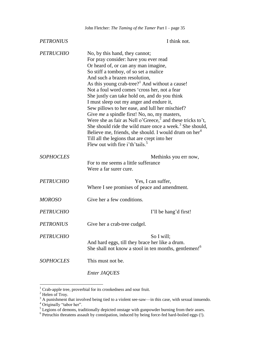| <b>PETRONIUS</b> | I think not.                                                                                                                                                                                                                                                                                                                                                                                                                                                                                                                                                                                                                                                                                                                                                                                                                 |
|------------------|------------------------------------------------------------------------------------------------------------------------------------------------------------------------------------------------------------------------------------------------------------------------------------------------------------------------------------------------------------------------------------------------------------------------------------------------------------------------------------------------------------------------------------------------------------------------------------------------------------------------------------------------------------------------------------------------------------------------------------------------------------------------------------------------------------------------------|
| <b>PETRUCHIO</b> | No, by this hand, they cannot;<br>For pray consider: have you ever read<br>Or heard of, or can any man imagine,<br>So stiff a tomboy, of so set a malice<br>And such a brazen resolution,<br>As this young crab-tree? <sup>1</sup> And without a cause!<br>Not a foul word comes 'cross her, not a fear<br>She justly can take hold on, and do you think<br>I must sleep out my anger and endure it,<br>Sew pillows to her ease, and lull her mischief?<br>Give me a spindle first! No, no, my masters,<br>Were she as fair as Nell o'Greece, <sup>2</sup> and these tricks to't,<br>She should ride the wild mare once a week. <sup>3</sup> She should,<br>Believe me, friends, she should. I would drum on her <sup>4</sup><br>Till all the legions that are crept into her<br>Flew out with fire i'th'tails. <sup>5</sup> |
| <b>SOPHOCLES</b> | Methinks you err now,<br>For to me seems a little sufferance<br>Were a far surer cure.                                                                                                                                                                                                                                                                                                                                                                                                                                                                                                                                                                                                                                                                                                                                       |
| <b>PETRUCHIO</b> | Yes, I can suffer,<br>Where I see promises of peace and amendment.                                                                                                                                                                                                                                                                                                                                                                                                                                                                                                                                                                                                                                                                                                                                                           |
| <b>MOROSO</b>    | Give her a few conditions.                                                                                                                                                                                                                                                                                                                                                                                                                                                                                                                                                                                                                                                                                                                                                                                                   |
| <b>PETRUCHIO</b> | I'll be hang'd first!                                                                                                                                                                                                                                                                                                                                                                                                                                                                                                                                                                                                                                                                                                                                                                                                        |
| <b>PETRONIUS</b> | Give her a crab-tree cudgel.                                                                                                                                                                                                                                                                                                                                                                                                                                                                                                                                                                                                                                                                                                                                                                                                 |
| <b>PETRUCHIO</b> | So I will;<br>And hard eggs, till they brace her like a drum.<br>She shall not know a stool in ten months, gentlemen! <sup>6</sup>                                                                                                                                                                                                                                                                                                                                                                                                                                                                                                                                                                                                                                                                                           |
| <b>SOPHOCLES</b> | This must not be.                                                                                                                                                                                                                                                                                                                                                                                                                                                                                                                                                                                                                                                                                                                                                                                                            |
|                  | Enter JAQUES                                                                                                                                                                                                                                                                                                                                                                                                                                                                                                                                                                                                                                                                                                                                                                                                                 |

 $1$  Crab-apple tree, proverbial for its crookedness and sour fruit.

 $2$  Helen of Troy.

 $3$  A punishment that involved being tied to a violent see-saw—in this case, with sexual innuendo.

<sup>&</sup>lt;sup>4</sup> Originally "tabor her".

<sup>&</sup>lt;sup>5</sup> Legions of demons, traditionally depicted onstage with gunpowder burning from their asses.<br><sup>6</sup> Petruchio threatens assault by constipation, induced by being force-fed hard-boiled eggs (!).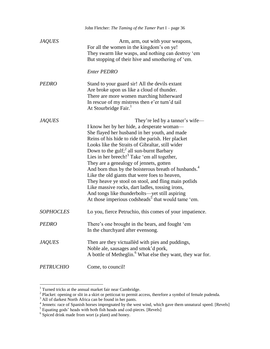|                  | John Fletcher: The Taming of the Tamer Part I - page 36                                                                                                                                                                                                                                                                                                                                                                                                                                                                                                                                                                                                                                                                                                   |
|------------------|-----------------------------------------------------------------------------------------------------------------------------------------------------------------------------------------------------------------------------------------------------------------------------------------------------------------------------------------------------------------------------------------------------------------------------------------------------------------------------------------------------------------------------------------------------------------------------------------------------------------------------------------------------------------------------------------------------------------------------------------------------------|
| <b>JAQUES</b>    | Arm, arm, out with your weapons,<br>For all the women in the kingdom's on ye!<br>They swarm like wasps, and nothing can destroy 'em<br>But stopping of their hive and smothering of 'em.<br><b>Enter PEDRO</b>                                                                                                                                                                                                                                                                                                                                                                                                                                                                                                                                            |
|                  |                                                                                                                                                                                                                                                                                                                                                                                                                                                                                                                                                                                                                                                                                                                                                           |
| <b>PEDRO</b>     | Stand to your guard sir! All the devils extant<br>Are broke upon us like a cloud of thunder.<br>There are more women marching hitherward<br>In rescue of my mistress then e'er turn'd tail<br>At Stourbridge Fair. <sup>1</sup>                                                                                                                                                                                                                                                                                                                                                                                                                                                                                                                           |
| <b>JAQUES</b>    | They're led by a tanner's wife-<br>I know her by her hide, a desperate woman—<br>She flayed her husband in her youth, and made<br>Reins of his hide to ride the parish. Her placket<br>Looks like the Straits of Gibraltar, still wider<br>Down to the gulf; <sup>2</sup> all sun-burnt Barbary<br>Lies in her breech! <sup>3</sup> Take 'em all together,<br>They are a genealogy of jennets, gotten<br>And born thus by the boisterous breath of husbands. <sup>4</sup><br>Like the old giants that were foes to heaven,<br>They heave ye stool on stool, and fling main potlids<br>Like massive rocks, dart ladles, tossing irons,<br>And tongs like thunderbolts-yet still aspiring<br>At those imperious codsheads <sup>5</sup> that would tame 'em. |
| <b>SOPHOCLES</b> | Lo you, fierce Petruchio, this comes of your impatience.                                                                                                                                                                                                                                                                                                                                                                                                                                                                                                                                                                                                                                                                                                  |
| <b>PEDRO</b>     | There's one brought in the bears, and fought 'em<br>In the churchyard after evensong.                                                                                                                                                                                                                                                                                                                                                                                                                                                                                                                                                                                                                                                                     |
| <b>JAQUES</b>    | Then are they victualled with pies and puddings,<br>Noble ale, sausages and smok'd pork,<br>A bottle of Metheglin. <sup>6</sup> What else they want, they war for.                                                                                                                                                                                                                                                                                                                                                                                                                                                                                                                                                                                        |
| <b>PETRUCHIO</b> | Come, to council!                                                                                                                                                                                                                                                                                                                                                                                                                                                                                                                                                                                                                                                                                                                                         |

<sup>&</sup>lt;sup>1</sup> Turned tricks at the annual market fair near Cambridge.<br><sup>2</sup> Placket: opening or slit in a skirt or petticoat to permit access, therefore a symbol of female pudenda.

 $3 \text{ All of darkest North Africa can be found in her pants.}$ <br>  $4 \text{ Jennets: race of Spanish horses impressed by the west wind, which gave them unnatural speed. [Revels]$ 

 $<sup>5</sup>$  Equating gods' heads with both fish heads and cod-pieces. [Revels]  $<sup>6</sup>$  Spiced drink made from wort (a plant) and honey.</sup></sup>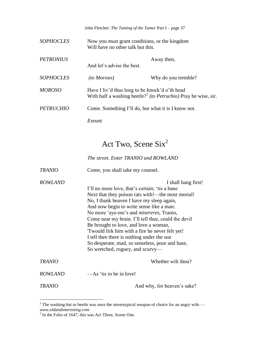John Fletcher: *The Taming of the Tamer* Part I – page 37

| <i>SOPHOCLES</i> | Will have no other talk but this. | Now you <i>must</i> grant conditions, or the kingdom                                                                         |
|------------------|-----------------------------------|------------------------------------------------------------------------------------------------------------------------------|
| <b>PETRONIUS</b> | And let's advise the best.        | Away then,                                                                                                                   |
| <b>SOPHOCLES</b> | <i>(to Moroso)</i>                | Why do you tremble?                                                                                                          |
| <i>MOROSO</i>    |                                   | Have I liv'd thus long to be knock'd o'th head<br>With half a washing beetle? <sup>1</sup> (to Petruchio) Pray be wise, sir. |
| <b>PETRUCHIO</b> |                                   | Come. Something I'll do, but what it is I know not.                                                                          |
|                  | Exeunt                            |                                                                                                                              |

# Act Two, Scene Six<sup>2</sup>

*The street. Enter TRANIO and ROWLAND* 

| <b>TRANIO</b>  | Come, you shall take my counsel.                                                                                                                                                                                                                                                                                                                                                                                                                                                                                                                               |
|----------------|----------------------------------------------------------------------------------------------------------------------------------------------------------------------------------------------------------------------------------------------------------------------------------------------------------------------------------------------------------------------------------------------------------------------------------------------------------------------------------------------------------------------------------------------------------------|
| <b>ROWLAND</b> | I shall hang first!<br>I'll no more love, that's certain; 'tis a bane<br>Next that they poison rats with!—the most mortal!<br>No, I thank heaven I have my sleep again,<br>And now begin to write sense like a man:<br>No more 'aye-me's and <i>misereres</i> , Tranio,<br>Come near my brain. I'll tell thee, could the devil<br>Be brought to love, and love a woman,<br>Twould firk him with a fire he never felt yet!<br>I tell thee there is nothing under the sun<br>So desperate, mad, so senseless, poor and base,<br>So wretched, roguey, and scurvy— |
| <b>TRANIO</b>  | Whether wilt thou?                                                                                                                                                                                                                                                                                                                                                                                                                                                                                                                                             |
| <b>ROWLAND</b> | $-As$ 'tis to be in love!                                                                                                                                                                                                                                                                                                                                                                                                                                                                                                                                      |
| TRANIO         | And why, for heaven's sake?                                                                                                                                                                                                                                                                                                                                                                                                                                                                                                                                    |

 $1$  The washing-bat or beetle was once the stereotypical weapon of choice for an angry wife. *www.oldandinteresting.com* 2 In the Folio of 1647, this was Act Three, Scene One.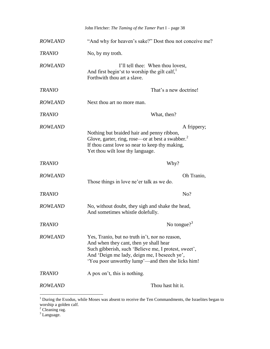|                | John Fletcher: The Taming of the Tamer Part I - page 38                                                                                                                                                                                              |
|----------------|------------------------------------------------------------------------------------------------------------------------------------------------------------------------------------------------------------------------------------------------------|
| <b>ROWLAND</b> | "And why for heaven's sake?" Dost thou not conceive me?                                                                                                                                                                                              |
| <b>TRANIO</b>  | No, by my troth.                                                                                                                                                                                                                                     |
| <b>ROWLAND</b> | I'll tell thee: When thou lovest,<br>And first begin'st to worship the gilt calf,<br>Forthwith thou art a slave.                                                                                                                                     |
| <b>TRANIO</b>  | That's a new doctrine!                                                                                                                                                                                                                               |
| <b>ROWLAND</b> | Next thou art no more man.                                                                                                                                                                                                                           |
| <b>TRANIO</b>  | What, then?                                                                                                                                                                                                                                          |
| <b>ROWLAND</b> | A frippery;<br>Nothing but braided hair and penny ribbon,<br>Glove, garter, ring, rose—or at best a swabber. <sup>2</sup><br>If thou canst love so near to keep thy making,<br>Yet thou wilt lose thy language.                                      |
| <b>TRANIO</b>  | Why?                                                                                                                                                                                                                                                 |
| <b>ROWLAND</b> | Oh Tranio,<br>Those things in love ne'er talk as we do.                                                                                                                                                                                              |
| <b>TRANIO</b>  | No?                                                                                                                                                                                                                                                  |
| <b>ROWLAND</b> | No, without doubt, they sigh and shake the head,<br>And sometimes whistle dolefully.                                                                                                                                                                 |
| <b>TRANIO</b>  | No tongue? <sup>3</sup>                                                                                                                                                                                                                              |
| <b>ROWLAND</b> | Yes, Tranio, but no truth in't, nor no reason,<br>And when they cant, then ye shall hear<br>Such gibberish, such 'Believe me, I protest, sweet',<br>And 'Deign me lady, deign me, I beseech ye',<br>'You poor unworthy lump'—and then she licks him! |
| <b>TRANIO</b>  | A pox on't, this is nothing.                                                                                                                                                                                                                         |
| <b>ROWLAND</b> | Thou hast hit it.                                                                                                                                                                                                                                    |

 $1$  During the Exodus, while Moses was absent to receive the Ten Commandments, the Israelites began to worship a golden calf.

 $2$  Cleaning rag.

 $3$  Language.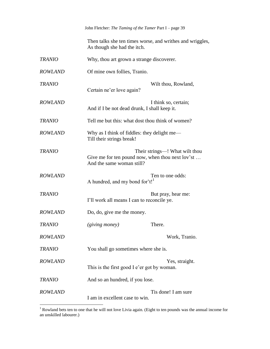John Fletcher: *The Taming of the Tamer* Part I – page 39

Then talks she ten times worse, and writhes and wriggles, As though she had the itch.

| <b>TRANIO</b>  | Why, thou art grown a strange discoverer.                                                                       |
|----------------|-----------------------------------------------------------------------------------------------------------------|
| <b>ROWLAND</b> | Of mine own follies, Tranio.                                                                                    |
| <b>TRANIO</b>  | Wilt thou, Rowland,<br>Certain ne'er love again?                                                                |
| <b>ROWLAND</b> | I think so, certain;<br>And if I be not dead drunk, I shall keep it.                                            |
| <b>TRANIO</b>  | Tell me but this: what dost thou think of women?                                                                |
| <b>ROWLAND</b> | Why as I think of fiddles: they delight me—<br>Till their strings break!                                        |
| <b>TRANIO</b>  | Their strings—! What wilt thou<br>Give me for ten pound now, when thou next lov'st<br>And the same woman still? |
| <b>ROWLAND</b> | Ten to one odds:<br>A hundred, and my bond for't! <sup>1</sup>                                                  |
| <b>TRANIO</b>  | But pray, hear me:<br>I'll work all means I can to reconcile ye.                                                |
| <b>ROWLAND</b> | Do, do, give me the money.                                                                                      |
| <b>TRANIO</b>  | There.<br>(giving money)                                                                                        |
| <b>ROWLAND</b> | Work, Tranio.                                                                                                   |
| <b>TRANIO</b>  | You shall go sometimes where she is.                                                                            |
| <b>ROWLAND</b> | Yes, straight.<br>This is the first good I e'er got by woman.                                                   |
| <b>TRANIO</b>  | And so an hundred, if you lose.                                                                                 |
| <b>ROWLAND</b> | Tis done! I am sure<br>I am in excellent case to win.                                                           |

<sup>&</sup>lt;sup>1</sup> Rowland bets ten to one that he will not love Livia again. (Eight to ten pounds was the annual income for an unskilled labourer.)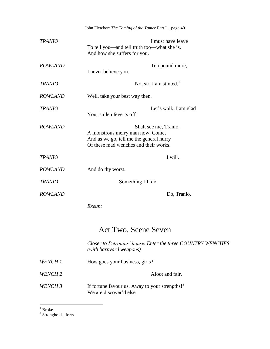|                | John Fletcher: The Taming of the Tamer Part I - page 40                                                                                       |
|----------------|-----------------------------------------------------------------------------------------------------------------------------------------------|
| TRANIO         | I must have leave<br>To tell you—and tell truth too—what she is,<br>And how she suffers for you.                                              |
| <b>ROWLAND</b> | Ten pound more,<br>I never believe you.                                                                                                       |
| TRANIO         | No, sir, I am stinted. $1$                                                                                                                    |
| <i>ROWLAND</i> | Well, take your best way then.                                                                                                                |
| TRANIO         | Let's walk. I am glad<br>Your sullen fever's off.                                                                                             |
| <b>ROWLAND</b> | Shalt see me, Tranio,<br>A monstrous merry man now. Come,<br>And as we go, tell me the general hurry<br>Of these mad wenches and their works. |
| TRANIO         | I will.                                                                                                                                       |
| <i>ROWLAND</i> | And do thy worst.                                                                                                                             |
| <b>TRANIO</b>  | Something I'll do.                                                                                                                            |
| <i>ROWLAND</i> | Do, Tranio.                                                                                                                                   |
|                | Exeunt                                                                                                                                        |
|                | Act Two, Scene Seven                                                                                                                          |
|                | Closer to Petronius' house. Enter the three COUNTRY WENCHES<br>(with barnyard weapons)                                                        |
| WENCH 1        | How goes your business, girls?                                                                                                                |
| WENCH 2        | Afoot and fair.                                                                                                                               |
| WENCH 3        | If fortune favour us. Away to your strengths! $2^2$<br>We are discover'd else.                                                                |

 $\frac{1}{2}$  Broke.<br>  $\frac{2}{3}$  Strongholds, forts.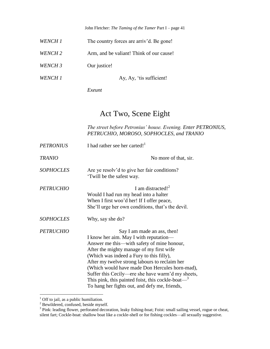John Fletcher: *The Taming of the Tamer* Part I – page 41

| WENCH 1            | The country forces are arriv'd. Be gone! |
|--------------------|------------------------------------------|
| WENCH 2            | Arm, and be valiant! Think of our cause! |
| WENCH <sub>3</sub> | Our justice!                             |
| WENCH 1            | Ay, Ay, 'tis sufficient!                 |
|                    | Exeunt                                   |

#### Act Two, Scene Eight

*The street before Petronius' house. Evening. Enter PETRONIUS, PETRUCHIO, MOROSO, SOPHOCLES, and TRANIO*

| <b>PETRONIUS</b> | I had rather see her carted! <sup>1</sup>                                                                                                                                                                                                                                                                                                                                                                                                                                              |
|------------------|----------------------------------------------------------------------------------------------------------------------------------------------------------------------------------------------------------------------------------------------------------------------------------------------------------------------------------------------------------------------------------------------------------------------------------------------------------------------------------------|
| <b>TRANIO</b>    | No more of that, sir.                                                                                                                                                                                                                                                                                                                                                                                                                                                                  |
| <b>SOPHOCLES</b> | Are ye resolv'd to give her fair conditions?<br>Twill be the safest way.                                                                                                                                                                                                                                                                                                                                                                                                               |
| <b>PETRUCHIO</b> | I am distracted! $2$<br>Would I had run my head into a halter<br>When I first woo'd her! If I offer peace,<br>She'll urge her own conditions, that's the devil.                                                                                                                                                                                                                                                                                                                        |
| <b>SOPHOCLES</b> | Why, say she do?                                                                                                                                                                                                                                                                                                                                                                                                                                                                       |
| <b>PETRUCHIO</b> | Say I am made an ass, then!<br>I know her aim. May I with reputation—<br>Answer me this—with safety of mine honour,<br>After the mighty manage of my first wife<br>(Which was indeed a Fury to this filly),<br>After my twelve strong labours to reclaim her<br>(Which would have made Don Hercules horn-mad),<br>Suffer this Cecily—ere she have warm'd my sheets,<br>This pink, this painted foist, this cockle-boat— $\frac{3}{2}$<br>To hang her fights out, and defy me, friends, |

 $<sup>1</sup>$  Off to jail, as a public humiliation.</sup>

<sup>&</sup>lt;sup>2</sup> Bewildered, confused, beside myself.<br><sup>3</sup> Pink: leading flower, perforated decoration, leaky fishing-boat; Foist: small sailing vessel, rogue or cheat, silent fart; Cockle-boat: shallow boat like a cockle-shell or for fishing cockles—all sexually suggestive.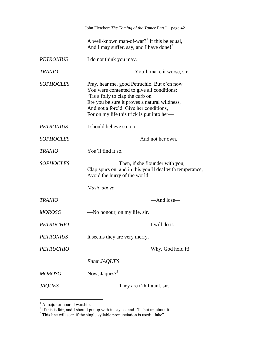|                  | John Fletcher: The Taming of the Tamer Part I - page 42                                                                                                                                                                                                               |
|------------------|-----------------------------------------------------------------------------------------------------------------------------------------------------------------------------------------------------------------------------------------------------------------------|
|                  | A well-known man-of-war? <sup>1</sup> If this be equal,<br>And I may suffer, say, and I have done! <sup>2</sup>                                                                                                                                                       |
| <b>PETRONIUS</b> | I do not think you may.                                                                                                                                                                                                                                               |
| <b>TRANIO</b>    | You'll make it worse, sir.                                                                                                                                                                                                                                            |
| <b>SOPHOCLES</b> | Pray, hear me, good Petruchio. But e'en now<br>You were contented to give all conditions;<br>Tis a folly to clap the curb on<br>Ere you be sure it proves a natural wildness,<br>And not a forc'd. Give her conditions,<br>For on my life this trick is put into her- |
| <b>PETRONIUS</b> | I should believe so too.                                                                                                                                                                                                                                              |
| <b>SOPHOCLES</b> | -And not her own.                                                                                                                                                                                                                                                     |
| <b>TRANIO</b>    | You'll find it so.                                                                                                                                                                                                                                                    |
| <b>SOPHOCLES</b> | Then, if she flounder with you,<br>Clap spurs on, and in this you'll deal with temperance,<br>Avoid the hurry of the world—                                                                                                                                           |
|                  | Music above                                                                                                                                                                                                                                                           |
| <b>TRANIO</b>    | -And lose-                                                                                                                                                                                                                                                            |
| <b>MOROSO</b>    | -No honour, on my life, sir.                                                                                                                                                                                                                                          |
| <i>PETRUCHIO</i> | I will do it.                                                                                                                                                                                                                                                         |
| <b>PETRONIUS</b> | It seems they are very merry.                                                                                                                                                                                                                                         |
| <b>PETRUCHIO</b> | Why, God hold it!                                                                                                                                                                                                                                                     |
|                  | Enter JAQUES                                                                                                                                                                                                                                                          |
| <b>MOROSO</b>    | Now, Jaques? $3^3$                                                                                                                                                                                                                                                    |
| <b>JAQUES</b>    | They are i'th flaunt, sir.                                                                                                                                                                                                                                            |

<sup>&</sup>lt;sup>1</sup> A major armoured warship.<br><sup>2</sup> If this is fair, and I should put up with it, say so, and I'll shut up about it.

 $3$  This line will scan if the single syllable pronunciation is used: "Jake".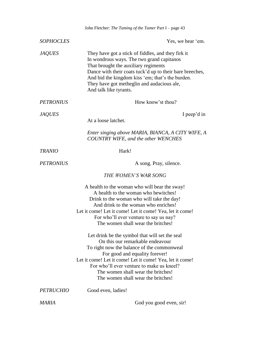|                  | John Fletcher: The Taming of the Tamer Part I - page 43                                                                                                                                                                                                                                                                                                 |
|------------------|---------------------------------------------------------------------------------------------------------------------------------------------------------------------------------------------------------------------------------------------------------------------------------------------------------------------------------------------------------|
| <b>SOPHOCLES</b> | Yes, we hear 'em.                                                                                                                                                                                                                                                                                                                                       |
| <b>JAQUES</b>    | They have got a stick of fiddles, and they firk it<br>In wondrous ways. The two grand capitanos<br>That brought the auxiliary regiments<br>Dance with their coats tuck'd up to their bare breeches,<br>And bid the kingdom kiss 'em; that's the burden.<br>They have got metheglin and audacious ale,<br>And talk like tyrants.                         |
| <b>PETRONIUS</b> | How know'st thou?                                                                                                                                                                                                                                                                                                                                       |
| <i>JAQUES</i>    | I peep'd in<br>At a loose latchet.                                                                                                                                                                                                                                                                                                                      |
|                  | Enter singing above MARIA, BIANCA, A CITY WIFE, A<br><b>COUNTRY WIFE, and the other WENCHES</b>                                                                                                                                                                                                                                                         |
| <b>TRANIO</b>    | Hark!                                                                                                                                                                                                                                                                                                                                                   |
| <b>PETRONIUS</b> | A song. Pray, silence.                                                                                                                                                                                                                                                                                                                                  |
|                  | THE WOMEN'S WAR SONG                                                                                                                                                                                                                                                                                                                                    |
|                  | A health to the woman who will bear the sway!<br>A health to the woman who bewitches!<br>Drink to the woman who will take the day!<br>And drink to the woman who enriches!<br>Let it come! Let it come! Let it come! Yea, let it come!<br>For who'll ever venture to say us nay?<br>The women shall wear the britches!                                  |
|                  | Let drink be the symbol that will set the seal<br>On this our remarkable endeavour<br>To right now the balance of the commonweal<br>For good and equality forever!<br>Let it come! Let it come! Let it come! Yea, let it come!<br>For who'll ever venture to make us kneel?<br>The women shall wear the britches!<br>The women shall wear the britches! |
| <i>PETRUCHIO</i> | Good even, ladies!                                                                                                                                                                                                                                                                                                                                      |
| MARIA            | God you good even, sir!                                                                                                                                                                                                                                                                                                                                 |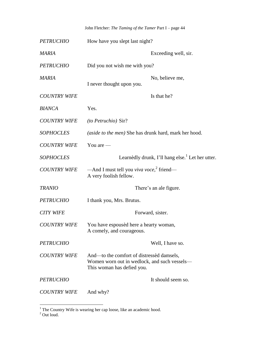|  |  | John Fletcher: The Taming of the Tamer Part I – page 44 |
|--|--|---------------------------------------------------------|
|--|--|---------------------------------------------------------|

| <b>PETRUCHIO</b>    | How have you slept last night?                                                                                          |
|---------------------|-------------------------------------------------------------------------------------------------------------------------|
| <b>MARIA</b>        | Exceeding well, sir.                                                                                                    |
| <b>PETRUCHIO</b>    | Did you not wish me with you?                                                                                           |
| <b>MARIA</b>        | No, believe me,<br>I never thought upon you.                                                                            |
| <b>COUNTRY WIFE</b> | Is that he?                                                                                                             |
| <b>BIANCA</b>       | Yes.                                                                                                                    |
| <b>COUNTRY WIFE</b> | <i>(to Petruchio)</i> Sir?                                                                                              |
| <b>SOPHOCLES</b>    | (aside to the men) She has drunk hard, mark her hood.                                                                   |
| <b>COUNTRY WIFE</b> | You are $-$                                                                                                             |
| <b>SOPHOCLES</b>    | Learnèdly drunk, I'll hang else. <sup>1</sup> Let her utter.                                                            |
| <b>COUNTRY WIFE</b> | —And I must tell you viva voce, <sup>2</sup> friend—<br>A very foolish fellow.                                          |
| <b>TRANIO</b>       | There's an ale figure.                                                                                                  |
| <b>PETRUCHIO</b>    | I thank you, Mrs. Brutus.                                                                                               |
| <b>CITY WIFE</b>    | Forward, sister.                                                                                                        |
| <b>COUNTRY WIFE</b> | You have espoused here a hearty woman,<br>A comely, and courageous.                                                     |
| <b>PETRUCHIO</b>    | Well, I have so.                                                                                                        |
| <b>COUNTRY WIFE</b> | And—to the comfort of distressed damsels,<br>Women worn out in wedlock, and such vessels—<br>This woman has defied you. |
| <i>PETRUCHIO</i>    | It should seem so.                                                                                                      |
| <b>COUNTRY WIFE</b> | And why?                                                                                                                |

 $<sup>1</sup>$  The Country Wife is wearing her cap loose, like an academic hood.</sup>

 $2^2$  Out loud.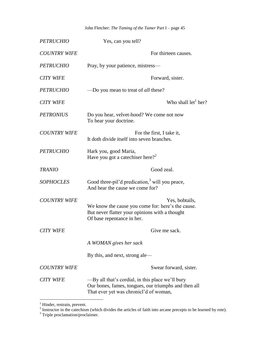John Fletcher: *The Taming of the Tamer* Part I – page 45

| <b>PETRUCHIO</b>    | Yes, can you tell?                                                                                                                                  |
|---------------------|-----------------------------------------------------------------------------------------------------------------------------------------------------|
| <b>COUNTRY WIFE</b> | For thirteen causes.                                                                                                                                |
| <b>PETRUCHIO</b>    | Pray, by your patience, mistress—                                                                                                                   |
| <b>CITY WIFE</b>    | Forward, sister.                                                                                                                                    |
| <b>PETRUCHIO</b>    | —Do you mean to treat of <i>all</i> these?                                                                                                          |
| <b>CITY WIFE</b>    | Who shall $let1 her?$                                                                                                                               |
| <b>PETRONIUS</b>    | Do you hear, velvet-hood? We come not now<br>To hear your doctrine.                                                                                 |
| <b>COUNTRY WIFE</b> | For the first, I take it,<br>It doth divide itself into seven branches.                                                                             |
| <b>PETRUCHIO</b>    | Hark you, good Maria,<br>Have you got a catechiser here? <sup>2</sup>                                                                               |
| <b>TRANIO</b>       | Good zeal.                                                                                                                                          |
| <b>SOPHOCLES</b>    | Good three-pil'd predication, <sup>3</sup> will you peace,<br>And hear the cause we come for?                                                       |
| <b>COUNTRY WIFE</b> | Yes, bobtails,<br>We know the cause you come for: here's the cause.<br>But never flatter your opinions with a thought<br>Of base repentance in her. |
| <b>CITY WIFE</b>    | Give me sack.                                                                                                                                       |
|                     | A WOMAN gives her sack                                                                                                                              |
|                     | By this, and next, strong ale-                                                                                                                      |
| <b>COUNTRY WIFE</b> | Swear forward, sister.                                                                                                                              |
| <b>CITY WIFE</b>    | -By all that's cordial, in this place we'll bury<br>Our bones, fames, tongues, our triumphs and then all<br>That ever yet was chronicl'd of woman,  |

<sup>&</sup>lt;sup>1</sup> Hinder, restrain, prevent.<br><sup>2</sup> Instructor in the catechism (which divides the articles of faith into arcane precepts to be learned by rote).

<sup>&</sup>lt;sup>3</sup> Triple proclamation/proclaimer.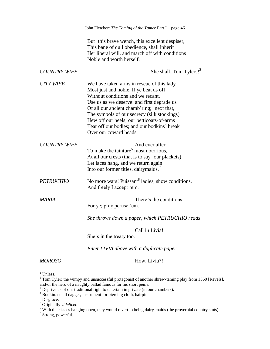|                     | John Fletcher: The Taming of the Tamer Part I - page 46                                                                                                                                                                                                                                                                                                                                                           |
|---------------------|-------------------------------------------------------------------------------------------------------------------------------------------------------------------------------------------------------------------------------------------------------------------------------------------------------------------------------------------------------------------------------------------------------------------|
|                     | But <sup>1</sup> this brave wench, this excellent despiser,<br>This bane of dull obedience, shall inherit<br>Her liberal will, and march off with conditions<br>Noble and worth herself.                                                                                                                                                                                                                          |
| <b>COUNTRY WIFE</b> | She shall, Tom Tylers! $2^2$                                                                                                                                                                                                                                                                                                                                                                                      |
| <b>CITY WIFE</b>    | We have taken arms in rescue of this lady<br>Most just and noble. If ye beat us off<br>Without conditions and we recant,<br>Use us as we deserve: and first degrade us<br>Of all our ancient chamb'ring; <sup>3</sup> next that,<br>The symbols of our secrecy (silk stockings)<br>Hew off our heels; our petticoats-of-arms<br>Tear off our bodies; and our bodkins <sup>4</sup> break<br>Over our coward heads. |
| <b>COUNTRY WIFE</b> | And ever after<br>To make the tainture <sup>5</sup> most notorious,<br>At all our crests (that is to say <sup>6</sup> our plackets)<br>Let laces hang, and we return again<br>Into our former titles, dairymaids.                                                                                                                                                                                                 |
| <b>PETRUCHIO</b>    | No more wars! Puissant <sup>8</sup> ladies, show conditions,<br>And freely I accept 'em.                                                                                                                                                                                                                                                                                                                          |
| <b>MARIA</b>        | There's the conditions<br>For ye; pray peruse 'em.                                                                                                                                                                                                                                                                                                                                                                |
|                     | She throws down a paper, which PETRUCHIO reads                                                                                                                                                                                                                                                                                                                                                                    |
|                     | Call in Livia!<br>She's in the treaty too.                                                                                                                                                                                                                                                                                                                                                                        |
|                     | Enter LIVIA above with a duplicate paper                                                                                                                                                                                                                                                                                                                                                                          |

*MOROSO* How, Livia?!

<sup>&</sup>lt;sup>1</sup> Unless.

 $2^2$  Tom Tyler: the wimpy and unsuccessful protagonist of another shrew-taming play from 1560 [Revels], and/or the hero of a naughty ballad famous for his short penis.

 $3$  Deprive us of our traditional right to entertain in private (in our chambers).

<sup>&</sup>lt;sup>4</sup> Bodkin: small dagger, instrument for piercing cloth, hairpin.

 $<sup>5</sup>$  Disgrace.</sup>

<sup>6</sup> Originally *videlicet*.

<sup>&</sup>lt;sup>7</sup> With their laces hanging open, they would revert to being dairy-maids (the proverbial country sluts). <sup>8</sup> Strong, powerful.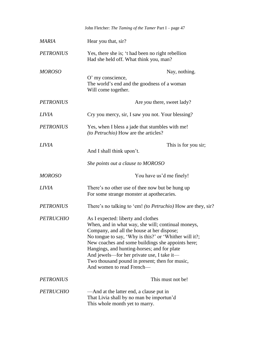|                  | John Fletcher: The Taming of the Tamer Part I - page 47                                                                                                                                                                                                                                                                                                                                                                           |
|------------------|-----------------------------------------------------------------------------------------------------------------------------------------------------------------------------------------------------------------------------------------------------------------------------------------------------------------------------------------------------------------------------------------------------------------------------------|
| MARIA            | Hear you that, sir?                                                                                                                                                                                                                                                                                                                                                                                                               |
| <b>PETRONIUS</b> | Yes, there she is; 't had been no right rebellion<br>Had she held off. What think you, man?                                                                                                                                                                                                                                                                                                                                       |
| <b>MOROSO</b>    | Nay, nothing.                                                                                                                                                                                                                                                                                                                                                                                                                     |
|                  | O' my conscience,<br>The world's end and the goodness of a woman<br>Will come together.                                                                                                                                                                                                                                                                                                                                           |
| <b>PETRONIUS</b> | Are <i>you</i> there, sweet lady?                                                                                                                                                                                                                                                                                                                                                                                                 |
| <b>LIVIA</b>     | Cry you mercy, sir, I saw you not. Your blessing?                                                                                                                                                                                                                                                                                                                                                                                 |
| <b>PETRONIUS</b> | Yes, when I bless a jade that stumbles with me!<br>(to Petruchio) How are the articles?                                                                                                                                                                                                                                                                                                                                           |
| <i>LIVIA</i>     | This is for you sir;<br>And I shall think upon't.                                                                                                                                                                                                                                                                                                                                                                                 |
|                  | She points out a clause to MOROSO                                                                                                                                                                                                                                                                                                                                                                                                 |
| <b>MOROSO</b>    | You have us'd me finely!                                                                                                                                                                                                                                                                                                                                                                                                          |
| <b>LIVIA</b>     | There's no other use of thee now but be hung up<br>For some strange monster at apothecaries.                                                                                                                                                                                                                                                                                                                                      |
| <b>PETRONIUS</b> | There's no talking to 'em! <i>(to Petruchio)</i> How are they, sir?                                                                                                                                                                                                                                                                                                                                                               |
| <b>PETRUCHIO</b> | As I expected: liberty and clothes<br>When, and in what way, she will; continual moneys,<br>Company, and all the house at her dispose;<br>No tongue to say, 'Why is this?' or 'Whither will it?;<br>New coaches and some buildings she appoints here;<br>Hangings, and hunting-horses; and for plate<br>And jewels—for her private use, I take it—<br>Two thousand pound in present; then for music,<br>And women to read French- |
| <b>PETRONIUS</b> | This must not be!                                                                                                                                                                                                                                                                                                                                                                                                                 |
| <b>PETRUCHIO</b> | —And at the latter end, a clause put in<br>That Livia shall by no man be importun'd<br>This whole month yet to marry.                                                                                                                                                                                                                                                                                                             |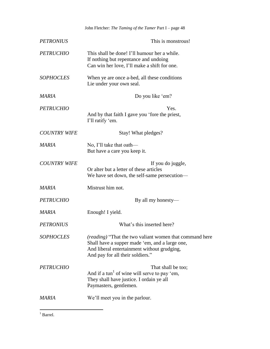| John Fletcher: The Taming of the Tamer Part I - page 48                                                                                                                                             |
|-----------------------------------------------------------------------------------------------------------------------------------------------------------------------------------------------------|
| This is monstrous!                                                                                                                                                                                  |
| This shall be done! I'll humour her a while.<br>If nothing but repentance and undoing<br>Can win her love, I'll make a shift for one.                                                               |
| When ye are once a-bed, all these conditions<br>Lie under your own seal.                                                                                                                            |
| Do you like 'em?                                                                                                                                                                                    |
| Yes.<br>And by that faith I gave you 'fore the priest,<br>I'll ratify 'em.                                                                                                                          |
| Stay! What pledges?                                                                                                                                                                                 |
| No, I'll take that oath—<br>But have a care you keep it.                                                                                                                                            |
| If you do juggle,<br>Or alter but a letter of these articles<br>We have set down, the self-same persecution-                                                                                        |
| Mistrust him not.                                                                                                                                                                                   |
| By all my honesty—                                                                                                                                                                                  |
| Enough! I yield.                                                                                                                                                                                    |
| What's this inserted here?                                                                                                                                                                          |
| <i>(reading)</i> "That the two valiant women that command here<br>Shall have a supper made 'em, and a large one,<br>And liberal entertainment without grudging,<br>And pay for all their soldiers." |
| That shall be too;<br>And if a tun <sup>1</sup> of wine will serve to pay 'em,<br>They shall have justice. I ordain ye all<br>Paymasters, gentlemen.                                                |
| We'll meet you in the parlour.                                                                                                                                                                      |
|                                                                                                                                                                                                     |

 $\overline{a}$  $1$  Barrel.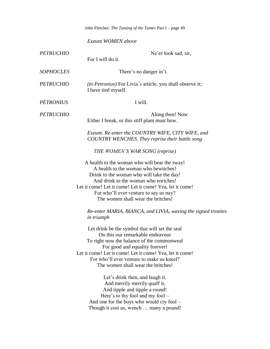|                  | John Fletcher: The Taming of the Tamer Part I - page 49                                                                                                                                                                                                                                                                |
|------------------|------------------------------------------------------------------------------------------------------------------------------------------------------------------------------------------------------------------------------------------------------------------------------------------------------------------------|
|                  | Exeunt WOMEN above                                                                                                                                                                                                                                                                                                     |
| <b>PETRUCHIO</b> | Ne'er look sad, sir,<br>For I will do it.                                                                                                                                                                                                                                                                              |
| <b>SOPHOCLES</b> | There's no danger in't.                                                                                                                                                                                                                                                                                                |
| <b>PETRUCHIO</b> | <i>(to Petronius)</i> For Livia's article, you shall observe it;<br>I have tied myself.                                                                                                                                                                                                                                |
| <b>PETRONIUS</b> | I will.                                                                                                                                                                                                                                                                                                                |
| <b>PETRUCHIO</b> | Along then! Now<br>Either I break, or this stiff plant must bow.                                                                                                                                                                                                                                                       |
|                  | Exeunt. Re-enter the COUNTRY WIFE, CITY WIFE, and<br>COUNTRY WENCHES. They reprise their battle song                                                                                                                                                                                                                   |
|                  | THE WOMEN'S WAR SONG (reprise)                                                                                                                                                                                                                                                                                         |
|                  | A health to the woman who will bear the sway!<br>A health to the woman who bewitches!<br>Drink to the woman who will take the day!<br>And drink to the woman who enriches!<br>Let it come! Let it come! Let it come! Yea, let it come!<br>For who'll ever venture to say us nay?<br>The women shall wear the britches! |
|                  | Re-enter MARIA, BIANCA, and LIVIA, waving the signed treaties<br><i>in triumph</i>                                                                                                                                                                                                                                     |
|                  | Let drink be the symbol that will set the seal<br>On this our remarkable endeavour<br>To right now the balance of the commonweal<br>For good and equality forever!<br>Let it come! Let it come! Let it come! Yea, let it come!<br>For who'll ever venture to make us kneel?<br>The women shall wear the britches!      |
|                  | Let's drink then, and laugh it,<br>And merrily merrily quaff it,<br>And tipple and tipple a round!<br>Here's to thy fool and my fool –<br>And one for the boys who would cry fool –                                                                                                                                    |

Though it cost us, wench … many a pound!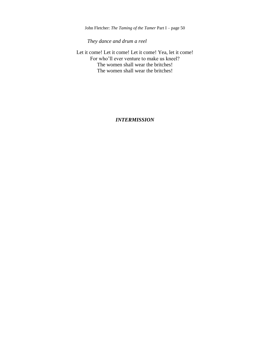John Fletcher: *The Taming of the Tamer* Part I – page 50

*They dance and drum a reel*

Let it come! Let it come! Let it come! Yea, let it come! For who'll ever venture to make us kneel? The women shall wear the britches! The women shall wear the britches!

*INTERMISSION*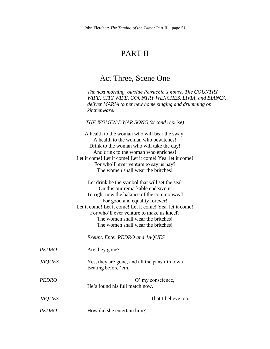# PART II

#### Act Three, Scene One

*The next morning, outside Petruchio's house. The COUNTRY WIFE, CITY WIFE, COUNTRY WENCHES, LIVIA, and BIANCA deliver MARIA to her new home singing and drumming on kitchenware.*

*THE WOMEN'S WAR SONG (second reprise)*

|               | A health to the woman who will bear the sway!<br>A health to the woman who bewitches!<br>Drink to the woman who will take the day!<br>And drink to the woman who enriches!                                                                                                                                                                              |
|---------------|---------------------------------------------------------------------------------------------------------------------------------------------------------------------------------------------------------------------------------------------------------------------------------------------------------------------------------------------------------|
|               | Let it come! Let it come! Let it come! Yea, let it come!<br>For who'll ever venture to say us nay?                                                                                                                                                                                                                                                      |
|               | The women shall wear the britches!                                                                                                                                                                                                                                                                                                                      |
|               | Let drink be the symbol that will set the seal<br>On this our remarkable endeavour<br>To right now the balance of the commonweal<br>For good and equality forever!<br>Let it come! Let it come! Let it come! Yea, let it come!<br>For who'll ever venture to make us kneel?<br>The women shall wear the britches!<br>The women shall wear the britches! |
|               | <b>Exeunt. Enter PEDRO and JAQUES</b>                                                                                                                                                                                                                                                                                                                   |
| <b>PEDRO</b>  | Are they gone?                                                                                                                                                                                                                                                                                                                                          |
| <b>JAQUES</b> | Yes, they are gone, and all the pans i'th town<br>Beating before 'em.                                                                                                                                                                                                                                                                                   |
| <b>PEDRO</b>  | O' my conscience,<br>He's found his full match now.                                                                                                                                                                                                                                                                                                     |
| <b>JAQUES</b> | That I believe too.                                                                                                                                                                                                                                                                                                                                     |

*PEDRO* How did she entertain him?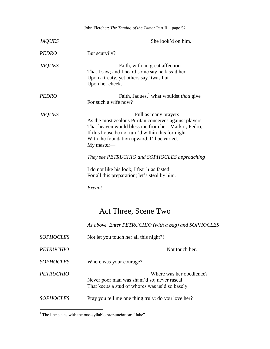|                  | John Fletcher: The Taming of the Tamer Part II - page 52                                                                                                                                                                                                 |
|------------------|----------------------------------------------------------------------------------------------------------------------------------------------------------------------------------------------------------------------------------------------------------|
| <b>JAQUES</b>    | She look'd on him.                                                                                                                                                                                                                                       |
| <i>PEDRO</i>     | But scurvily?                                                                                                                                                                                                                                            |
| <i>JAQUES</i>    | Faith, with no great affection<br>That I saw; and I heard some say he kiss'd her<br>Upon a treaty, yet others say 'twas but<br>Upon her cheek.                                                                                                           |
| <b>PEDRO</b>     | Faith, Jaques, what wouldst <i>thou</i> give<br>For such a wife now?                                                                                                                                                                                     |
| <i>JAQUES</i>    | Full as many prayers<br>As the most zealous Puritan conceives against players,<br>That heaven would bless me from her! Mark it, Pedro,<br>If this house be not turn'd within this fortnight<br>With the foundation upward, I'll be carted.<br>My master- |
|                  | They see PETRUCHIO and SOPHOCLES approaching                                                                                                                                                                                                             |
|                  | I do not like his look, I fear h'as fasted<br>For all this preparation; let's steal by him.                                                                                                                                                              |
|                  | Exeunt                                                                                                                                                                                                                                                   |
|                  | Act Three, Scene Two                                                                                                                                                                                                                                     |
|                  | As above. Enter PETRUCHIO (with a bag) and SOPHOCLES                                                                                                                                                                                                     |
| <i>SOPHOCLES</i> | Not let you touch her all this night?!                                                                                                                                                                                                                   |
| <b>PETRUCHIO</b> | Not touch her.                                                                                                                                                                                                                                           |
| <b>SOPHOCLES</b> | Where was your courage?                                                                                                                                                                                                                                  |
| <i>PETRUCHIO</i> | Where was her obedience?<br>Never poor man was sham'd so; never rascal<br>That keeps a stud of whores was us'd so basely.                                                                                                                                |
| <b>SOPHOCLES</b> | Pray you tell me one thing truly: do you love her?                                                                                                                                                                                                       |

 $\overline{a}$  $<sup>1</sup>$  The line scans with the one-syllable pronunciation: "Jake".</sup>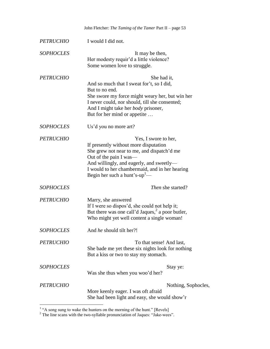|                  | John Fletcher: The Taming of the Tamer Part II - page 53                                                                                                                                                                                                                         |
|------------------|----------------------------------------------------------------------------------------------------------------------------------------------------------------------------------------------------------------------------------------------------------------------------------|
| <b>PETRUCHIO</b> | I would I did not.                                                                                                                                                                                                                                                               |
| <b>SOPHOCLES</b> | It may be then,<br>Her modesty requir'd a little violence?<br>Some women love to struggle.                                                                                                                                                                                       |
| <b>PETRUCHIO</b> | She had it,<br>And so much that I sweat for't, so I did,<br>But to no end.<br>She swore my force might weary her, but win her<br>I never could, nor should, till she consented;<br>And I might take her <i>body</i> prisoner,<br>But for her mind or appetite                    |
| <b>SOPHOCLES</b> | Us'd you no more art?                                                                                                                                                                                                                                                            |
| <b>PETRUCHIO</b> | Yes, I swore to her,<br>If presently without more disputation<br>She grew not near to me, and dispatch'd me<br>Out of the pain I was—<br>And willingly, and eagerly, and sweetly—<br>I would to her chambermaid, and in her hearing<br>Begin her such a hunt's-up <sup>1</sup> - |
| <b>SOPHOCLES</b> | <i>Then</i> she started?                                                                                                                                                                                                                                                         |
| <b>PETRUCHIO</b> | Marry, she answered<br>If I were so dispos'd, she could not help it;<br>But there was one call'd Jaques, <sup>2</sup> a poor butler,<br>Who might yet well content a single woman!                                                                                               |
| <b>SOPHOCLES</b> | And he should tilt her?!                                                                                                                                                                                                                                                         |
| <b>PETRUCHIO</b> | To that sense! And last,<br>She bade me yet these six nights look for nothing<br>But a kiss or two to stay my stomach.                                                                                                                                                           |
| <b>SOPHOCLES</b> | Stay ye:<br>Was she thus when you woo'd her?                                                                                                                                                                                                                                     |
| <b>PETRUCHIO</b> | Nothing, Sophocles,<br>More keenly eager. I was oft afraid<br>She had been light and easy, she would show'r                                                                                                                                                                      |

<sup>1</sup> "A song sung to wake the hunters on the morning of the hunt." [Revels]

 $2^2$  The line scans with the two-syllable pronunciation of Jaques: "Jake-wees".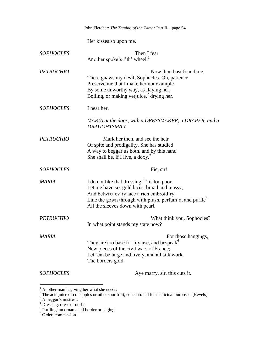|                  | John Fletcher: The Taming of the Tamer Part II - page 54                                                                                                                                                                                                |
|------------------|---------------------------------------------------------------------------------------------------------------------------------------------------------------------------------------------------------------------------------------------------------|
|                  | Her kisses so upon me.                                                                                                                                                                                                                                  |
| <b>SOPHOCLES</b> | Then I fear<br>Another spoke's i'th' wheel. <sup>1</sup>                                                                                                                                                                                                |
| <b>PETRUCHIO</b> | Now thou hast found me.<br>There gnaws my devil, Sophocles. Oh, patience<br>Preserve me that I make her not example<br>By some unworthy way, as flaying her,<br>Boiling, or making verjuice, <sup>2</sup> drying her.                                   |
| <b>SOPHOCLES</b> | I hear her.                                                                                                                                                                                                                                             |
|                  | MARIA at the door, with a DRESSMAKER, a DRAPER, and a<br><b>DRAUGHTSMAN</b>                                                                                                                                                                             |
| <b>PETRUCHIO</b> | Mark her then, and see the heir<br>Of spite and prodigality. She has studied<br>A way to beggar us both, and by this hand<br>She shall be, if I live, a doxy. <sup>3</sup>                                                                              |
| <b>SOPHOCLES</b> | Fie, sir!                                                                                                                                                                                                                                               |
| MARIA            | I do not like that dressing, $4$ 'tis too poor.<br>Let me have six gold laces, broad and massy,<br>And betwixt ev'ry lace a rich embroid'ry.<br>Line the gown through with plush, perfum'd, and purfle <sup>5</sup><br>All the sleeves down with pearl. |
| <b>PETRUCHIO</b> | What think you, Sophocles?<br>In what point stands my state now?                                                                                                                                                                                        |
| MARIA            | For those hangings,<br>They are too base for my use, and bespeak <sup>o</sup><br>New pieces of the civil wars of France;<br>Let 'em be large and lively, and all silk work,<br>The borders gold.                                                        |
| <b>SOPHOCLES</b> | Aye marry, sir, this cuts it.                                                                                                                                                                                                                           |

 $<sup>1</sup>$  Another man is giving her what she needs.</sup>

 $2^2$  The acid juice of crabapples or other sour fruit, concentrated for medicinal purposes. [Revels]

 $3$  A beggar's mistress.

 $^{4}$  Dressing: dress or outfit.<br><sup>5</sup> Purfling: an ornamental border or edging.

<sup>6</sup> Order, commission.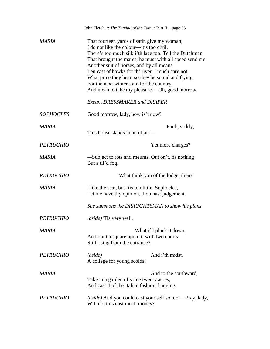|                  | John Fletcher: The Taming of the Tamer Part II - page 55                                                                                                                                                                                                                                                                                                                                                                                                        |  |
|------------------|-----------------------------------------------------------------------------------------------------------------------------------------------------------------------------------------------------------------------------------------------------------------------------------------------------------------------------------------------------------------------------------------------------------------------------------------------------------------|--|
| MARIA            | That fourteen yards of satin give my woman;<br>I do not like the colour—tis too civil.<br>There's too much silk i'th lace too. Tell the Dutchman<br>That brought the mares, he must with all speed send me<br>Another suit of horses, and by all means<br>Ten cast of hawks for th' river. I much care not<br>What price they bear, so they be sound and flying,<br>For the next winter I am for the country,<br>And mean to take my pleasure.—Oh, good morrow. |  |
|                  | <b>Exeunt DRESSMAKER and DRAPER</b>                                                                                                                                                                                                                                                                                                                                                                                                                             |  |
| <b>SOPHOCLES</b> | Good morrow, lady, how is't now?                                                                                                                                                                                                                                                                                                                                                                                                                                |  |
| MARIA            | Faith, sickly,<br>This house stands in an ill air-                                                                                                                                                                                                                                                                                                                                                                                                              |  |
| <b>PETRUCHIO</b> | Yet more charges?                                                                                                                                                                                                                                                                                                                                                                                                                                               |  |
| MARIA            | -Subject to rots and rheums. Out on't, tis nothing<br>But a til'd fog.                                                                                                                                                                                                                                                                                                                                                                                          |  |
| <b>PETRUCHIO</b> | What think you of the lodge, then?                                                                                                                                                                                                                                                                                                                                                                                                                              |  |
| MARIA            | I like the seat, but 'tis too little. Sophocles,<br>Let me have thy opinion, thou hast judgement.                                                                                                                                                                                                                                                                                                                                                               |  |
|                  | She summons the DRAUGHTSMAN to show his plans                                                                                                                                                                                                                                                                                                                                                                                                                   |  |
| <b>PETRUCHIO</b> | <i>(aside)</i> Tis very well.                                                                                                                                                                                                                                                                                                                                                                                                                                   |  |
| <b>MARIA</b>     | What if I pluck it down,<br>And built a square upon it, with two courts<br>Still rising from the entrance?                                                                                                                                                                                                                                                                                                                                                      |  |
| <b>PETRUCHIO</b> | And i'th midst,<br>(aside)<br>A college for young scolds!                                                                                                                                                                                                                                                                                                                                                                                                       |  |
| <b>MARIA</b>     | And to the southward,<br>Take in a garden of some twenty acres,<br>And cast it of the Italian fashion, hanging.                                                                                                                                                                                                                                                                                                                                                 |  |
| <b>PETRUCHIO</b> | (aside) And you could cast your self so too!—Pray, lady,<br>Will not this cost much money?                                                                                                                                                                                                                                                                                                                                                                      |  |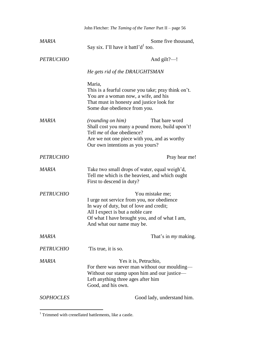|                  | John Fletcher: The Taming of the Tamer Part II - page 56                                                                                                                                                                   |
|------------------|----------------------------------------------------------------------------------------------------------------------------------------------------------------------------------------------------------------------------|
| <b>MARIA</b>     | Some five thousand,<br>Say six. I'll have it battl' $d^1$ too.                                                                                                                                                             |
| <b>PETRUCHIO</b> | And gilt?-!                                                                                                                                                                                                                |
|                  | He gets rid of the DRAUGHTSMAN                                                                                                                                                                                             |
|                  | Maria,<br>This is a fearful course you take; pray think on't.<br>You are a woman now, a wife, and his<br>That must in honesty and justice look for<br>Some due obedience from you.                                         |
| <b>MARIA</b>     | That bare word<br>(rounding on him)<br>Shall cost you many a pound more, build upon't!<br>Tell <i>me</i> of due obedience?<br>Are we not one piece with you, and as worthy<br>Our own intentions as you yours?             |
| <b>PETRUCHIO</b> | Pray hear me!                                                                                                                                                                                                              |
| MARIA            | Take two small drops of water, equal weigh'd,<br>Tell me which is the heaviest, and which ought<br>First to descend in duty?                                                                                               |
| <b>PETRUCHIO</b> | You mistake me;<br>I urge not service from you, nor obedience<br>In way of duty, but of love and credit;<br>All I expect is but a noble care<br>Of what I have brought you, and of what I am,<br>And what our name may be. |
| MARIA            | That's in <i>my</i> making.                                                                                                                                                                                                |
| <b>PETRUCHIO</b> | Tis true, it is so.                                                                                                                                                                                                        |
| <b>MARIA</b>     | Yes it is, Petruchio,<br>For there was never man without our moulding-<br>Without our stamp upon him and our justice—<br>Left anything three ages after him<br>Good, and his own.                                          |
| <b>SOPHOCLES</b> | Good lady, understand him.                                                                                                                                                                                                 |

 $1$  Trimmed with crenellated battlements, like a castle.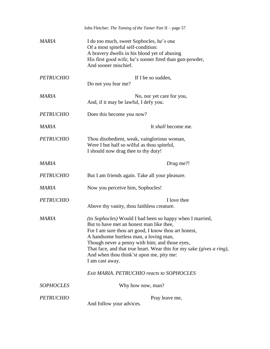|                  | John Fletcher: The Taming of the Tamer Part II - page 57                                                                                                                                                                                                                                                                                                                                                |
|------------------|---------------------------------------------------------------------------------------------------------------------------------------------------------------------------------------------------------------------------------------------------------------------------------------------------------------------------------------------------------------------------------------------------------|
| MARIA            | I do too much, sweet Sophocles, he's one<br>Of a most spiteful self-condition:<br>A bravery dwells in his blood yet of abusing<br>His first good wife; he's sooner fired than gun-powder,<br>And sooner mischief.                                                                                                                                                                                       |
| <b>PETRUCHIO</b> | If I be so sudden,<br>Do not you fear me?                                                                                                                                                                                                                                                                                                                                                               |
| MARIA            | No, nor yet care for you,<br>And, if it may be lawful, I defy you.                                                                                                                                                                                                                                                                                                                                      |
| <b>PETRUCHIO</b> | Does this become you now?                                                                                                                                                                                                                                                                                                                                                                               |
| <b>MARIA</b>     | It <i>shall</i> become me.                                                                                                                                                                                                                                                                                                                                                                              |
| <b>PETRUCHIO</b> | Thou disobedient, weak, vainglorious woman,<br>Were I but half so wilful as thou spiteful,<br>I should now drag thee to thy duty!                                                                                                                                                                                                                                                                       |
| <b>MARIA</b>     | Drag me?!                                                                                                                                                                                                                                                                                                                                                                                               |
| <b>PETRUCHIO</b> | But I am friends again. Take all your pleasure.                                                                                                                                                                                                                                                                                                                                                         |
| <b>MARIA</b>     | Now you perceive him, Sophocles!                                                                                                                                                                                                                                                                                                                                                                        |
| <b>PETRUCHIO</b> | I love thee<br>Above thy vanity, thou faithless creature.                                                                                                                                                                                                                                                                                                                                               |
| <b>MARIA</b>     | <i>(to Sophocles)</i> Would I had been so happy when I married,<br>But to have met an honest man like thee,<br>For I am sure thou art good, I know thou art honest,<br>A handsome hurtless man, a loving man,<br>Though never a penny with him; and those eyes,<br>That face, and that true heart. Wear this for my sake (gives a ring),<br>And when thou think'st upon me, pity me:<br>I am cast away. |
|                  | Exit MARIA. PETRUCHIO reacts to SOPHOCLES                                                                                                                                                                                                                                                                                                                                                               |
| <b>SOPHOCLES</b> | Why how now, man?                                                                                                                                                                                                                                                                                                                                                                                       |
| <b>PETRUCHIO</b> | Pray leave me,<br>And follow your advices.                                                                                                                                                                                                                                                                                                                                                              |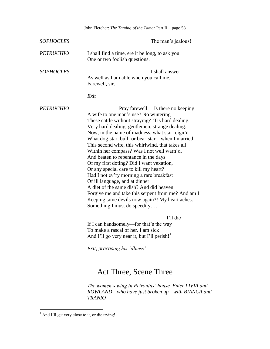|                  | John Fletcher: The Taming of the Tamer Part II - page 58                                                                                                                                                                                                                                                                                                                                                                                                                                                                                                                                                                                                                                                                                                                                   |
|------------------|--------------------------------------------------------------------------------------------------------------------------------------------------------------------------------------------------------------------------------------------------------------------------------------------------------------------------------------------------------------------------------------------------------------------------------------------------------------------------------------------------------------------------------------------------------------------------------------------------------------------------------------------------------------------------------------------------------------------------------------------------------------------------------------------|
| <b>SOPHOCLES</b> | The man's jealous!                                                                                                                                                                                                                                                                                                                                                                                                                                                                                                                                                                                                                                                                                                                                                                         |
| <b>PETRUCHIO</b> | I shall find a time, ere it be long, to ask you<br>One or two foolish questions.                                                                                                                                                                                                                                                                                                                                                                                                                                                                                                                                                                                                                                                                                                           |
| <b>SOPHOCLES</b> | I shall answer<br>As well as I am able when you call me.<br>Farewell, sir.                                                                                                                                                                                                                                                                                                                                                                                                                                                                                                                                                                                                                                                                                                                 |
|                  | Exit                                                                                                                                                                                                                                                                                                                                                                                                                                                                                                                                                                                                                                                                                                                                                                                       |
| <b>PETRUCHIO</b> | Pray farewell.—Is there no keeping<br>A wife to one man's use? No wintering<br>These cattle without straying? 'Tis hard dealing,<br>Very hard dealing, gentlemen, strange dealing.<br>Now, in the name of madness, what star reign'd—<br>What dog-star, bull- or bear-star—when I married<br>This second wife, this whirlwind, that takes all<br>Within her compass? Was I not well warn'd,<br>And beaten to repentance in the days<br>Of my first doting? Did I want vexation,<br>Or any special care to kill my heart?<br>Had I not ev'ry morning a rare breakfast<br>Of ill language, and at dinner<br>A diet of the same dish? And did heaven<br>Forgive me and take this serpent from me? And am I<br>Keeping tame devils now again?! My heart aches.<br>Something I must do speedily |
|                  | I'll die<br>If I can handsomely—for that's the way<br>To make a rascal of her. I am sick!<br>And I'll go very near it, but I'll perish! <sup>1</sup>                                                                                                                                                                                                                                                                                                                                                                                                                                                                                                                                                                                                                                       |
|                  | Exit, practising his 'illness'                                                                                                                                                                                                                                                                                                                                                                                                                                                                                                                                                                                                                                                                                                                                                             |
|                  | Act Three, Scene Three                                                                                                                                                                                                                                                                                                                                                                                                                                                                                                                                                                                                                                                                                                                                                                     |
|                  | The women's wing in Petronius' house. Enter LIVIA and<br>ROWLAND—who have just broken up—with BIANCA and<br><b>TRANIO</b>                                                                                                                                                                                                                                                                                                                                                                                                                                                                                                                                                                                                                                                                  |

 $<sup>1</sup>$  And I'll get very close to it, or die trying!</sup>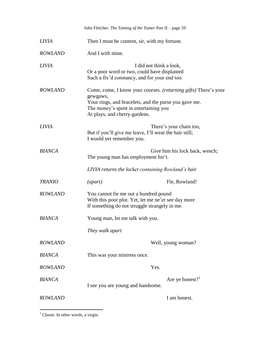|                | John Fletcher: The Taming of the Tamer Part II - page 59                                                                                                                                                                |                                                                                   |  |
|----------------|-------------------------------------------------------------------------------------------------------------------------------------------------------------------------------------------------------------------------|-----------------------------------------------------------------------------------|--|
| <i>LIVIA</i>   | Then I must be content, sir, with my fortune.                                                                                                                                                                           |                                                                                   |  |
| <b>ROWLAND</b> | And I with mine.                                                                                                                                                                                                        |                                                                                   |  |
| <i>LIVIA</i>   | I did not think a look,<br>Or a poor word or two, could have displanted<br>Such a fix'd constancy, and for your end too.                                                                                                |                                                                                   |  |
| <b>ROWLAND</b> | Come, come, I know your courses. ( <i>returning gifts</i> ) There's your<br>gewgaws,<br>Your rings, and bracelets, and the purse you gave me.<br>The money's spent in entertaining you<br>At plays, and cherry-gardens. |                                                                                   |  |
| <b>LIVIA</b>   | I would yet remember you.                                                                                                                                                                                               | There's your chain too,<br>But if you'll give me leave, I'll wear the hair still; |  |
| <b>BIANCA</b>  | The young man has employment for't.                                                                                                                                                                                     | Give him his lock back, wench;                                                    |  |
|                | LIVIA returns the locket containing Rowland's hair                                                                                                                                                                      |                                                                                   |  |
| <b>TRANIO</b>  | $\left( apart\right)$                                                                                                                                                                                                   | Fie, Rowland!                                                                     |  |
| <b>ROWLAND</b> | You cannot fie me out a hundred pound<br>With this poor plot. Yet, let me ne'er see day more<br>If something do not struggle strangely in me.                                                                           |                                                                                   |  |
| <b>BIANCA</b>  | Young man, let me talk with you.                                                                                                                                                                                        |                                                                                   |  |
|                | They walk apart                                                                                                                                                                                                         |                                                                                   |  |
| <b>ROWLAND</b> |                                                                                                                                                                                                                         | Well, young woman?                                                                |  |
| <b>BIANCA</b>  | This was your mistress once.                                                                                                                                                                                            |                                                                                   |  |
| <b>ROWLAND</b> | Yes.                                                                                                                                                                                                                    |                                                                                   |  |
| <b>BIANCA</b>  | I see you are young and handsome.                                                                                                                                                                                       | Are ye honest? $1$                                                                |  |
| <b>ROWLAND</b> |                                                                                                                                                                                                                         | I am honest.                                                                      |  |

 $\overline{a}$  $<sup>1</sup>$  Chaste. In other words, a virgin.</sup>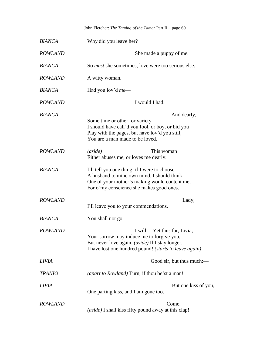John Fletcher: *The Taming of the Tamer* Part II – page 60

| <b>BIANCA</b>  | Why did you leave her?                                                                                                                                                                        |
|----------------|-----------------------------------------------------------------------------------------------------------------------------------------------------------------------------------------------|
| <b>ROWLAND</b> | She made a puppy of me.                                                                                                                                                                       |
| <b>BIANCA</b>  | So <i>must</i> she sometimes; love were too serious else.                                                                                                                                     |
| <b>ROWLAND</b> | A witty woman.                                                                                                                                                                                |
| <b>BIANCA</b>  | Had you lov'd <i>me</i> —                                                                                                                                                                     |
| <b>ROWLAND</b> | I would I had.                                                                                                                                                                                |
| <b>BIANCA</b>  | —And dearly,<br>Some time or other for variety<br>I should have call'd you fool, or boy, or bid you<br>Play with the pages, but have lov'd you still,<br>You are a man made to be loved.      |
| <b>ROWLAND</b> | (aside)<br>This woman<br>Either abuses me, or loves me dearly.                                                                                                                                |
| <b>BIANCA</b>  | I'll tell you one thing: if I were to choose<br>A husband to mine own mind, I should think<br>One of your mother's making would content me,<br>For o'my conscience she makes good ones.       |
| <b>ROWLAND</b> | Lady,<br>I'll leave you to your commendations.                                                                                                                                                |
| <b>BIANCA</b>  | You shall not go.                                                                                                                                                                             |
| <b>ROWLAND</b> | I will.—Yet thus far, Livia,<br>Your sorrow may induce me to forgive you,<br>But never love again. <i>(aside)</i> If I stay longer,<br>I have lost one hundred pound! (starts to leave again) |
| <b>LIVIA</b>   | Good sir, but thus much:—                                                                                                                                                                     |
| <b>TRANIO</b>  | (apart to Rowland) Turn, if thou be'st a man!                                                                                                                                                 |
| <b>LIVIA</b>   | -But one kiss of you,<br>One parting kiss, and I am gone too.                                                                                                                                 |
| <b>ROWLAND</b> | Come.<br>(aside) I shall kiss fifty pound away at this clap!                                                                                                                                  |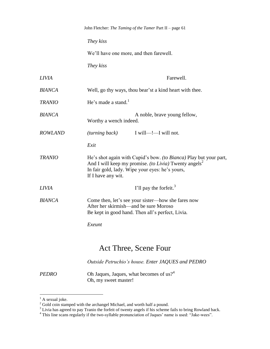| John Fletcher: The Taming of the Tamer Part II - page 61                                                                                                                                                               |
|------------------------------------------------------------------------------------------------------------------------------------------------------------------------------------------------------------------------|
| They kiss                                                                                                                                                                                                              |
| We'll have one more, and then farewell.                                                                                                                                                                                |
| They kiss                                                                                                                                                                                                              |
| Farewell.                                                                                                                                                                                                              |
| Well, go thy ways, thou bear'st a kind heart with thee.                                                                                                                                                                |
| He's made a stand. $1$                                                                                                                                                                                                 |
| A noble, brave young fellow,<br>Worthy a wench indeed.                                                                                                                                                                 |
| (turning back)<br>I will—!—I will not.                                                                                                                                                                                 |
| Exit                                                                                                                                                                                                                   |
| He's shot again with Cupid's bow. (to Bianca) Play but your part,<br>And I will keep my promise. <i>(to Livia)</i> Twenty angels <sup>2</sup><br>In fair gold, lady. Wipe your eyes: he's yours,<br>If I have any wit. |
| I'll pay the forfeit. $3$                                                                                                                                                                                              |
| Come then, let's see your sister—how she fares now<br>After her skirmish—and be sure Moroso<br>Be kept in good hand. Then all's perfect, Livia.<br>Exeunt                                                              |
|                                                                                                                                                                                                                        |

#### Act Three, Scene Four

*Outside Petruchio's house. Enter JAQUES and PEDRO*

*PEDRO* Oh Jaques, Jaques, what becomes of us?<sup>4</sup> Oh, my sweet master!

 $<sup>1</sup>$  A sexual joke.</sup>

 $2^{2}$  Gold coin stamped with the archangel Michael, and worth half a pound.

 $3$  Livia has agreed to pay Tranio the forfeit of twenty angels if his scheme fails to bring Rowland back.

<sup>&</sup>lt;sup>4</sup> This line scans regularly if the two-syllable pronunciation of Jaques' name is used: "Jake-wees".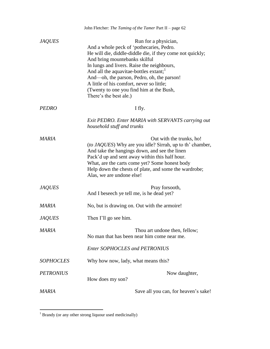|                  | John Fletcher: The Taming of the Tamer Part II - page 62                                                                                                                                                                                                                                                                                                                                                                            |  |
|------------------|-------------------------------------------------------------------------------------------------------------------------------------------------------------------------------------------------------------------------------------------------------------------------------------------------------------------------------------------------------------------------------------------------------------------------------------|--|
| <b>JAQUES</b>    | Run for a physician,<br>And a whole peck of 'pothecaries, Pedro.<br>He will die, diddle-diddle die, if they come not quickly;<br>And bring mountebanks skilful<br>In lungs and livers. Raise the neighbours,<br>And all the aquavitae-bottles extant; <sup>1</sup><br>And—oh, the parson, Pedro, oh, the parson!<br>A little of his comfort, never so little;<br>(Twenty to one you find him at the Bush,<br>There's the best ale.) |  |
| PEDRO            | I fly.                                                                                                                                                                                                                                                                                                                                                                                                                              |  |
|                  | Exit PEDRO. Enter MARIA with SERVANTS carrying out<br>household stuff and trunks                                                                                                                                                                                                                                                                                                                                                    |  |
| MARIA            | Out with the trunks, ho!<br><i>(to JAQUES)</i> Why are you idle? Sirrah, up to th' chamber,<br>And take the hangings down, and see the linen<br>Pack'd up and sent away within this half hour.<br>What, are the carts come yet? Some honest body<br>Help down the chests of plate, and some the wardrobe;<br>Alas, we are undone else!                                                                                              |  |
| <b>JAQUES</b>    | Pray forsooth,<br>And I beseech ye tell me, is he dead yet?                                                                                                                                                                                                                                                                                                                                                                         |  |
| <b>MARIA</b>     | No, but is drawing on. Out with the armoire!                                                                                                                                                                                                                                                                                                                                                                                        |  |
| <i>JAQUES</i>    | Then I'll go see him.                                                                                                                                                                                                                                                                                                                                                                                                               |  |
| MARIA            | Thou art undone then, fellow;<br>No man that has been near him come near me.                                                                                                                                                                                                                                                                                                                                                        |  |
|                  | <b>Enter SOPHOCLES and PETRONIUS</b>                                                                                                                                                                                                                                                                                                                                                                                                |  |
| <b>SOPHOCLES</b> | Why how now, lady, what means this?                                                                                                                                                                                                                                                                                                                                                                                                 |  |
| <b>PETRONIUS</b> | Now daughter,<br>How does my son?                                                                                                                                                                                                                                                                                                                                                                                                   |  |
| <b>MARIA</b>     | Save all you can, for heaven's sake!                                                                                                                                                                                                                                                                                                                                                                                                |  |

 $1$  Brandy (or any other strong liquour used medicinally)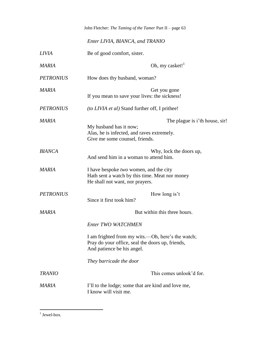John Fletcher: *The Taming of the Tamer* Part II – page 63

*Enter LIVIA, BIANCA, and TRANIO*

| <b>LIVIA</b>     | Be of good comfort, sister.                                                                                                              |
|------------------|------------------------------------------------------------------------------------------------------------------------------------------|
| <b>MARIA</b>     | Oh, my casket! $1$                                                                                                                       |
| <b>PETRONIUS</b> | How does thy husband, woman?                                                                                                             |
| <b>MARIA</b>     | Get you gone<br>If you mean to save your lives: the sickness!                                                                            |
| <b>PETRONIUS</b> | (to LIVIA et al) Stand further off, I prithee!                                                                                           |
| MARIA            | The plague is i'th house, sir!<br>My husband has it now;<br>Alas, he is infected, and raves extremely.<br>Give me some counsel, friends. |
| <b>BIANCA</b>    | Why, lock the doors up,<br>And send him in a woman to attend him.                                                                        |
| MARIA            | I have bespoke two women, and the city<br>Hath sent a watch by this time. Meat nor money<br>He shall not want, nor prayers.              |
| <b>PETRONIUS</b> | How long is't<br>Since it first took him?                                                                                                |
| <b>MARIA</b>     | But within this three hours.                                                                                                             |
|                  | <b>Enter TWO WATCHMEN</b>                                                                                                                |
|                  | I am frighted from my wits.—Oh, here's the watch;<br>Pray do your office, seal the doors up, friends,<br>And patience be his angel.      |
|                  | They barricade the door                                                                                                                  |
| <b>TRANIO</b>    | This comes unlook'd for.                                                                                                                 |
| MARIA            | I'll to the lodge; some that are kind and love me,<br>I know will visit me.                                                              |

 $\frac{1}{1}$  Jewel-box.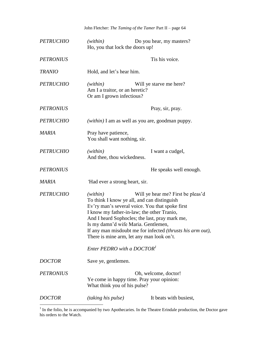John Fletcher: *The Taming of the Tamer* Part II – page 64 *PETRUCHIO (within)* Do you hear, my masters? Ho, you that lock the doors up! *PETRONIUS* Tis his voice. *TRANIO* Hold, and let's hear him. *PETRUCHIO (within)* Will ye starve me here? Am I a traitor, or an heretic? Or am I grown infectious? *PETRONIUS* Pray, sir, pray. *PETRUCHIO (within)* I am as well as you are, goodman puppy. *MARIA* Pray have patience, You shall want nothing, sir. *PETRUCHIO (within)* I want a cudgel, And thee, thou wickedness. *PETRONIUS* He speaks well enough. *MARIA '*Had ever a strong heart, sir. *PETRUCHIO (within)* Will ye hear me? First be pleas'd To think I know ye all, and can distinguish Ev'ry man's several voice. You that spoke first I know my father-in-law; the other Tranio*,*  And I heard Sophocles; the last, pray mark me, Is my damn'd wife Maria. Gentlemen, If any man misdoubt me for infected *(thrusts his arm out)*, There is mine arm, let any man look on't. *Enter PEDRO with a DOCTOR<sup>1</sup> DOCTOR* Save ye, gentlemen. *PETRONIUS* Oh, welcome, doctor! Ye come in happy time. Pray your opinion: What think you of his pulse? *DOCTOR (taking his pulse)* It beats with busiest,

 $<sup>1</sup>$  In the folio, he is accompanied by two Apothecaries. In the Theatre Erindale production, the Doctor gave</sup> his orders to the Watch.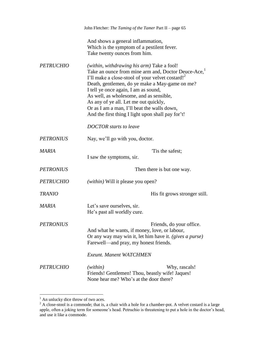|                  | John Fletcher: The Taming of the Tamer Part II - page 65                                                                                                                                                                                                                                                                                                                                                                                           |
|------------------|----------------------------------------------------------------------------------------------------------------------------------------------------------------------------------------------------------------------------------------------------------------------------------------------------------------------------------------------------------------------------------------------------------------------------------------------------|
|                  | And shows a general inflammation,<br>Which is the symptom of a pestilent fever.<br>Take twenty ounces from him.                                                                                                                                                                                                                                                                                                                                    |
| <b>PETRUCHIO</b> | (within, withdrawing his arm) Take a fool!<br>Take an ounce from mine arm and, Doctor Deuce-Ace,<br>I'll make a close-stool of your velvet costard! <sup>2</sup><br>Death, gentlemen, do ye make a May-game on me?<br>I tell ye once again, I am as sound,<br>As well, as wholesome, and as sensible,<br>As any of ye all. Let me out quickly,<br>Or as I am a man, I'll beat the walls down,<br>And the first thing I light upon shall pay for't! |
|                  | <b>DOCTOR</b> starts to leave                                                                                                                                                                                                                                                                                                                                                                                                                      |
| <b>PETRONIUS</b> | Nay, we'll go with you, doctor.                                                                                                                                                                                                                                                                                                                                                                                                                    |
| <b>MARIA</b>     | Tis the safest;<br>I saw the symptoms, sir.                                                                                                                                                                                                                                                                                                                                                                                                        |
| <b>PETRONIUS</b> | Then there is but one way.                                                                                                                                                                                                                                                                                                                                                                                                                         |
| <b>PETRUCHIO</b> | (within) Will it please you open?                                                                                                                                                                                                                                                                                                                                                                                                                  |
| <b>TRANIO</b>    | His fit grows stronger still.                                                                                                                                                                                                                                                                                                                                                                                                                      |
| MARIA            | Let's save ourselves, sir.<br>He's past all worldly cure.                                                                                                                                                                                                                                                                                                                                                                                          |
| <i>PETRONIUS</i> | Friends, do your office.<br>And what he wants, if money, love, or labour,<br>Or any way may win it, let him have it. (gives a purse)<br>Farewell-and pray, my honest friends.                                                                                                                                                                                                                                                                      |
|                  | <b>Exeunt. Manent WATCHMEN</b>                                                                                                                                                                                                                                                                                                                                                                                                                     |
| <b>PETRUCHIO</b> | (within)<br>Why, rascals!<br>Friends! Gentlemen! Thou, beastly wife! Jaques!<br>None hear me? Who's at the door there?                                                                                                                                                                                                                                                                                                                             |

 $<sup>1</sup>$  An unlucky dice throw of two aces.</sup>

 $2^2$  A close-stool is a commode; that is, a chair with a hole for a chamber-pot. A velvet costard is a large apple, often a joking term for someone's head. Petruchio is threatening to put a hole in the doctor's head, and use it like a commode.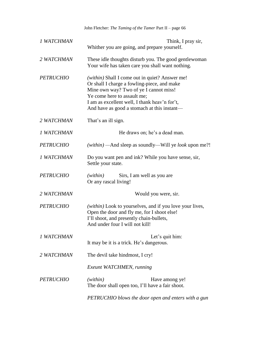John Fletcher: *The Taming of the Tamer* Part II – page 66

| 1 WATCHMAN       | Think, I pray sir,<br>Whither you are going, and prepare yourself.                                                                                                                                                                                                     |
|------------------|------------------------------------------------------------------------------------------------------------------------------------------------------------------------------------------------------------------------------------------------------------------------|
| 2 WATCHMAN       | These idle thoughts disturb you. The good gentlewoman<br>Your wife has taken care you shall want nothing.                                                                                                                                                              |
| <b>PETRUCHIO</b> | (within) Shall I come out in quiet? Answer me!<br>Or shall I charge a fowling-piece, and make<br>Mine own way? Two of ye I cannot miss!<br>Ye come here to assault me;<br>I am as excellent well, I thank heav'n for't,<br>And have as good a stomach at this instant- |
| 2 WATCHMAN       | That's an ill sign.                                                                                                                                                                                                                                                    |
| 1 WATCHMAN       | He draws on; he's a dead man.                                                                                                                                                                                                                                          |
| <b>PETRUCHIO</b> | (within) — And sleep as soundly—Will ye <i>look</i> upon me?!                                                                                                                                                                                                          |
| 1 WATCHMAN       | Do you want pen and ink? While you have sense, sir,<br>Settle your state.                                                                                                                                                                                              |
| <b>PETRUCHIO</b> | Sirs, I am well as you are<br>(within)<br>Or any rascal living!                                                                                                                                                                                                        |
| 2 WATCHMAN       | Would you were, sir.                                                                                                                                                                                                                                                   |
| <b>PETRUCHIO</b> | (within) Look to yourselves, and if you love your lives,<br>Open the door and fly me, for I shoot else!<br>I'll shoot, and presently chain-bullets,<br>And under four I will not kill!                                                                                 |
| 1 WATCHMAN       | Let's quit him:<br>It may be it is a trick. He's dangerous.                                                                                                                                                                                                            |
| 2 WATCHMAN       | The devil take hindmost, I cry!                                                                                                                                                                                                                                        |
|                  | Exeunt WATCHMEN, running                                                                                                                                                                                                                                               |
| <b>PETRUCHIO</b> | (within)<br>Have among ye!<br>The door shall open too, I'll have a fair shoot.                                                                                                                                                                                         |
|                  | PETRUCHIO blows the door open and enters with a gun                                                                                                                                                                                                                    |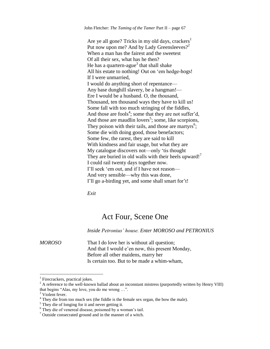John Fletcher: *The Taming of the Tamer* Part II – page 67

Are ye all gone? Tricks in my old days, crackers<sup>1</sup> Put now upon me? And by Lady Greensleeves?<sup>2</sup> When a man has the fairest and the sweetest Of all their sex, what has he then? He has a quartern-ague<sup>3</sup> that shall shake All his estate to nothing! Out on 'em hedge-hogs! If I were unmarried, I would do anything short of repentance— Any base dunghill slavery, be a hangman!— Ere I would be a husband. O, the thousand, Thousand, ten thousand ways they have to kill us! Some fall with too much stringing of the fiddles, And those are fools<sup>4</sup>; some that they are not suffer'd, And those are maudlin lovers<sup>5</sup>; some, like scorpions, They poison with their tails, and those are martyrs<sup>6</sup>; Some die with doing good, those benefactors; Some few, the rarest, they are said to kill With kindness and fair usage, but what they are My catalogue discovers not—only 'tis thought They are buried in old walls with their heels upward!<sup>7</sup> I could rail twenty days together now. I'll seek 'em out, and if I have not reason— And very sensible—why this was done, I'll go a-birding yet, and some shall smart for't!

*Exit*

#### Act Four, Scene One

*Inside Petronius' house. Enter MOROSO and PETRONIUS*

*MOROSO* That I do love her is without all question; And that I would e'en now, this present Monday, Before all other maidens, marry her Is certain too. But to be made a whim-wham,

<sup>&</sup>lt;sup>1</sup> Firecrackers, practical jokes.

<sup>&</sup>lt;sup>2</sup> A reference to the well-known ballad about an inconstant mistress (purportedly written by Henry VIII) that begins "Alas, my love, you do me wrong …".

<sup>&</sup>lt;sup>3</sup> Violent fever.

<sup>4</sup> They die from too much sex (the fiddle is the female sex organ, the bow the male).

 $<sup>5</sup>$  They die of longing for it and never getting it.</sup>

 $6$  They die of venereal disease, poisoned by a woman's tail.

 $\frac{7}{7}$  Outside consecrated ground and in the manner of a witch.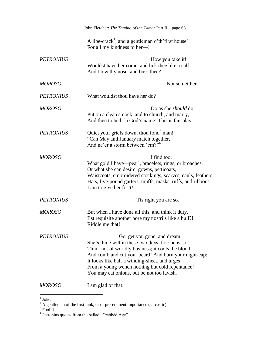|                  | John Fletcher: The Taming of the Tamer Part II - page 68                                                                                                                                                                                                                                                                                          |
|------------------|---------------------------------------------------------------------------------------------------------------------------------------------------------------------------------------------------------------------------------------------------------------------------------------------------------------------------------------------------|
|                  | A jibe-crack <sup>1</sup> , and a gentleman o'th' first house <sup>2</sup><br>For all my kindness to her-!                                                                                                                                                                                                                                        |
| <b>PETRONIUS</b> | How you take it!<br>Wouldst have her come, and lick thee like a calf,<br>And blow thy nose, and buss thee?                                                                                                                                                                                                                                        |
| <b>MOROSO</b>    | Not so neither.                                                                                                                                                                                                                                                                                                                                   |
| <b>PETRONIUS</b> | What wouldst thou have her do?                                                                                                                                                                                                                                                                                                                    |
| <b>MOROSO</b>    | Do as she <i>should</i> do:<br>Put on a clean smock, and to church, and marry,<br>And then to bed, 'a God's name! This is fair play.                                                                                                                                                                                                              |
| <b>PETRONIUS</b> | Quiet your griefs down, thou fond <sup>3</sup> man!<br>"Can May and January match together,<br>And ne'er a storm between 'em?" <sup>4</sup>                                                                                                                                                                                                       |
| <b>MOROSO</b>    | I find too:<br>What gold I have—pearl, bracelets, rings, or broaches,<br>Or what she can desire, gowns, petticoats,<br>Waistcoats, embroidered stockings, scarves, cauls, feathers,<br>Hats, five-pound garters, muffs, masks, ruffs, and ribbons-<br>I am to give her for't!                                                                     |
| <b>PETRONIUS</b> | Tis right you are so.                                                                                                                                                                                                                                                                                                                             |
| <b>MOROSO</b>    | But when I have done all this, and think it duty,<br>I'st requisite another bore my nostrils like a bull?!<br>Riddle me that!                                                                                                                                                                                                                     |
| <i>PETRONIUS</i> | Go, get you gone, and dream<br>She's thine within these two days, for she is so.<br>Think not of worldly business; it cools the blood.<br>And comb and cut your beard! And burn your night-cap:<br>It looks like half a winding-sheet, and urges<br>From a young wench nothing but cold repentance!<br>You may eat onions, but be not too lavish. |
| <b>MOROSO</b>    | I am glad of that.                                                                                                                                                                                                                                                                                                                                |

 $\frac{1}{1}$  Joke.

<sup>&</sup>lt;sup>2</sup> A gentleman of the first rank, or of pre-eminent importance (sarcastic).<br>
<sup>3</sup> Foolish.<br>
<sup>4</sup> Petronius quotes from the ballad "Crabbèd Age".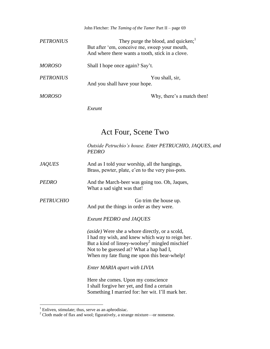John Fletcher: *The Taming of the Tamer* Part II – page 69

| <b>PETRONIUS</b> | They purge the blood, and quicken; $1$<br>But after 'em, conceive me, sweep your mouth,<br>And where there wants a tooth, stick in a clove. |
|------------------|---------------------------------------------------------------------------------------------------------------------------------------------|
| <b>MOROSO</b>    | Shall I hope once again? Say't.                                                                                                             |
| <b>PETRONIUS</b> | You shall, sir,<br>And you shall have your hope.                                                                                            |
| <i>MOROSO</i>    | Why, there's a match then!                                                                                                                  |

*Exeunt*

### Act Four, Scene Two

*Outside Petruchio's house. Enter PETRUCHIO, JAQUES, and PEDRO*

| <i>JAQUES</i> | And as I told your worship, all the hangings,     |
|---------------|---------------------------------------------------|
|               | Brass, pewter, plate, e'en to the very piss-pots. |

*PEDRO* And the March-beer was going too. Oh, Jaques, What a sad sight was that!

*PETRUCHIO* Go trim the house up. And put the things in order as they were.

*Exeunt PEDRO and JAQUES*

*(aside)* Were she a whore directly, or a scold, I had my wish, and knew which way to reign her. But a kind of linsey-woolsey<sup>2</sup> mingled mischief Not to be guessed at? What a hap had I, When my fate flung me upon this bear-whelp!

*Enter MARIA apart with LIVIA*

Here she comes. Upon my conscience I shall forgive her yet, and find a certain Something I married for: her wit. I'll mark her.

 $<sup>1</sup>$  Enliven, stimulate; thus, serve as an aphrodisiac.</sup>

<sup>&</sup>lt;sup>2</sup> Cloth made of flax and wool; figuratively, a strange mixture—or nonsense.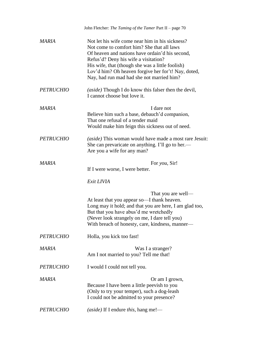|                  | John Fletcher: The Taming of the Tamer Part II - page 70                                                                                                                                                                                                                                                                                         |
|------------------|--------------------------------------------------------------------------------------------------------------------------------------------------------------------------------------------------------------------------------------------------------------------------------------------------------------------------------------------------|
| <b>MARIA</b>     | Not let his wife come near him in his sickness?<br>Not come to comfort him? She that all laws<br>Of heaven and nations have ordain'd his second,<br>Refus'd? Deny his wife a visitation?<br>His wife, that (though she was a little foolish)<br>Lov'd him? Oh heaven forgive her for't! Nay, doted,<br>Nay, had run mad had she not married him? |
| <b>PETRUCHIO</b> | <i>(aside)</i> Though I do know this falser then the devil,<br>I cannot choose but love it.                                                                                                                                                                                                                                                      |
| <b>MARIA</b>     | I dare not<br>Believe him such a base, debauch'd companion,<br>That one refusal of a tender maid<br>Would make him feign this sickness out of need.                                                                                                                                                                                              |
| <b>PETRUCHIO</b> | <i>(aside)</i> This woman would have made a most rare Jesuit:<br>She can prevaricate on anything. I'll go to her.—<br>Are you a wife for any man?                                                                                                                                                                                                |
| MARIA            | For you, Sir!<br>If I were worse, I were better.                                                                                                                                                                                                                                                                                                 |
|                  | Exit LIVIA                                                                                                                                                                                                                                                                                                                                       |
|                  | That you are well—<br>At least that you appear so-I thank heaven.<br>Long may it hold; and that you are here, I am glad too,<br>But that you have abus'd me wretchedly<br>(Never look strangely on me, I dare tell you)<br>With breach of honesty, care, kindness, manner-                                                                       |
| <b>PETRUCHIO</b> | Holla, you kick too fast!                                                                                                                                                                                                                                                                                                                        |
| MARIA            | Was I a stranger?<br>Am I not married to you? Tell me that!                                                                                                                                                                                                                                                                                      |
| <b>PETRUCHIO</b> | I would I could not tell you.                                                                                                                                                                                                                                                                                                                    |
| MARIA            | Or am I grown,<br>Because I have been a little peevish to you<br>(Only to try your temper), such a dog-leash<br>I could not be admitted to your presence?                                                                                                                                                                                        |
| <b>PETRUCHIO</b> | (aside) If I endure this, hang me!—                                                                                                                                                                                                                                                                                                              |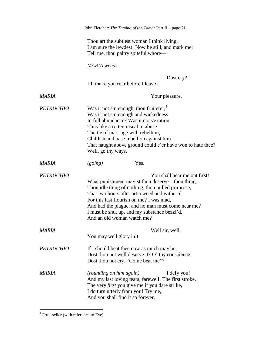|                  | John Fletcher: The Taming of the Tamer Part II - page 71                                                                                                                                                                                                                                                                                                             |
|------------------|----------------------------------------------------------------------------------------------------------------------------------------------------------------------------------------------------------------------------------------------------------------------------------------------------------------------------------------------------------------------|
|                  | Thou art the subtlest woman I think living,<br>I am sure the lewdest! Now be still, and mark me:<br>Tell me, thou paltry spiteful whore—                                                                                                                                                                                                                             |
|                  | <b>MARIA</b> weeps                                                                                                                                                                                                                                                                                                                                                   |
|                  | Dost cry?!<br>I'll make you roar before I leave!                                                                                                                                                                                                                                                                                                                     |
| MARIA            | Your pleasure.                                                                                                                                                                                                                                                                                                                                                       |
| <b>PETRUCHIO</b> | Was it not sin enough, thou fruiterer, $1$<br>Was it not sin enough and wickedness<br>In full abundance? Was it not vexation<br>Thus like a rotten rascal to abuse<br>The tie of marriage with rebellion,<br>Childish and base rebellion against him<br>That naught above ground could e'er have won to hate thee?<br>Well, go thy ways.                             |
| <b>MARIA</b>     | Yes.<br>(going)                                                                                                                                                                                                                                                                                                                                                      |
| <b>PETRUCHIO</b> | You shall hear me out first!<br>What punishment may'st thou deserve—thou thing,<br>Thou idle thing of nothing, thou pulled primrose,<br>That two hours after art a weed and wither'd—<br>For this last flourish on me? I was mad,<br>And had the plague, and no man must come near me?<br>I must be shut up, and my substance bezzl'd,<br>And an old woman watch me? |
| <b>MARIA</b>     | Well sir, well,<br>You may well glory in't.                                                                                                                                                                                                                                                                                                                          |
| <b>PETRUCHIO</b> | If I should beat thee now as much may be,<br>Dost thou not well deserve it? O' thy conscience,<br>Dost thou not cry, "Come beat me"?                                                                                                                                                                                                                                 |
| <b>MARIA</b>     | <i>(rounding on him again)</i><br>I defy you!<br>And my last loving tears, farewell! The first stroke,<br>The very <i>first</i> you give me if you dare strike,<br>I do turn utterly from you! Try me,<br>And you shall find it so forever,                                                                                                                          |

 1 Fruit-seller (with reference to Eve).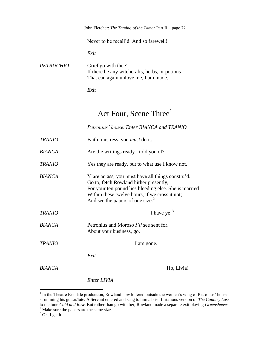|                  | John Fletcher: The Taming of the Tamer Part II – page $72$                                                    |
|------------------|---------------------------------------------------------------------------------------------------------------|
|                  | Never to be recall'd. And so farewell!                                                                        |
|                  | Exit                                                                                                          |
| <i>PETRUCHIO</i> | Grief go with thee!<br>If there be any witchcrafts, herbs, or potions<br>That can again unlove me, I am made. |

*Exit*

### Act Four, Scene Three<sup>1</sup>

*Petronius' house. Enter BIANCA and TRANIO*

| <b>TRANIO</b> | Faith, mistress, you <i>must</i> do it.                                                                                                                                                                                                                  |
|---------------|----------------------------------------------------------------------------------------------------------------------------------------------------------------------------------------------------------------------------------------------------------|
| <b>BIANCA</b> | Are the writings ready I told you of?                                                                                                                                                                                                                    |
| <b>TRANIO</b> | Yes they are ready, but to what use I know not.                                                                                                                                                                                                          |
| <b>BIANCA</b> | Y' are an ass, you must have all things constru'd.<br>Go to, fetch Rowland hither presently,<br>For your ten pound lies bleeding else. She is married<br>Within these twelve hours, if we cross it not;—<br>And see the papers of one size. <sup>2</sup> |
|               |                                                                                                                                                                                                                                                          |
| <b>TRANIO</b> | I have ye! $3$                                                                                                                                                                                                                                           |
| <b>BIANCA</b> | Petronius and Moroso I'll see sent for.<br>About your business, go.                                                                                                                                                                                      |
| <b>TRANIO</b> | I am gone.                                                                                                                                                                                                                                               |
|               | Exit                                                                                                                                                                                                                                                     |

*Enter LIVIA*

<sup>&</sup>lt;sup>1</sup> In the Theatre Erindale production, Rowland now loitered outside the women's wing of Petronius' house strumming his guitar/lute. A Servant entered and sang to him a brief flirtatious version of *The Country Lass* to the tune *Cold and Raw*. But rather than go with her, Rowland made a separate exit playing *Greensleeves*.  $2^2$  Make sure the papers are the same size.

 $3$  Oh, I get it!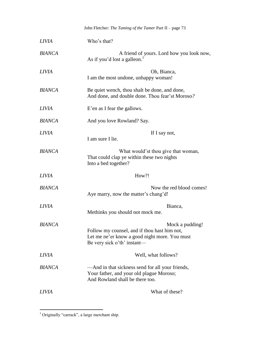|               | John Fletcher: The Taming of the Tamer Part II - page 73                                                                                        |
|---------------|-------------------------------------------------------------------------------------------------------------------------------------------------|
| <b>LIVIA</b>  | Who's that?                                                                                                                                     |
| <b>BIANCA</b> | A friend of yours. Lord how you look now,<br>As if you'd lost a galleon. <sup>1</sup>                                                           |
| <i>LIVIA</i>  | Oh, Bianca,<br>I am the most undone, unhappy woman!                                                                                             |
| <b>BIANCA</b> | Be quiet wench, thou shalt be done, and done,<br>And done, and double done. Thou fear'st Moroso?                                                |
| <i>LIVIA</i>  | E'en as I fear the gallows.                                                                                                                     |
| <b>BIANCA</b> | And you love Rowland? Say.                                                                                                                      |
| <i>LIVIA</i>  | If I say not,<br>I am sure I lie.                                                                                                               |
| <b>BIANCA</b> | What would'st thou give that woman,<br>That could clap ye within these two nights<br>Into a bed together?                                       |
| <b>LIVIA</b>  | How?!                                                                                                                                           |
| <b>BIANCA</b> | Now the red blood comes!<br>Aye marry, now the matter's chang'd!                                                                                |
| <i>LIVIA</i>  | Bianca,<br>Methinks you should not mock me.                                                                                                     |
| <b>BIANCA</b> | Mock a pudding!<br>Follow my counsel, and if thou hast him not,<br>Let me ne'er know a good night more. You must<br>Be very sick o'th' instant— |
| <i>LIVIA</i>  | Well, what follows?                                                                                                                             |
| <b>BIANCA</b> | —And in that sickness send for all your friends,<br>Your father, and your old plague Moroso;<br>And Rowland shall be there too.                 |
| LIVIA         | What of these?                                                                                                                                  |

 $<sup>1</sup>$  Originally "carrack", a large merchant ship.</sup>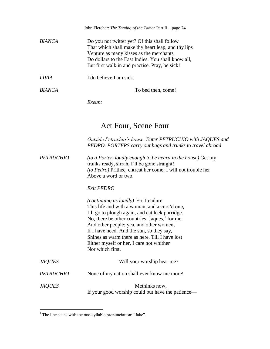|               | John Fletcher: The Taming of the Tamer Part II - page 74                                                                                                                                                                                              |
|---------------|-------------------------------------------------------------------------------------------------------------------------------------------------------------------------------------------------------------------------------------------------------|
| <b>BIANCA</b> | Do you not twitter yet? Of this shall follow<br>That which shall make thy heart leap, and thy lips<br>Venture as many kisses as the merchants<br>Do dollars to the East Indies. You shall know all,<br>But first walk in and practise. Pray, be sick! |
| <i>LIVIA</i>  | I do believe I am sick.                                                                                                                                                                                                                               |
| <i>BIANCA</i> | To bed then, come!                                                                                                                                                                                                                                    |

*Exeunt*

# Act Four, Scene Four

|                  | Outside Petruchio's house. Enter PETRUCHIO with JAQUES and<br>PEDRO. PORTERS carry out bags and trunks to travel abroad                                                                                                                                                                                                                                                                                                 |
|------------------|-------------------------------------------------------------------------------------------------------------------------------------------------------------------------------------------------------------------------------------------------------------------------------------------------------------------------------------------------------------------------------------------------------------------------|
| <i>PETRUCHIO</i> | (to a Porter, loudly enough to be heard in the house) Get my<br>trunks ready, sirrah, I'll be gone straight!<br><i>(to Pedro)</i> Prithee, entreat her come; I will not trouble her<br>Above a word or two.                                                                                                                                                                                                             |
|                  | <b>Exit PEDRO</b>                                                                                                                                                                                                                                                                                                                                                                                                       |
|                  | <i>(continuing as loudly)</i> Ere I endure<br>This life and with a woman, and a curs'd one,<br>I'll go to plough again, and eat leek porridge.<br>No, there be other countries, Jaques, $\frac{1}{1}$ for me,<br>And other people; yea, and other women,<br>If I have need. And the sun, so they say,<br>Shines as warm there as here. Till I have lost<br>Either myself or her, I care not whither<br>Nor which first. |
| <i>JAQUES</i>    | Will your worship hear me?                                                                                                                                                                                                                                                                                                                                                                                              |
| PETRUCHIO        | None of my nation shall ever know me more!                                                                                                                                                                                                                                                                                                                                                                              |
| <i>JAQUES</i>    | Methinks now,<br>If your good worship could but have the patience—                                                                                                                                                                                                                                                                                                                                                      |

 $<sup>1</sup>$  The line scans with the one-syllable pronunciation: "Jake".</sup>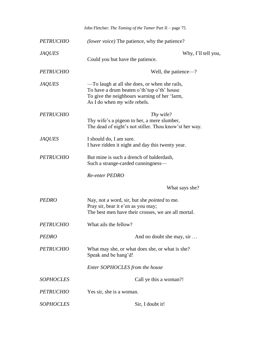|                  | John Fletcher: The Taming of the Tamer Part II - page $75$                                                                                                                     |
|------------------|--------------------------------------------------------------------------------------------------------------------------------------------------------------------------------|
| <b>PETRUCHIO</b> | <i>(lower voice)</i> The patience, why the patience?                                                                                                                           |
| <b>JAQUES</b>    | Why, I'll tell you,<br>Could you but have the patience.                                                                                                                        |
| <b>PETRUCHIO</b> | Well, the patience—?                                                                                                                                                           |
| <b>JAQUES</b>    | —To laugh at all she does, or when she rails,<br>To have a drum beaten o'th' top o'th' house<br>To give the neighbours warning of her 'larm,<br>As I do when $my$ wife rebels. |
| <b>PETRUCHIO</b> | Thy wife?<br>Thy wife's a pigeon to her, a mere slumber,<br>The dead of night's not stiller. Thou know's ther way.                                                             |
| <b>JAQUES</b>    | I should do, I am sure.<br>I have ridden it night and day this twenty year.                                                                                                    |
| <b>PETRUCHIO</b> | But mine is such a drench of balderdash,<br>Such a strange-carded cunningness-                                                                                                 |
|                  | <b>Re-enter PEDRO</b>                                                                                                                                                          |
|                  | What says she?                                                                                                                                                                 |
| <b>PEDRO</b>     | Nay, not a word, sir, but she pointed to me.<br>Pray sir, bear it e'en as you may;<br>The best men have their crosses, we are all mortal.                                      |
| <b>PETRUCHIO</b> | What ails the fellow?                                                                                                                                                          |
| <b>PEDRO</b>     | And no doubt she may, sir                                                                                                                                                      |
| <b>PETRUCHIO</b> | What may she, or what does she, or what is she?<br>Speak and be hang'd!                                                                                                        |
|                  | Enter SOPHOCLES from the house                                                                                                                                                 |
| <b>SOPHOCLES</b> | Call ye this a woman?!                                                                                                                                                         |
| <b>PETRUCHIO</b> | Yes sir, she is a woman.                                                                                                                                                       |
| <b>SOPHOCLES</b> | Sir, I doubt it!                                                                                                                                                               |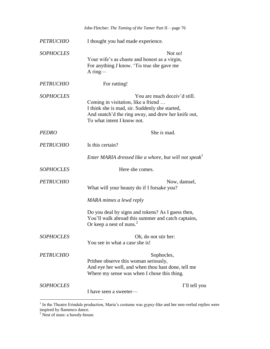|                  | John Fletcher: The Taming of the Tamer Part II - page 76                                                                                                                                                   |
|------------------|------------------------------------------------------------------------------------------------------------------------------------------------------------------------------------------------------------|
| <b>PETRUCHIO</b> | I thought you had made experience.                                                                                                                                                                         |
| <b>SOPHOCLES</b> | Not so!<br>Your wife's as chaste and honest as a virgin,<br>For anything <i>I</i> know. 'Tis true she gave me<br>$A$ ring—                                                                                 |
| <b>PETRUCHIO</b> | For rutting!                                                                                                                                                                                               |
| <b>SOPHOCLES</b> | You are much deceiv'd still.<br>Coming in visitation, like a friend<br>I think she is mad, sir. Suddenly she started,<br>And snatch'd the ring away, and drew her knife out,<br>To what intent I know not. |
| <b>PEDRO</b>     | She is mad.                                                                                                                                                                                                |
| <b>PETRUCHIO</b> | Is this certain?                                                                                                                                                                                           |
|                  | Enter MARIA dressed like a whore, but will not speak <sup>1</sup>                                                                                                                                          |
| <b>SOPHOCLES</b> | Here she comes.                                                                                                                                                                                            |
| <b>PETRUCHIO</b> | Now, damsel,<br>What will your beauty do if I forsake you?                                                                                                                                                 |
|                  | MARA mimes a lewd reply                                                                                                                                                                                    |
|                  | Do you deal by signs and tokens? As I guess then,<br>You'll walk abroad this summer and catch captains,<br>Or keep a nest of nuns. $2$                                                                     |
| <b>SOPHOCLES</b> | Oh, do not stir her:<br>You see in what a case she is!                                                                                                                                                     |
| <b>PETRUCHIO</b> | Sophocles,<br>Prithee observe this woman seriously,<br>And eye her well, and when thou hast done, tell me<br>Where my sense was when I chose this thing.                                                   |
| <b>SOPHOCLES</b> | I'll tell you<br>I have seen a sweeter-                                                                                                                                                                    |

<sup>&</sup>lt;sup>1</sup> In the Theatre Erindale production, Maria's costume was gypsy-like and her non-verbal replies were inspired by flamenco dance.

 $2$  Nest of nuns: a bawdy-house.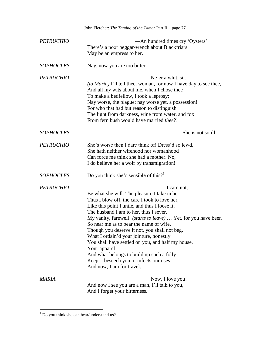|                  | John Fletcher: The Taming of the Tamer Part II - page 77                                                                                                                                                                                                                                                                                                                                                                                                                                                                                                                                                               |
|------------------|------------------------------------------------------------------------------------------------------------------------------------------------------------------------------------------------------------------------------------------------------------------------------------------------------------------------------------------------------------------------------------------------------------------------------------------------------------------------------------------------------------------------------------------------------------------------------------------------------------------------|
| <b>PETRUCHIO</b> | —An hundred times cry 'Oysters'!<br>There's a poor beggar-wench about Blackfriars<br>May be an empress to her.                                                                                                                                                                                                                                                                                                                                                                                                                                                                                                         |
| <b>SOPHOCLES</b> | Nay, now you are too bitter.                                                                                                                                                                                                                                                                                                                                                                                                                                                                                                                                                                                           |
| <b>PETRUCHIO</b> | Ne'er a whit, sir.—<br><i>(to Maria)</i> I'll tell thee, woman, for now I have day to see thee,<br>And all my wits about me, when I chose thee<br>To make a bedfellow, I took a leprosy;<br>Nay worse, the plague; nay worse yet, a possession!<br>For who that had but reason to distinguish<br>The light from darkness, wine from water, and fox<br>From fern bush would have married thee?!                                                                                                                                                                                                                         |
| <b>SOPHOCLES</b> | She is not so ill.                                                                                                                                                                                                                                                                                                                                                                                                                                                                                                                                                                                                     |
| <b>PETRUCHIO</b> | She's worse then I dare think of! Dress'd so lewd,<br>She hath neither wifehood nor womanhood<br>Can force me think she had a mother. No,<br>I do believe her a wolf by transmigration!                                                                                                                                                                                                                                                                                                                                                                                                                                |
| <b>SOPHOCLES</b> | Do you think she's sensible of this? <sup>1</sup>                                                                                                                                                                                                                                                                                                                                                                                                                                                                                                                                                                      |
| <b>PETRUCHIO</b> | I care not,<br>Be what she will. The pleasure I take in her,<br>Thus I blow off, the care I took to love her,<br>Like this point I untie, and thus I loose it;<br>The husband I am to her, thus I sever.<br>My vanity, farewell! <i>(starts to leave)</i> Yet, for you have been<br>So near me as to bear the name of wife,<br>Though you deserve it not, you shall not beg.<br>What I ordain'd your jointure, honestly<br>You shall have settled on you, and half my house.<br>Your apparel—<br>And what belongs to build up such a folly!-<br>Keep, I beseech you; it infects our uses.<br>And now, I am for travel. |
| MARIA            | Now, I love you!<br>And now I see you are a man, I'll talk to you,<br>And I forget your bitterness.                                                                                                                                                                                                                                                                                                                                                                                                                                                                                                                    |

 $<sup>1</sup>$  Do you think she can hear/understand us?</sup>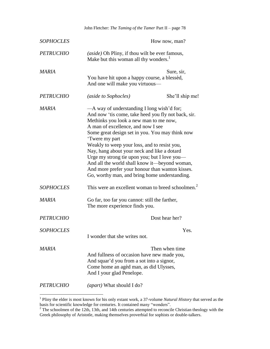|                  | John Fletcher: The Taming of the Tamer Part II - page 78                                                                                                                                                                                                                                                                                                                                                                                                                                                                                                   |                 |
|------------------|------------------------------------------------------------------------------------------------------------------------------------------------------------------------------------------------------------------------------------------------------------------------------------------------------------------------------------------------------------------------------------------------------------------------------------------------------------------------------------------------------------------------------------------------------------|-----------------|
| <b>SOPHOCLES</b> |                                                                                                                                                                                                                                                                                                                                                                                                                                                                                                                                                            | How now, man?   |
| <b>PETRUCHIO</b> | (aside) Oh Pliny, if thou wilt be ever famous,<br>Make but this woman all thy wonders. <sup>1</sup>                                                                                                                                                                                                                                                                                                                                                                                                                                                        |                 |
| MARIA            | You have hit upon a happy course, a blessed,<br>And one will make you virtuous—                                                                                                                                                                                                                                                                                                                                                                                                                                                                            | Sure, sir,      |
| <b>PETRUCHIO</b> | (aside to Sophocles)                                                                                                                                                                                                                                                                                                                                                                                                                                                                                                                                       | She'll ship me! |
| <b>MARIA</b>     | -A way of understanding I long wish'd for;<br>And now 'tis come, take heed you fly not back, sir.<br>Methinks you look a new man to me now,<br>A man of excellence, and now I see<br>Some great design set in you. You may think now<br>'Twere my part<br>Weakly to weep your loss, and to resist you,<br>Nay, hang about your neck and like a dotard<br>Urge my strong tie upon you; but I love you—<br>And all the world shall know it-beyond woman,<br>And more prefer your honour than wanton kisses.<br>Go, worthy man, and bring home understanding. |                 |
| <b>SOPHOCLES</b> | This were an excellent woman to breed schoolmen. <sup>2</sup>                                                                                                                                                                                                                                                                                                                                                                                                                                                                                              |                 |
| MARIA            | Go far, too far you cannot: still the farther,<br>The more experience finds you.                                                                                                                                                                                                                                                                                                                                                                                                                                                                           |                 |
| <b>PETRUCHIO</b> |                                                                                                                                                                                                                                                                                                                                                                                                                                                                                                                                                            | Dost hear her?  |
| <b>SOPHOCLES</b> | I wonder that she writes not.                                                                                                                                                                                                                                                                                                                                                                                                                                                                                                                              | Yes.            |
| <b>MARIA</b>     | And fullness of occasion have new made you,<br>And squar'd you from a sot into a signor,<br>Come home an agèd man, as did Ulysses,<br>And I your glad Penelope.                                                                                                                                                                                                                                                                                                                                                                                            | Then when time  |
| <i>PETRUCHIO</i> | (apart) What should I do?                                                                                                                                                                                                                                                                                                                                                                                                                                                                                                                                  |                 |

 1 Pliny the elder is most known for his only extant work, a 37-volume *Natural History* that served as the basis for scientific knowledge for centuries. It contained many "wonders".

 $2^2$  The schoolmen of the 12th, 13th, and 14th centuries attempted to reconcile Christian theology with the Greek philosophy of Aristotle, making themselves proverbial for sophists or double-talkers.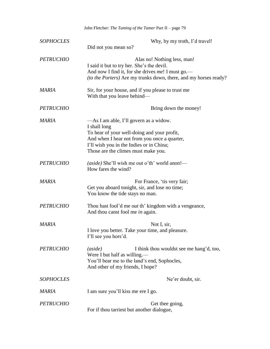|                  | John Fletcher: The Taming of the Tamer Part II - page 79                                                                                                                                                                                 |
|------------------|------------------------------------------------------------------------------------------------------------------------------------------------------------------------------------------------------------------------------------------|
| <b>SOPHOCLES</b> | Why, by my troth, I'd travel!<br>Did not you mean so?                                                                                                                                                                                    |
| <b>PETRUCHIO</b> | Alas no! Nothing less, man!<br>I said it but to try her. She's the devil.<br>And now I find it, for she drives me! I must go.—<br><i>(to the Porters)</i> Are my trunks down, there, and my horses ready?                                |
| MARIA            | Sir, for your house, and if you please to trust me<br>With that you leave behind—                                                                                                                                                        |
| <b>PETRUCHIO</b> | Bring down the money!                                                                                                                                                                                                                    |
| MARIA            | —As I am able, I'll govern as a widow.<br>I shall long<br>To hear of your well-doing and your profit,<br>And when I hear not from you once a quarter,<br>I'll wish you in the Indies or in China;<br>Those are the climes must make you. |
| <b>PETRUCHIO</b> | (aside) She'll wish me out o'th' world anon!-<br>How fares the wind?                                                                                                                                                                     |
| <b>MARIA</b>     | For France, 'tis very fair;<br>Get you aboard tonight, sir, and lose no time;<br>You know the tide stays no man.                                                                                                                         |
| <b>PETRUCHIO</b> | Thou hast fool'd me <i>out</i> th' kingdom with a vengeance,<br>And thou canst fool me in again.                                                                                                                                         |
| <b>MARIA</b>     | Not I, sir,<br>I love you better. Take your time, and pleasure.<br>I'll see you hors'd.                                                                                                                                                  |
| <b>PETRUCHIO</b> | (aside)<br>I think thou wouldst see me hang'd, too,<br>Were I but half as willing.—<br>You'll bear me to the land's end, Sophocles,<br>And other of my friends, I hope?                                                                  |
| <b>SOPHOCLES</b> | Ne'er doubt, sir.                                                                                                                                                                                                                        |
| <b>MARIA</b>     | I am sure you'll kiss me ere I go.                                                                                                                                                                                                       |
| <b>PETRUCHIO</b> | Get thee going,<br>For if thou tarriest but another dialogue,                                                                                                                                                                            |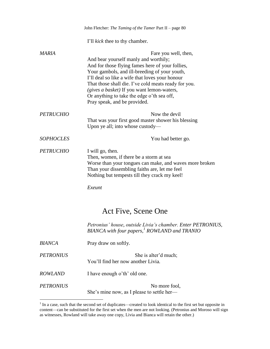|                  | John Fletcher: The Taming of the Tamer Part II - page 80                                                                                                                                                                                                                                                                                                                                                  |
|------------------|-----------------------------------------------------------------------------------------------------------------------------------------------------------------------------------------------------------------------------------------------------------------------------------------------------------------------------------------------------------------------------------------------------------|
|                  | I'll <i>kick</i> thee to thy chamber.                                                                                                                                                                                                                                                                                                                                                                     |
| MARIA            | Fare you well, then,<br>And bear yourself manly and worthily;<br>And for those flying fames here of your follies,<br>Your gambols, and ill-breeding of your youth,<br>I'll deal so like a wife that loves your honour<br>That those shall die. I've cold meats ready for you.<br>(gives a basket) If you want lemon-waters,<br>Or anything to take the edge o'th sea off,<br>Pray speak, and be provided. |
| <b>PETRUCHIO</b> | Now the devil<br>That was your first good master shower his blessing<br>Upon ye all; into whose custody—                                                                                                                                                                                                                                                                                                  |
| <b>SOPHOCLES</b> | You had better go.                                                                                                                                                                                                                                                                                                                                                                                        |
| <b>PETRUCHIO</b> | I will go, then.<br>Then, women, if there be a storm at sea<br>Worse than your tongues can make, and waves more broken<br>Than your dissembling faiths are, let me feel<br>Nothing but tempests till they crack my keel!<br>Exeunt                                                                                                                                                                        |
|                  | Act Five, Scene One                                                                                                                                                                                                                                                                                                                                                                                       |
|                  | Petronius' house, outside Livia's chamber. Enter PETRONIUS,<br>BIANCA with four papers, <sup>1</sup> ROWLAND and TRANIO                                                                                                                                                                                                                                                                                   |
| <b>BIANCA</b>    | Pray draw on softly.                                                                                                                                                                                                                                                                                                                                                                                      |
| <b>PETRONIUS</b> | She is alter'd much;<br>You'll find her now another Livia.                                                                                                                                                                                                                                                                                                                                                |
| <b>ROWLAND</b>   | I have enough o'th' old one.                                                                                                                                                                                                                                                                                                                                                                              |
| <b>PETRONIUS</b> | No more fool,<br>She's mine now, as I please to settle her—                                                                                                                                                                                                                                                                                                                                               |

<sup>&</sup>lt;sup>1</sup> In a case, such that the second set of duplicates—created to look identical to the first set but opposite in content—can be substituted for the first set when the men are not looking. (Petronius and Moroso will sign as witnesses, Rowland will take away one copy, Livia and Bianca will retain the other.)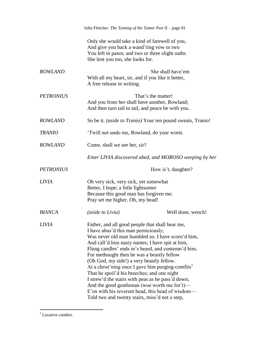|                  | John Fletcher: The Taming of the Tamer Part II - page 81                                                                                                                                                                                                                                                                                                                                                                                                                                                                                                                                                                                                                        |                                                        |
|------------------|---------------------------------------------------------------------------------------------------------------------------------------------------------------------------------------------------------------------------------------------------------------------------------------------------------------------------------------------------------------------------------------------------------------------------------------------------------------------------------------------------------------------------------------------------------------------------------------------------------------------------------------------------------------------------------|--------------------------------------------------------|
|                  | Only she would take a kind of farewell of you,<br>And give you back a wand'ring vow or two<br>You left in pawn; and two or three slight oaths<br>She lent you too, she looks for.                                                                                                                                                                                                                                                                                                                                                                                                                                                                                               |                                                        |
| <b>ROWLAND</b>   | With all my heart, sir, and if you like it better,<br>A free release in writing.                                                                                                                                                                                                                                                                                                                                                                                                                                                                                                                                                                                                | She shall have'em                                      |
| <b>PETRONIUS</b> | And you from her shall have another, Rowland;<br>And then turn tail to tail, and peace be with you.                                                                                                                                                                                                                                                                                                                                                                                                                                                                                                                                                                             | That's the matter!                                     |
| <b>ROWLAND</b>   | So be it. <i>(aside to Tranio)</i> Your ten pound sweats, Tranio!                                                                                                                                                                                                                                                                                                                                                                                                                                                                                                                                                                                                               |                                                        |
| <b>TRANIO</b>    | 'Twill not undo me, Rowland, do your worst.                                                                                                                                                                                                                                                                                                                                                                                                                                                                                                                                                                                                                                     |                                                        |
| <b>ROWLAND</b>   | Come, shall we see her, sir?                                                                                                                                                                                                                                                                                                                                                                                                                                                                                                                                                                                                                                                    |                                                        |
|                  |                                                                                                                                                                                                                                                                                                                                                                                                                                                                                                                                                                                                                                                                                 | Enter LIVIA discovered abed, and MOROSO weeping by her |
| <b>PETRONIUS</b> |                                                                                                                                                                                                                                                                                                                                                                                                                                                                                                                                                                                                                                                                                 | How is't, daughter?                                    |
| LIVIA            | Oh very sick, very sick, yet somewhat<br>Better, I hope; a little lightsomer<br>Because this good man has forgiven me.<br>Pray set me higher. Oh, my head!                                                                                                                                                                                                                                                                                                                                                                                                                                                                                                                      |                                                        |
| <b>BIANCA</b>    | <i>(aside to Livia)</i>                                                                                                                                                                                                                                                                                                                                                                                                                                                                                                                                                                                                                                                         | Well done, wench!                                      |
| <b>LIVIA</b>     | Father, and all good people that shall hear me,<br>I have abus'd this man perniciously;<br>Was never old man humbled so. I have scorn'd him,<br>And call'd him nasty names; I have spit at him,<br>Flung candles' ends in's beard, and contemn'd him,<br>For methought then he was a beastly fellow<br>(Oh God, my side!) a very beastly fellow.<br>At a christ'ning once I gave him purging-comfits <sup>1</sup><br>That he spoil'd his breeches; and one night<br>I strew'd the stairs with peas as he pass'd down,<br>And the good gentleman (woe worth me for $t$ )—<br>E'en with his reverent head, this head of wisdom-<br>Told two and twenty stairs, miss'd not a step, |                                                        |

 $<sup>1</sup>$  Laxative candies.</sup>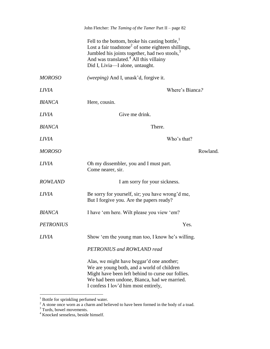|                  | John Fletcher: The Taming of the Tamer Part II - page 82                                                                                                                                                                                                                   |
|------------------|----------------------------------------------------------------------------------------------------------------------------------------------------------------------------------------------------------------------------------------------------------------------------|
|                  | Fell to the bottom, broke his casting bottle, $1$<br>Lost a fair to adstone <sup>2</sup> of some eighteen shillings,<br>Jumbled his joints together, had two stools, <sup>3</sup><br>And was translated. <sup>4</sup> All this villainy<br>Did I, Livia-I alone, untaught. |
| <b>MOROSO</b>    | <i>(weeping)</i> And I, unask'd, forgive it.                                                                                                                                                                                                                               |
| <b>LIVIA</b>     | Where's Bianca?                                                                                                                                                                                                                                                            |
| <b>BIANCA</b>    | Here, cousin.                                                                                                                                                                                                                                                              |
| <b>LIVIA</b>     | Give me drink.                                                                                                                                                                                                                                                             |
| <b>BIANCA</b>    | There.                                                                                                                                                                                                                                                                     |
| <b>LIVIA</b>     | Who's that?                                                                                                                                                                                                                                                                |
| <b>MOROSO</b>    | Rowland.                                                                                                                                                                                                                                                                   |
| <i>LIVIA</i>     | Oh my dissembler, you and I must part.<br>Come nearer, sir.                                                                                                                                                                                                                |
| <b>ROWLAND</b>   | I am sorry for your sickness.                                                                                                                                                                                                                                              |
| <b>LIVIA</b>     | Be sorry for yourself, sir; you have wrong'd me,<br>But I forgive you. Are the papers ready?                                                                                                                                                                               |
| <b>BIANCA</b>    | I have 'em here. Wilt please you view 'em?                                                                                                                                                                                                                                 |
| <b>PETRONIUS</b> | Yes.                                                                                                                                                                                                                                                                       |
| <b>LIVIA</b>     | Show 'em the young man too, I know he's willing.                                                                                                                                                                                                                           |
|                  | PETRONIUS and ROWLAND read                                                                                                                                                                                                                                                 |
|                  | Alas, we might have beggar'd one another;<br>We are young both, and a world of children<br>Might have been left behind to curse our follies.<br>We had been undone, Bianca, had we married.<br>I confess I lov'd him most entirely,                                        |

 $1$  Bottle for sprinkling perfumed water.

 $2^2$  A stone once worn as a charm and believed to have been formed in the body of a toad.

 $3$  Turds, bowel movements.

<sup>&</sup>lt;sup>4</sup> Knocked senseless, beside himself.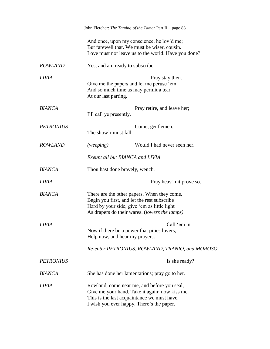|                  | John Fletcher: The Taming of the Tamer Part II - page 83                                                                                                                                   |
|------------------|--------------------------------------------------------------------------------------------------------------------------------------------------------------------------------------------|
|                  | And once, upon my conscience, he lov'd me;<br>But farewell that. We must be wiser, cousin.<br>Love must not leave us to the world. Have you done?                                          |
| <b>ROWLAND</b>   | Yes, and am ready to subscribe.                                                                                                                                                            |
| LIVIA            | Pray stay then.<br>Give me the papers and let me peruse 'em—<br>And so much time as may permit a tear<br>At our last parting.                                                              |
| <b>BIANCA</b>    | Pray retire, and leave her;<br>I'll call ye presently.                                                                                                                                     |
| <b>PETRONIUS</b> | Come, gentlemen,<br>The show'r must fall.                                                                                                                                                  |
| <b>ROWLAND</b>   | (weeping)<br>Would I had never seen her.                                                                                                                                                   |
|                  | Exeunt all but BIANCA and LIVIA                                                                                                                                                            |
| BIANCA           | Thou hast done bravely, wench.                                                                                                                                                             |
| LIVIA            | Pray heav'n it prove so.                                                                                                                                                                   |
| <b>BIANCA</b>    | There are the other papers. When they come,<br>Begin you first, and let the rest subscribe<br>Hard by your side; give 'em as little light<br>As drapers do their wares. (lowers the lamps) |
| <b>LIVIA</b>     | Call 'em in.<br>Now if there be a power that pities lovers,<br>Help now, and hear my prayers.                                                                                              |
|                  | Re-enter PETRONIUS, ROWLAND, TRANIO, and MOROSO                                                                                                                                            |
| <b>PETRONIUS</b> | Is she ready?                                                                                                                                                                              |
| <b>BIANCA</b>    | She has done her lamentations; pray go to her.                                                                                                                                             |
| LIVIA            | Rowland, come near me, and before you seal,<br>Give me your hand. Take it again; now kiss me.<br>This is the last acquaintance we must have.<br>I wish you ever happy. There's the paper.  |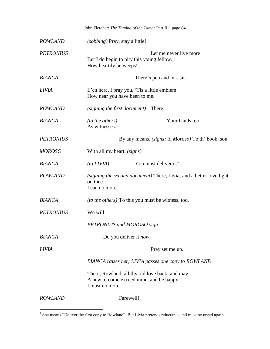|                  |                                       | John Fletcher: The Taming of the Tamer Part II - page 84                                   |
|------------------|---------------------------------------|--------------------------------------------------------------------------------------------|
| <b>ROWLAND</b>   | <i>(sobbing)</i> Pray, stay a little! |                                                                                            |
| <b>PETRONIUS</b> | How heartily he weeps!                | Let me never live more<br>But I do begin to pity this young fellow.                        |
| <b>BIANCA</b>    |                                       | There's pen and ink, sir.                                                                  |
| <b>LIVIA</b>     | How near you have been to me.         | E'en here, I pray you. 'Tis a little emblem                                                |
| <b>ROWLAND</b>   | (signing the first document)          | There.                                                                                     |
| <b>BIANCA</b>    | (to the others)<br>As witnesses.      | Your hands too,                                                                            |
| <b>PETRONIUS</b> |                                       | By any means. <i>(signs; to Moroso)</i> To th' book, son.                                  |
| <b>MOROSO</b>    | With all my heart. (signs)            |                                                                                            |
| <b>BIANCA</b>    | (to LIVIA)                            | You must deliver it. <sup>1</sup>                                                          |
| <b>ROWLAND</b>   | on thee.<br>I can no more.            | (signing the second document) There, Livia; and a better love light                        |
| <b>BIANCA</b>    |                                       | <i>(to the others)</i> To this you must be witness, too.                                   |
| <b>PETRONIUS</b> | We will.                              |                                                                                            |
|                  | PETRONIUS and MOROSO sign             |                                                                                            |
| <b>BIANCA</b>    |                                       | Do you deliver it <i>now</i> .                                                             |
| LIVIA            |                                       | Pray set me up.                                                                            |
|                  |                                       | BIANCA raises her; LIVIA passes one copy to ROWLAND                                        |
|                  | I must no more.                       | There, Rowland, all thy old love back; and may<br>A new to come exceed mine, and be happy. |
| <b>ROWLAND</b>   |                                       | Farewell!                                                                                  |

<sup>&</sup>lt;sup>1</sup> She means "Deliver the first copy to Rowland". But Livia pretends reluctance and must be urged again.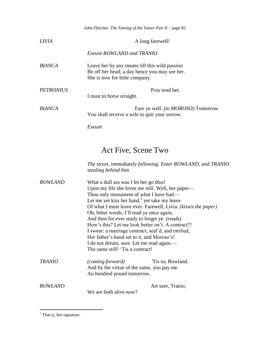|                  | John Fletcher: The Taming of the Tamer Part II - page 85                                                                                                                                                                                                                                                                                                                                                                                                                                                                                                                                                      |
|------------------|---------------------------------------------------------------------------------------------------------------------------------------------------------------------------------------------------------------------------------------------------------------------------------------------------------------------------------------------------------------------------------------------------------------------------------------------------------------------------------------------------------------------------------------------------------------------------------------------------------------|
| <i>LIVIA</i>     | A long farewell!                                                                                                                                                                                                                                                                                                                                                                                                                                                                                                                                                                                              |
|                  | <b>Exeunt ROWLAND and TRANIO</b>                                                                                                                                                                                                                                                                                                                                                                                                                                                                                                                                                                              |
| <b>BIANCA</b>    | Leave her by any means till this wild passion<br>Be off her head; a day hence you may see her.<br>She is now for little company.                                                                                                                                                                                                                                                                                                                                                                                                                                                                              |
| <b>PETRONIUS</b> | Pray tend her.<br>I must to horse straight.                                                                                                                                                                                                                                                                                                                                                                                                                                                                                                                                                                   |
| <b>BIANCA</b>    | Fare ye well. (to MOROSO) Tomorrow<br>You shall receive a wife to quit your sorrow.                                                                                                                                                                                                                                                                                                                                                                                                                                                                                                                           |
|                  | Exeunt                                                                                                                                                                                                                                                                                                                                                                                                                                                                                                                                                                                                        |
|                  | Act Five, Scene Two<br>The street, immediately following. Enter ROWLAND, and TRANIO<br>stealing behind him                                                                                                                                                                                                                                                                                                                                                                                                                                                                                                    |
| <b>ROWLAND</b>   | What a dull ass was I let her go thus!<br>Upon my life she loves me still. Well, her paper—<br>Thou only monument of what I have had—<br>Let me yet kiss her hand, <sup>1</sup> yet take my leave<br>Of what I must leave ever. Farewell, Livia. (kisses the paper)<br>Oh, bitter words, I'll read ye once again,<br>And then for ever study to forget ye. (reads)<br>How's this? Let me look better on't. A contract?!<br>I swear: a marriage contract, seal'd, and ratified,<br>Her father's hand set to it, and Moroso's!<br>I do not dream, sure. Let me read again.-<br>The same still! 'Tis a contract! |
| <b>TRANIO</b>    | Tis so, Rowland.<br>(coming forward)<br>And by the virtue of the same, you pay me<br>An hundred pound tomorrow.                                                                                                                                                                                                                                                                                                                                                                                                                                                                                               |
| <b>ROWLAND</b>   | Art sure, Tranio,<br>We are both alive now?                                                                                                                                                                                                                                                                                                                                                                                                                                                                                                                                                                   |

 $<sup>1</sup>$  That is, her signature.</sup>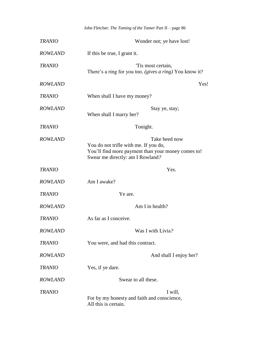|                | John Fletcher: The Taming of the Tamer Part II - page 86                                                                                         |
|----------------|--------------------------------------------------------------------------------------------------------------------------------------------------|
| <b>TRANIO</b>  | Wonder not; ye have lost!                                                                                                                        |
| <b>ROWLAND</b> | If this be true, I grant it.                                                                                                                     |
| <b>TRANIO</b>  | Tis most certain,<br>There's a ring for you too. (gives a ring) You know it?                                                                     |
| <b>ROWLAND</b> | Yes!                                                                                                                                             |
| <b>TRANIO</b>  | When shall I have my money?                                                                                                                      |
| <b>ROWLAND</b> | Stay ye, stay;<br>When shall I marry her?                                                                                                        |
| <b>TRANIO</b>  | Tonight.                                                                                                                                         |
| <b>ROWLAND</b> | Take heed now<br>You do not trifle with me. If you do,<br>You'll find more payment than your money comes to!<br>Swear me directly: am I Rowland? |
| <b>TRANIO</b>  | Yes.                                                                                                                                             |
| <b>ROWLAND</b> | Am I awake?                                                                                                                                      |
| <b>TRANIO</b>  | Ye are.                                                                                                                                          |
| <b>ROWLAND</b> | Am I in health?                                                                                                                                  |
| <b>TRANIO</b>  | As far as I conceive.                                                                                                                            |
| <b>ROWLAND</b> | Was I with Livia?                                                                                                                                |
| <b>TRANIO</b>  | You were, and had this contract.                                                                                                                 |
| <b>ROWLAND</b> | And shall I enjoy her?                                                                                                                           |
| <b>TRANIO</b>  | Yes, if ye dare.                                                                                                                                 |
| <b>ROWLAND</b> | Swear to all these.                                                                                                                              |
| <b>TRANIO</b>  | I will,<br>For by my honesty and faith and conscience,<br>All this is certain.                                                                   |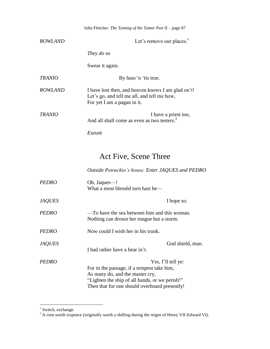|                | John Fletcher: <i>The Taming of the Tamer</i> Part II – page 87                                                                  |
|----------------|----------------------------------------------------------------------------------------------------------------------------------|
| <i>ROWLAND</i> | Let's remove our places. $1$                                                                                                     |
|                | They do so                                                                                                                       |
|                | Swear it again.                                                                                                                  |
| <b>TRANIO</b>  | By heav'n 'tis true.                                                                                                             |
| <i>ROWLAND</i> | I have lost then, and heaven knows I am glad on't!<br>Let's go, and tell me all, and tell me how,<br>For yet I am a pagan in it. |
| <i>TRANIO</i>  | I have a priest too,<br>And all shall come as even as two testers. <sup>2</sup>                                                  |
|                | Exeunt                                                                                                                           |

## Act Five, Scene Three

*Outside Petruchio's house. Enter JAQUES and PEDRO*

| <b>PEDRO</b>  | Oh, Jaques—!                                                                              |
|---------------|-------------------------------------------------------------------------------------------|
|               | What a most blessed turn hast he—                                                         |
| <b>JAQUES</b> | I hope so.                                                                                |
| <b>PEDRO</b>  | —To have the sea between him and this woman.<br>Nothing can drown her tongue but a storm. |
| <b>PEDRO</b>  | Now could I wish her in his trunk.                                                        |
| <b>JAQUES</b> | God shield, man.                                                                          |
|               | I had rather have a bear in't.                                                            |
| <i>PEDRO</i>  | Yes, I'll tell ye:                                                                        |
|               | For in the passage, if a tempest take him,                                                |
|               | As many do, and the master cry,                                                           |
|               | "Lighten the ship of all hands, or we perish!"                                            |
|               | Then that for one should overboard presently!                                             |

<sup>&</sup>lt;sup>1</sup> Switch, exchange.

 $2^2$  A coin worth sixpence (originally worth a shilling during the reigns of Henry VII-Edward VI).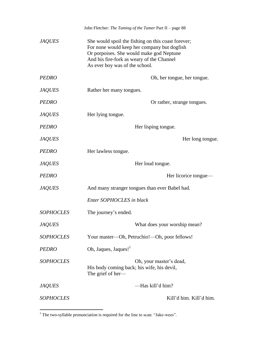|                  | John Fletcher: The Taming of the Tamer Part II - page 88                                                                                                                                                                     |
|------------------|------------------------------------------------------------------------------------------------------------------------------------------------------------------------------------------------------------------------------|
| <b>JAQUES</b>    | She would spoil the fishing on this coast forever;<br>For none would keep her company but dogfish<br>Or porpoises. She would make god Neptune<br>And his fire-fork as weary of the Channel<br>As ever boy was of the school. |
| <b>PEDRO</b>     | Oh, her tongue, her tongue.                                                                                                                                                                                                  |
| <b>JAQUES</b>    | Rather her many tongues.                                                                                                                                                                                                     |
| <b>PEDRO</b>     | Or rather, strange tongues.                                                                                                                                                                                                  |
| <b>JAQUES</b>    | Her lying tongue.                                                                                                                                                                                                            |
| <b>PEDRO</b>     | Her lisping tongue.                                                                                                                                                                                                          |
| <b>JAQUES</b>    | Her long tongue.                                                                                                                                                                                                             |
| <b>PEDRO</b>     | Her lawless tongue.                                                                                                                                                                                                          |
| <b>JAQUES</b>    | Her loud tongue.                                                                                                                                                                                                             |
| <b>PEDRO</b>     | Her licorice tongue—                                                                                                                                                                                                         |
| <b>JAQUES</b>    | And many stranger tongues than ever Babel had.                                                                                                                                                                               |
|                  | Enter SOPHOCLES in black                                                                                                                                                                                                     |
| <b>SOPHOCLES</b> | The journey's ended.                                                                                                                                                                                                         |
| <b>JAQUES</b>    | What does your worship mean?                                                                                                                                                                                                 |
| <b>SOPHOCLES</b> | Your master—Oh, Petruchio!—Oh, poor fellows!                                                                                                                                                                                 |
| <b>PEDRO</b>     | Oh, Jaques, Jaques! <sup>1</sup>                                                                                                                                                                                             |
| <b>SOPHOCLES</b> | Oh, your master's dead,<br>His body coming back; his wife, his devil,<br>The grief of her—                                                                                                                                   |
| <b>JAQUES</b>    | -Has kill'd him?                                                                                                                                                                                                             |
| <b>SOPHOCLES</b> | Kill'd him. Kill'd him.                                                                                                                                                                                                      |

 $1$  The two-syllable pronunciation is required for the line to scan: "Jake-wees".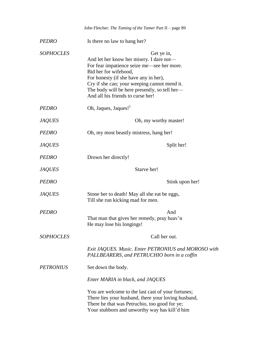|                  | John Fletcher: The Taming of the Tamer Part II - page 89                                                                                                                                                                                                                                                     |
|------------------|--------------------------------------------------------------------------------------------------------------------------------------------------------------------------------------------------------------------------------------------------------------------------------------------------------------|
| <b>PEDRO</b>     | Is there no law to hang her?                                                                                                                                                                                                                                                                                 |
| <b>SOPHOCLES</b> | Get ye in,<br>And let her know her misery. I dare not—<br>For fear impatience seize me—see her more.<br>Bid her for wifehood,<br>For honesty (if she have any in her),<br>Cry if she can; your weeping cannot mend it.<br>The body will be here presently, so tell her—<br>And all his friends to curse her! |
| <b>PEDRO</b>     | Oh, Jaques, Jaques! <sup>1</sup>                                                                                                                                                                                                                                                                             |
| <b>JAQUES</b>    | Oh, my worthy master!                                                                                                                                                                                                                                                                                        |
| <b>PEDRO</b>     | Oh, my most beastly mistress, hang her!                                                                                                                                                                                                                                                                      |
| <b>JAQUES</b>    | Split her!                                                                                                                                                                                                                                                                                                   |
| <b>PEDRO</b>     | Drown her directly!                                                                                                                                                                                                                                                                                          |
| <b>JAQUES</b>    | Starve her!                                                                                                                                                                                                                                                                                                  |
| <b>PEDRO</b>     | Stink upon her!                                                                                                                                                                                                                                                                                              |
| <b>JAQUES</b>    | Stone her to death! May all she eat be eggs,<br>Till she run kicking mad for men.                                                                                                                                                                                                                            |
| <b>PEDRO</b>     | And<br>That man that gives her remedy, pray heav'n<br>He may lose his longings!                                                                                                                                                                                                                              |
| <b>SOPHOCLES</b> | Call her out.                                                                                                                                                                                                                                                                                                |
|                  | Exit JAQUES. Music. Enter PETRONIUS and MOROSO with<br>PALLBEARERS, and PETRUCHIO born in a coffin                                                                                                                                                                                                           |
| <b>PETRONIUS</b> | Set down the body.                                                                                                                                                                                                                                                                                           |
|                  | Enter MARIA in black, and JAQUES                                                                                                                                                                                                                                                                             |
|                  | You are welcome to the last cast of your fortunes;<br>There lies your husband, there your loving husband,<br>There he that was Petruchio, too good for ye;<br>Your stubborn and unworthy way has kill'd him                                                                                                  |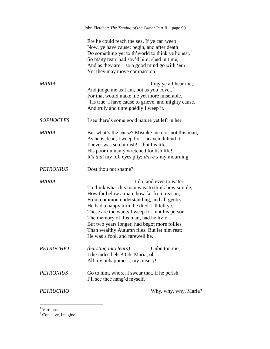| Ere he could reach the sea. If ye can weep<br>Now, ye have cause; begin, and after death<br>Do something yet to th'world to think ye honest. <sup>1</sup><br>So many tears had sav'd him, shed in time;<br>And as they are—so a good mind go with 'em—<br>Yet they may move compassion.<br><b>MARIA</b><br>Pray ye all hear me,<br>And judge me as I am, not as you covet, $2$<br>For that would make me yet more miserable.<br>And truly and unfeignedly I weep it.<br><b>SOPHOCLES</b><br>I see there's some good nature yet left in her.<br>MARIA<br>As he is dead, I weep for—heaven defend it,<br>I never was so childish!—but his life,<br>His poor unmanly wretched foolish life!<br>It's <i>that</i> my full eyes pity; <i>there's</i> my mourning.<br>Dost thou not shame?<br><b>PETRONIUS</b><br>MARIA<br>I do, and even to water,<br>To think what this man was: to think how simple,<br>How far below a man, how far from reason,<br>From common understanding, and all gentry.<br>He had a happy turn: he died. I'll tell ye,<br>These are the wants I weep for, not his person.<br>The memory of this man, had he liv'd<br>But two years longer, had begot more follies<br>Than wealthy Autumn flies. But let him rest;<br>He was a fool, and farewell he.<br><b>PETRUCHIO</b><br><i>(bursting into tears)</i><br>Unbutton me, |                  | John Fletcher: The Taming of the Tamer Part II - page 90 |
|----------------------------------------------------------------------------------------------------------------------------------------------------------------------------------------------------------------------------------------------------------------------------------------------------------------------------------------------------------------------------------------------------------------------------------------------------------------------------------------------------------------------------------------------------------------------------------------------------------------------------------------------------------------------------------------------------------------------------------------------------------------------------------------------------------------------------------------------------------------------------------------------------------------------------------------------------------------------------------------------------------------------------------------------------------------------------------------------------------------------------------------------------------------------------------------------------------------------------------------------------------------------------------------------------------------------------------------------|------------------|----------------------------------------------------------|
|                                                                                                                                                                                                                                                                                                                                                                                                                                                                                                                                                                                                                                                                                                                                                                                                                                                                                                                                                                                                                                                                                                                                                                                                                                                                                                                                              |                  |                                                          |
|                                                                                                                                                                                                                                                                                                                                                                                                                                                                                                                                                                                                                                                                                                                                                                                                                                                                                                                                                                                                                                                                                                                                                                                                                                                                                                                                              |                  | 'Tis true: I have cause to grieve, and mighty cause,     |
|                                                                                                                                                                                                                                                                                                                                                                                                                                                                                                                                                                                                                                                                                                                                                                                                                                                                                                                                                                                                                                                                                                                                                                                                                                                                                                                                              |                  |                                                          |
|                                                                                                                                                                                                                                                                                                                                                                                                                                                                                                                                                                                                                                                                                                                                                                                                                                                                                                                                                                                                                                                                                                                                                                                                                                                                                                                                              |                  | But what's the cause? Mistake me not: not this man,      |
|                                                                                                                                                                                                                                                                                                                                                                                                                                                                                                                                                                                                                                                                                                                                                                                                                                                                                                                                                                                                                                                                                                                                                                                                                                                                                                                                              |                  |                                                          |
|                                                                                                                                                                                                                                                                                                                                                                                                                                                                                                                                                                                                                                                                                                                                                                                                                                                                                                                                                                                                                                                                                                                                                                                                                                                                                                                                              |                  |                                                          |
| All my unhappiness, my misery!                                                                                                                                                                                                                                                                                                                                                                                                                                                                                                                                                                                                                                                                                                                                                                                                                                                                                                                                                                                                                                                                                                                                                                                                                                                                                                               |                  | I die indeed else! Oh, Maria, oh-                        |
| <b>PETRONIUS</b><br>Go to him, whore. I swear that, if he perish,                                                                                                                                                                                                                                                                                                                                                                                                                                                                                                                                                                                                                                                                                                                                                                                                                                                                                                                                                                                                                                                                                                                                                                                                                                                                            |                  | I'll see thee hang'd myself.                             |
|                                                                                                                                                                                                                                                                                                                                                                                                                                                                                                                                                                                                                                                                                                                                                                                                                                                                                                                                                                                                                                                                                                                                                                                                                                                                                                                                              | <b>PETRUCHIO</b> | Why, why, why, Maria?                                    |

<sup>&</sup>lt;sup>1</sup> Virtuous.

 $2^2$  Conceive, imagine.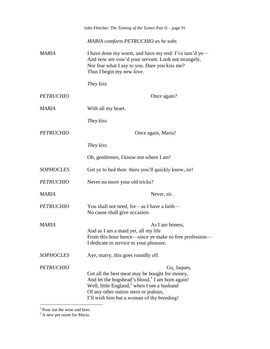|                  | John Fletcher: The Taming of the Tamer Part II - page 91                                                                                                                                                                                                               |
|------------------|------------------------------------------------------------------------------------------------------------------------------------------------------------------------------------------------------------------------------------------------------------------------|
|                  | MARIA comforts PETRUCHIO as he sobs                                                                                                                                                                                                                                    |
| MARIA            | I have done my worst, and have my end: I've tam'd ye—<br>And now am vow'd your servant. Look not strangely,<br>Nor fear what I say to you. Dare you kiss me?<br>Thus I begin my new love.                                                                              |
|                  | They kiss                                                                                                                                                                                                                                                              |
| <b>PETRUCHIO</b> | Once again?                                                                                                                                                                                                                                                            |
| MARIA            | With all my heart.                                                                                                                                                                                                                                                     |
|                  | They kiss                                                                                                                                                                                                                                                              |
| <b>PETRUCHIO</b> | Once again, Maria!                                                                                                                                                                                                                                                     |
|                  | They kiss                                                                                                                                                                                                                                                              |
|                  | Oh, gentlemen, I know not where I am!                                                                                                                                                                                                                                  |
| <b>SOPHOCLES</b> | Get ye to bed then: there you'll quickly know, sir!                                                                                                                                                                                                                    |
| <b>PETRUCHIO</b> | Never no more your old tricks?                                                                                                                                                                                                                                         |
| MARIA            | Never, sir.                                                                                                                                                                                                                                                            |
| <b>PETRUCHIO</b> | You shall not need, for-as I have a faith-<br>No cause shall give occasion.                                                                                                                                                                                            |
| <b>MARIA</b>     | As I am honest,<br>And as I am a maid yet, all my life<br>From this hour hence—since ye make so free profession—<br>I dedicate in service to your pleasure.                                                                                                            |
| <b>SOPHOCLES</b> | Aye, marry, this goes roundly off.                                                                                                                                                                                                                                     |
| <b>PETRUCHIO</b> | Go, Jaques,<br>Get all the best meat may be bought for money,<br>And let the hogshead's blood. <sup>1</sup> I am born again!<br>Well, little England, $^2$ when I see a husband<br>Of any other nation stern or jealous,<br>I'll wish him but a woman of thy breeding! |

<sup>&</sup>lt;sup>1</sup> Pour out the wine and beer.

 $2^2$  A new pet name for Maria.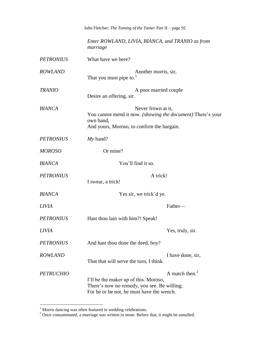|                  | John Fletcher: The Taming of the Tamer Part II - page 92                                                                                               |
|------------------|--------------------------------------------------------------------------------------------------------------------------------------------------------|
|                  | Enter ROWLAND, LIVIA, BIANCA, and TRANIO as from<br>marriage                                                                                           |
| <b>PETRONIUS</b> | What have we here?                                                                                                                                     |
| <b>ROWLAND</b>   | Another morris, sir,<br>That you must pipe to.                                                                                                         |
| <b>TRANIO</b>    | A poor married couple<br>Desire an offering, sir.                                                                                                      |
| <b>BIANCA</b>    | Never frown at it,<br>You cannot mend it now. (showing the document) There's your<br>own hand,<br>And yours, Moroso, to confirm the bargain.           |
| <b>PETRONIUS</b> | $My$ hand?                                                                                                                                             |
| <b>MOROSO</b>    | Or mine?                                                                                                                                               |
| <b>BIANCA</b>    | You'll find it so.                                                                                                                                     |
| <b>PETRONIUS</b> | A trick!<br>I swear, a trick!                                                                                                                          |
| <b>BIANCA</b>    | Yes sir, we trick'd ye.                                                                                                                                |
| <i>LIVIA</i>     | Father-                                                                                                                                                |
| <b>PETRONIUS</b> | Hast thou lain with him?! Speak!                                                                                                                       |
| <b>LIVIA</b>     | Yes, truly, sir.                                                                                                                                       |
| <b>PETRONIUS</b> | And hast thou done the deed, boy?                                                                                                                      |
| <b>ROWLAND</b>   | I have done, sir,<br>That that will serve the turn, I think.                                                                                           |
| <b>PETRUCHIO</b> | A match then. $2$<br>I'll be the maker up of this. Moroso,<br>There's now no remedy, you see. Be willing;<br>For be or be not, he must have the wench. |

 $1$  Morris dancing was often featured in wedding celebrations.

 $2^2$  Once consummated, a marriage was written in stone. Before that, it might be annulled.